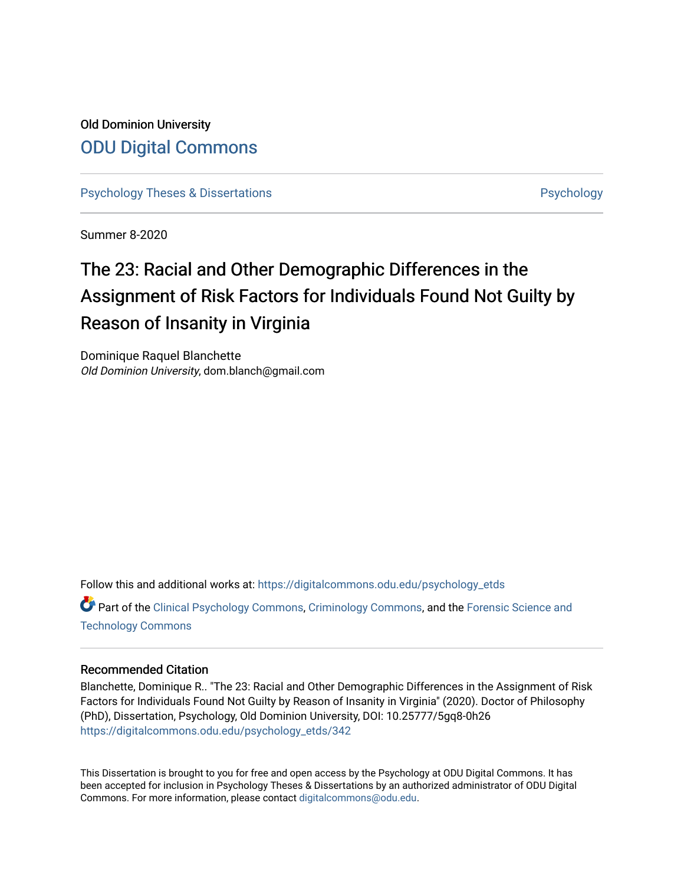## Old Dominion University [ODU Digital Commons](https://digitalcommons.odu.edu/)

[Psychology Theses & Dissertations](https://digitalcommons.odu.edu/psychology_etds) **Psychology** [Psychology](https://digitalcommons.odu.edu/psychology) **Psychology** 

Summer 8-2020

# The 23: Racial and Other Demographic Differences in the Assignment of Risk Factors for Individuals Found Not Guilty by Reason of Insanity in Virginia

Dominique Raquel Blanchette Old Dominion University, dom.blanch@gmail.com

Follow this and additional works at: [https://digitalcommons.odu.edu/psychology\\_etds](https://digitalcommons.odu.edu/psychology_etds?utm_source=digitalcommons.odu.edu%2Fpsychology_etds%2F342&utm_medium=PDF&utm_campaign=PDFCoverPages)

Part of the [Clinical Psychology Commons,](http://network.bepress.com/hgg/discipline/406?utm_source=digitalcommons.odu.edu%2Fpsychology_etds%2F342&utm_medium=PDF&utm_campaign=PDFCoverPages) [Criminology Commons](http://network.bepress.com/hgg/discipline/417?utm_source=digitalcommons.odu.edu%2Fpsychology_etds%2F342&utm_medium=PDF&utm_campaign=PDFCoverPages), and the [Forensic Science and](http://network.bepress.com/hgg/discipline/1277?utm_source=digitalcommons.odu.edu%2Fpsychology_etds%2F342&utm_medium=PDF&utm_campaign=PDFCoverPages)  [Technology Commons](http://network.bepress.com/hgg/discipline/1277?utm_source=digitalcommons.odu.edu%2Fpsychology_etds%2F342&utm_medium=PDF&utm_campaign=PDFCoverPages) 

#### Recommended Citation

Blanchette, Dominique R.. "The 23: Racial and Other Demographic Differences in the Assignment of Risk Factors for Individuals Found Not Guilty by Reason of Insanity in Virginia" (2020). Doctor of Philosophy (PhD), Dissertation, Psychology, Old Dominion University, DOI: 10.25777/5gq8-0h26 [https://digitalcommons.odu.edu/psychology\\_etds/342](https://digitalcommons.odu.edu/psychology_etds/342?utm_source=digitalcommons.odu.edu%2Fpsychology_etds%2F342&utm_medium=PDF&utm_campaign=PDFCoverPages)

This Dissertation is brought to you for free and open access by the Psychology at ODU Digital Commons. It has been accepted for inclusion in Psychology Theses & Dissertations by an authorized administrator of ODU Digital Commons. For more information, please contact [digitalcommons@odu.edu](mailto:digitalcommons@odu.edu).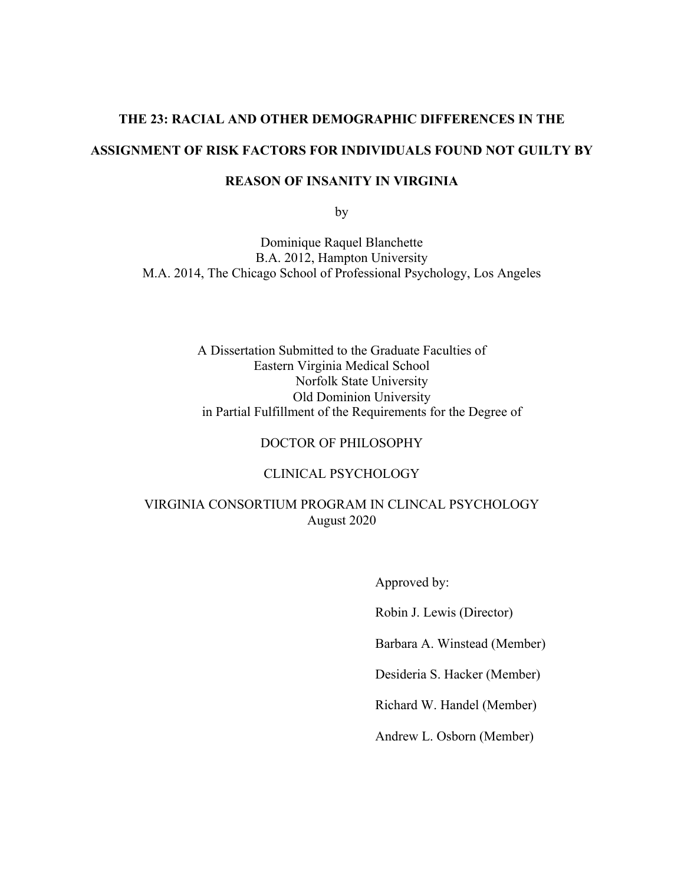## **THE 23: RACIAL AND OTHER DEMOGRAPHIC DIFFERENCES IN THE ASSIGNMENT OF RISK FACTORS FOR INDIVIDUALS FOUND NOT GUILTY BY**

### **REASON OF INSANITY IN VIRGINIA**

by

Dominique Raquel Blanchette B.A. 2012, Hampton University M.A. 2014, The Chicago School of Professional Psychology, Los Angeles

> A Dissertation Submitted to the Graduate Faculties of Eastern Virginia Medical School Norfolk State University Old Dominion University in Partial Fulfillment of the Requirements for the Degree of

### DOCTOR OF PHILOSOPHY

### CLINICAL PSYCHOLOGY

### VIRGINIA CONSORTIUM PROGRAM IN CLINCAL PSYCHOLOGY August 2020

 Approved by: Robin J. Lewis (Director) Barbara A. Winstead (Member) Desideria S. Hacker (Member) Richard W. Handel (Member) Andrew L. Osborn (Member)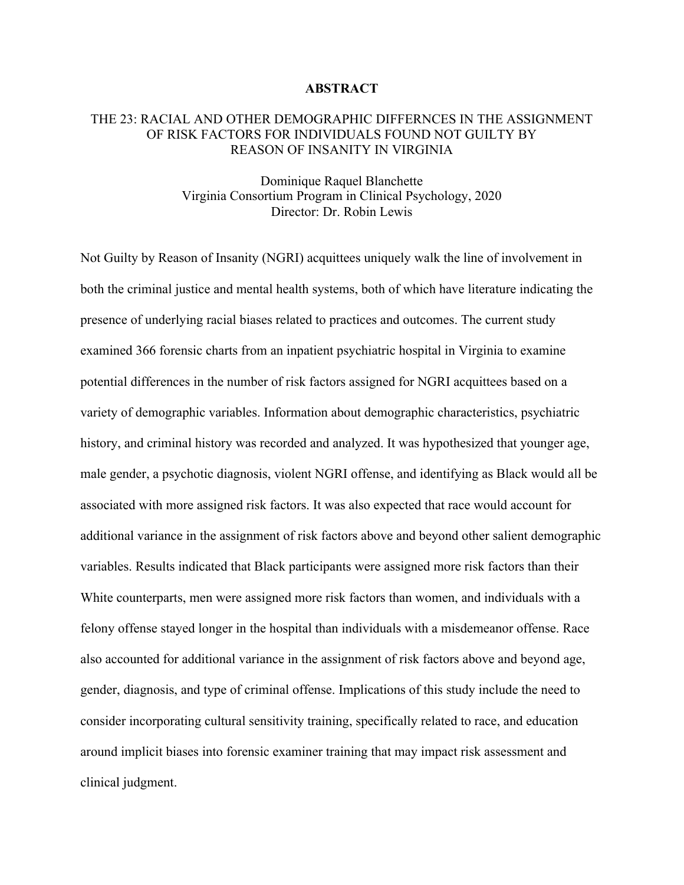#### **ABSTRACT**

### THE 23: RACIAL AND OTHER DEMOGRAPHIC DIFFERNCES IN THE ASSIGNMENT OF RISK FACTORS FOR INDIVIDUALS FOUND NOT GUILTY BY REASON OF INSANITY IN VIRGINIA

### Dominique Raquel Blanchette Virginia Consortium Program in Clinical Psychology, 2020 Director: Dr. Robin Lewis

Not Guilty by Reason of Insanity (NGRI) acquittees uniquely walk the line of involvement in both the criminal justice and mental health systems, both of which have literature indicating the presence of underlying racial biases related to practices and outcomes. The current study examined 366 forensic charts from an inpatient psychiatric hospital in Virginia to examine potential differences in the number of risk factors assigned for NGRI acquittees based on a variety of demographic variables. Information about demographic characteristics, psychiatric history, and criminal history was recorded and analyzed. It was hypothesized that younger age, male gender, a psychotic diagnosis, violent NGRI offense, and identifying as Black would all be associated with more assigned risk factors. It was also expected that race would account for additional variance in the assignment of risk factors above and beyond other salient demographic variables. Results indicated that Black participants were assigned more risk factors than their White counterparts, men were assigned more risk factors than women, and individuals with a felony offense stayed longer in the hospital than individuals with a misdemeanor offense. Race also accounted for additional variance in the assignment of risk factors above and beyond age, gender, diagnosis, and type of criminal offense. Implications of this study include the need to consider incorporating cultural sensitivity training, specifically related to race, and education around implicit biases into forensic examiner training that may impact risk assessment and clinical judgment.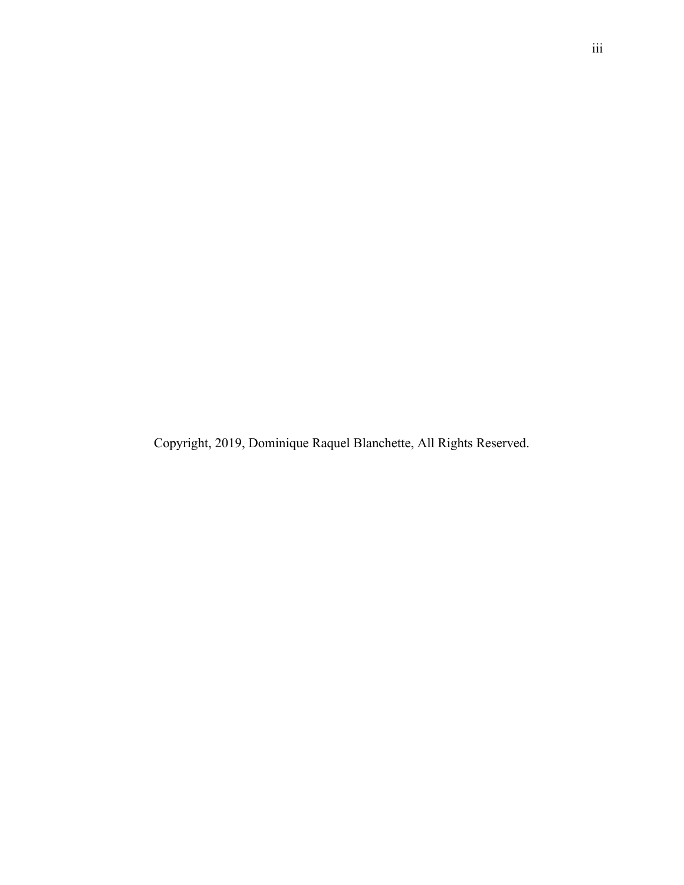Copyright, 2019, Dominique Raquel Blanchette, All Rights Reserved.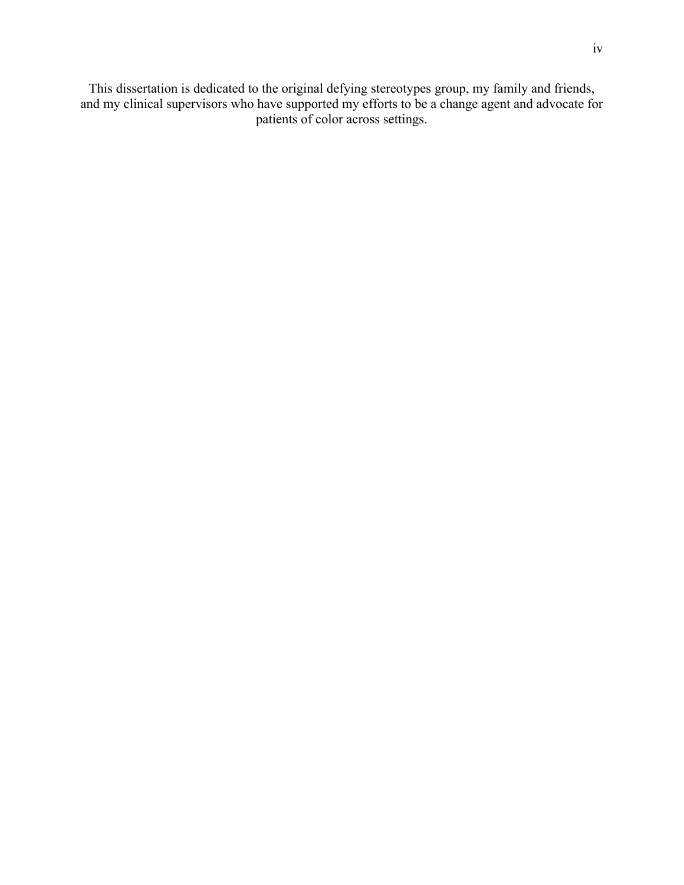This dissertation is dedicated to the original defying stereotypes group, my family and friends, and my clinical supervisors who have supported my efforts to be a change agent and advocate for patients of color across settings.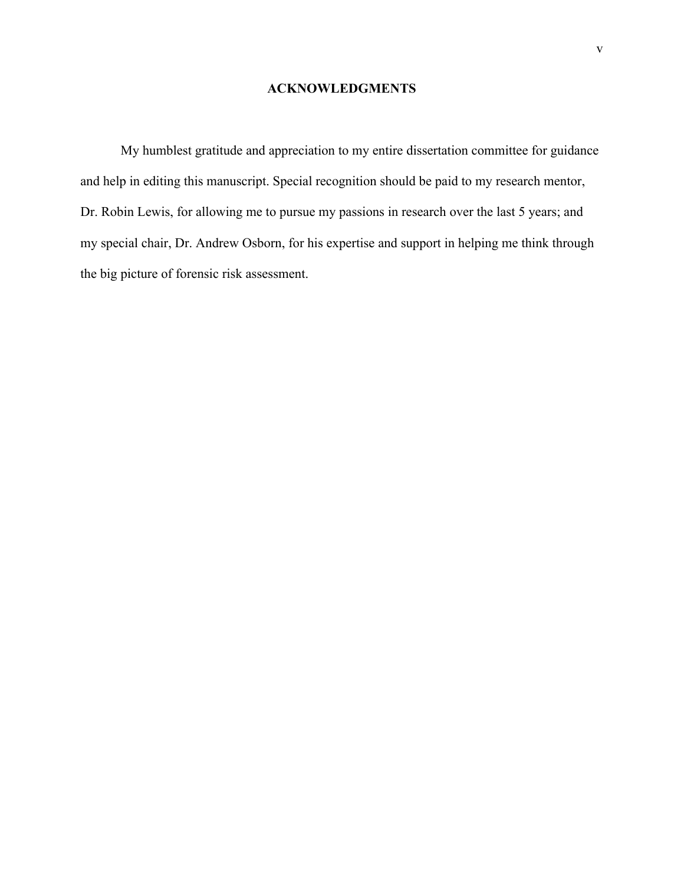### **ACKNOWLEDGMENTS**

My humblest gratitude and appreciation to my entire dissertation committee for guidance and help in editing this manuscript. Special recognition should be paid to my research mentor, Dr. Robin Lewis, for allowing me to pursue my passions in research over the last 5 years; and my special chair, Dr. Andrew Osborn, for his expertise and support in helping me think through the big picture of forensic risk assessment.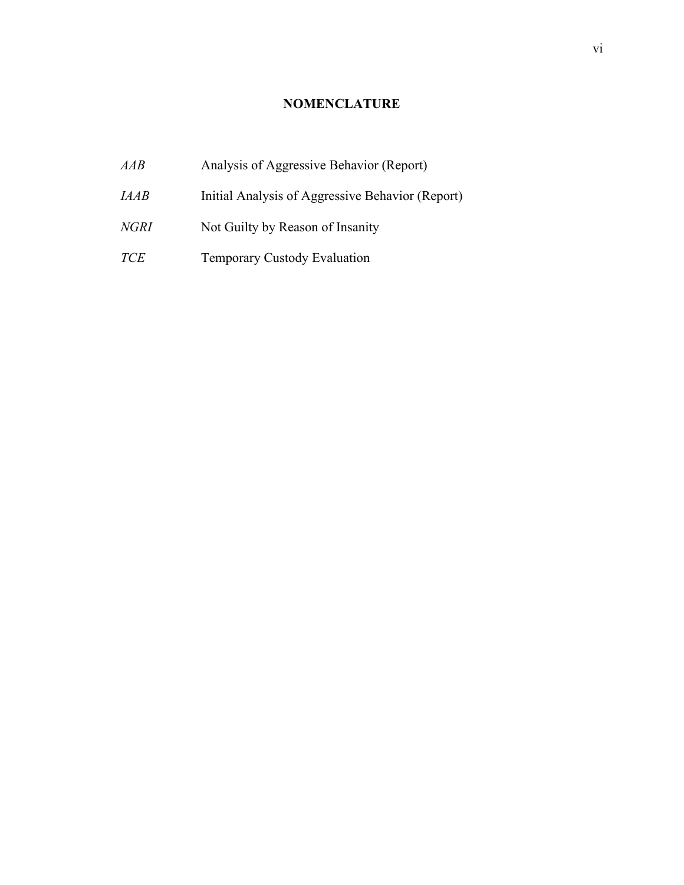### **NOMENCLATURE**

*AAB* Analysis of Aggressive Behavior (Report) *IAAB* Initial Analysis of Aggressive Behavior (Report) *NGRI* Not Guilty by Reason of Insanity *TCE* Temporary Custody Evaluation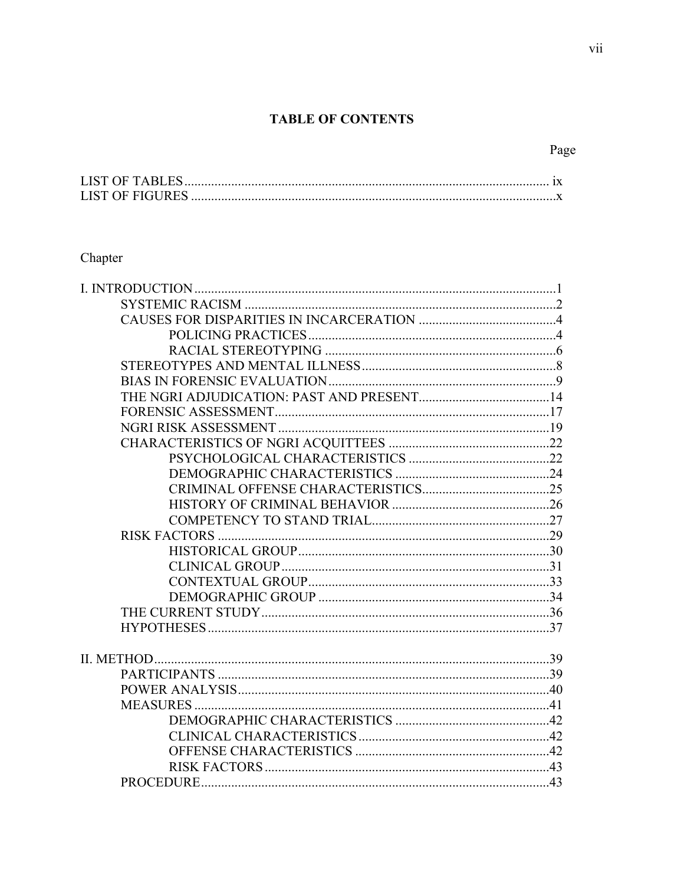### **TABLE OF CONTENTS**

### Chapter

## Page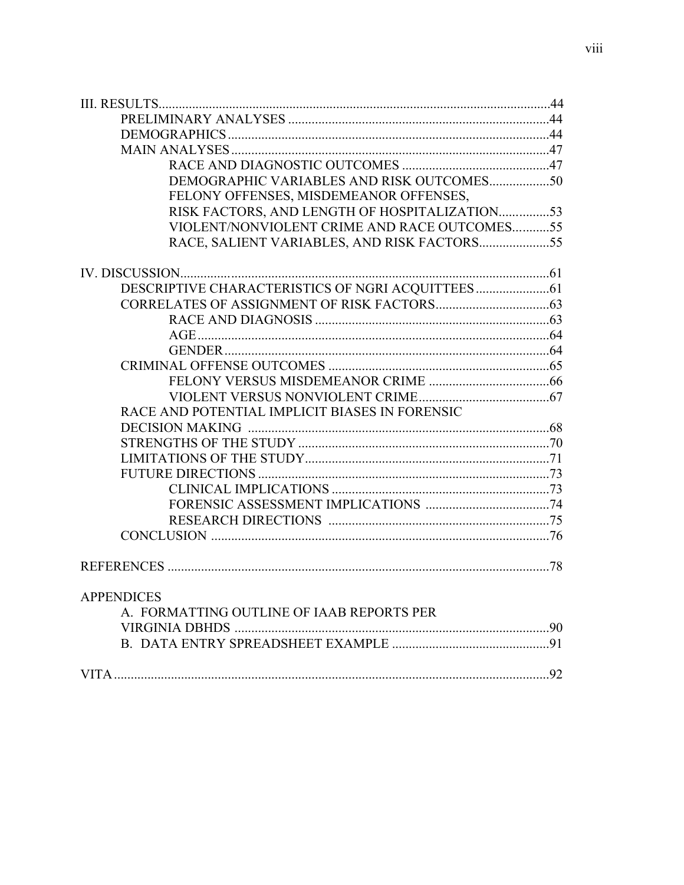| DEMOGRAPHIC VARIABLES AND RISK OUTCOMES50      |     |
|------------------------------------------------|-----|
| FELONY OFFENSES, MISDEMEANOR OFFENSES,         |     |
| RISK FACTORS, AND LENGTH OF HOSPITALIZATION53  |     |
| VIOLENT/NONVIOLENT CRIME AND RACE OUTCOMES55   |     |
| RACE, SALIENT VARIABLES, AND RISK FACTORS55    |     |
|                                                |     |
|                                                |     |
|                                                |     |
|                                                |     |
|                                                |     |
|                                                |     |
|                                                |     |
|                                                |     |
|                                                |     |
| RACE AND POTENTIAL IMPLICIT BIASES IN FORENSIC |     |
|                                                |     |
|                                                |     |
|                                                |     |
|                                                |     |
|                                                |     |
|                                                |     |
|                                                |     |
|                                                |     |
|                                                |     |
| <b>APPENDICES</b>                              |     |
| A. FORMATTING OUTLINE OF IAAB REPORTS PER      |     |
|                                                |     |
|                                                |     |
| VITA.                                          | .92 |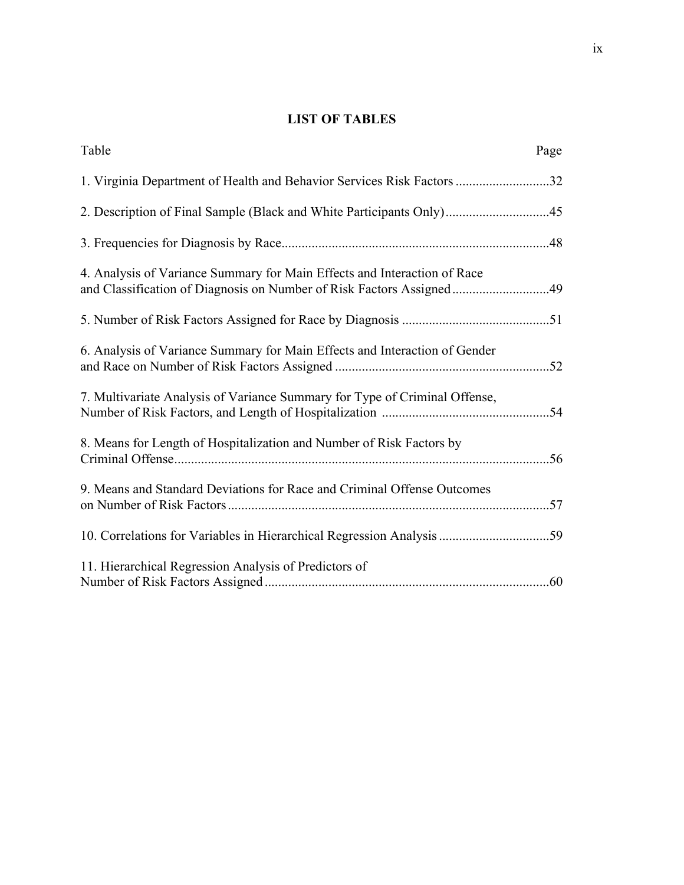### **LIST OF TABLES**

| Table                                                                                                                                            | Page |
|--------------------------------------------------------------------------------------------------------------------------------------------------|------|
| 1. Virginia Department of Health and Behavior Services Risk Factors 32                                                                           |      |
| 2. Description of Final Sample (Black and White Participants Only)45                                                                             |      |
|                                                                                                                                                  |      |
| 4. Analysis of Variance Summary for Main Effects and Interaction of Race<br>and Classification of Diagnosis on Number of Risk Factors Assigned49 |      |
|                                                                                                                                                  |      |
| 6. Analysis of Variance Summary for Main Effects and Interaction of Gender                                                                       |      |
| 7. Multivariate Analysis of Variance Summary for Type of Criminal Offense,                                                                       |      |
| 8. Means for Length of Hospitalization and Number of Risk Factors by                                                                             |      |
| 9. Means and Standard Deviations for Race and Criminal Offense Outcomes                                                                          |      |
| 10. Correlations for Variables in Hierarchical Regression Analysis 59                                                                            |      |
| 11. Hierarchical Regression Analysis of Predictors of                                                                                            |      |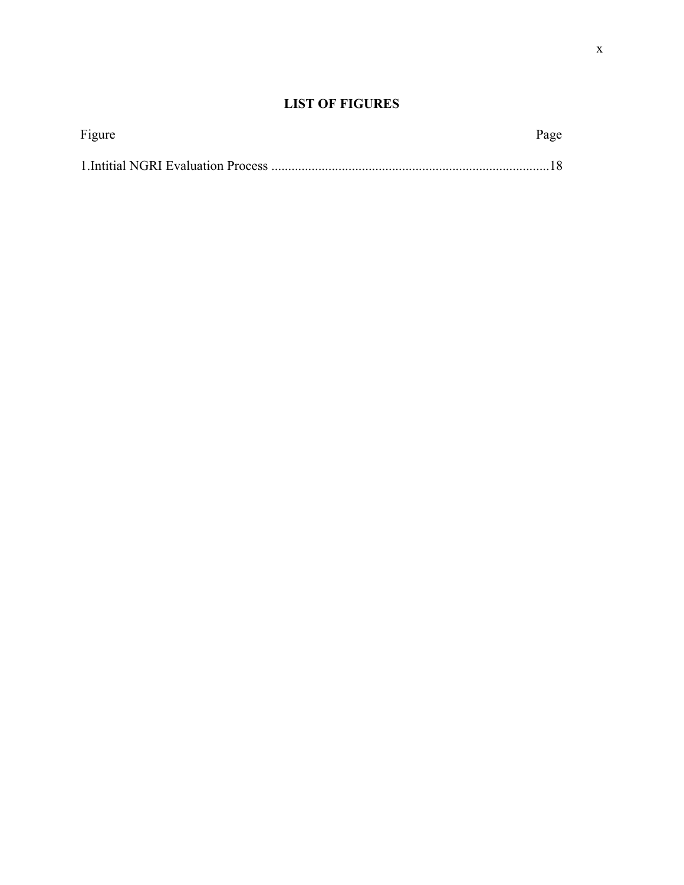### **LIST OF FIGURES**

| Figure | Page |
|--------|------|
|        |      |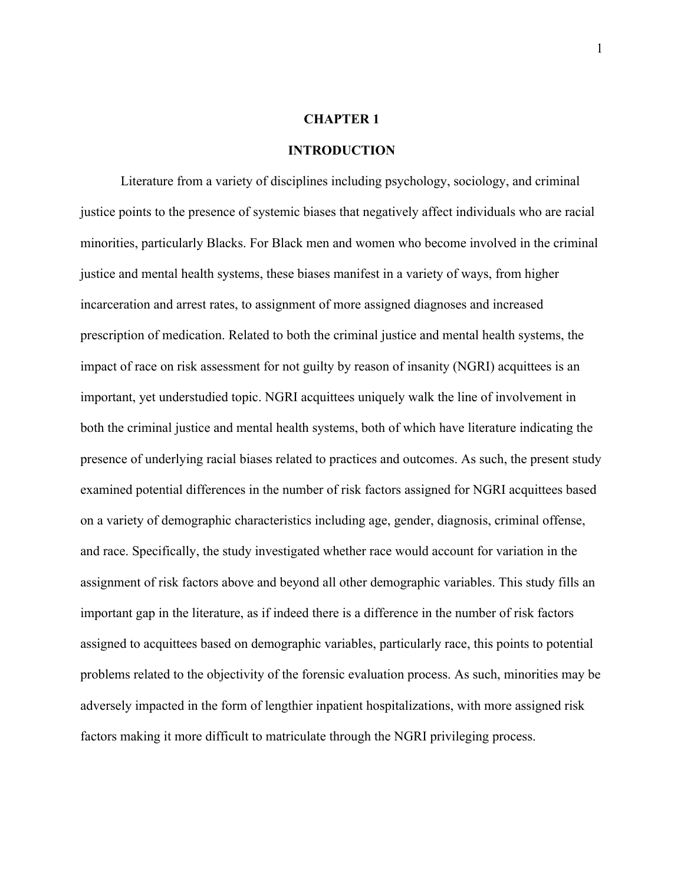### **CHAPTER 1**

#### **INTRODUCTION**

Literature from a variety of disciplines including psychology, sociology, and criminal justice points to the presence of systemic biases that negatively affect individuals who are racial minorities, particularly Blacks. For Black men and women who become involved in the criminal justice and mental health systems, these biases manifest in a variety of ways, from higher incarceration and arrest rates, to assignment of more assigned diagnoses and increased prescription of medication. Related to both the criminal justice and mental health systems, the impact of race on risk assessment for not guilty by reason of insanity (NGRI) acquittees is an important, yet understudied topic. NGRI acquittees uniquely walk the line of involvement in both the criminal justice and mental health systems, both of which have literature indicating the presence of underlying racial biases related to practices and outcomes. As such, the present study examined potential differences in the number of risk factors assigned for NGRI acquittees based on a variety of demographic characteristics including age, gender, diagnosis, criminal offense, and race. Specifically, the study investigated whether race would account for variation in the assignment of risk factors above and beyond all other demographic variables. This study fills an important gap in the literature, as if indeed there is a difference in the number of risk factors assigned to acquittees based on demographic variables, particularly race, this points to potential problems related to the objectivity of the forensic evaluation process. As such, minorities may be adversely impacted in the form of lengthier inpatient hospitalizations, with more assigned risk factors making it more difficult to matriculate through the NGRI privileging process.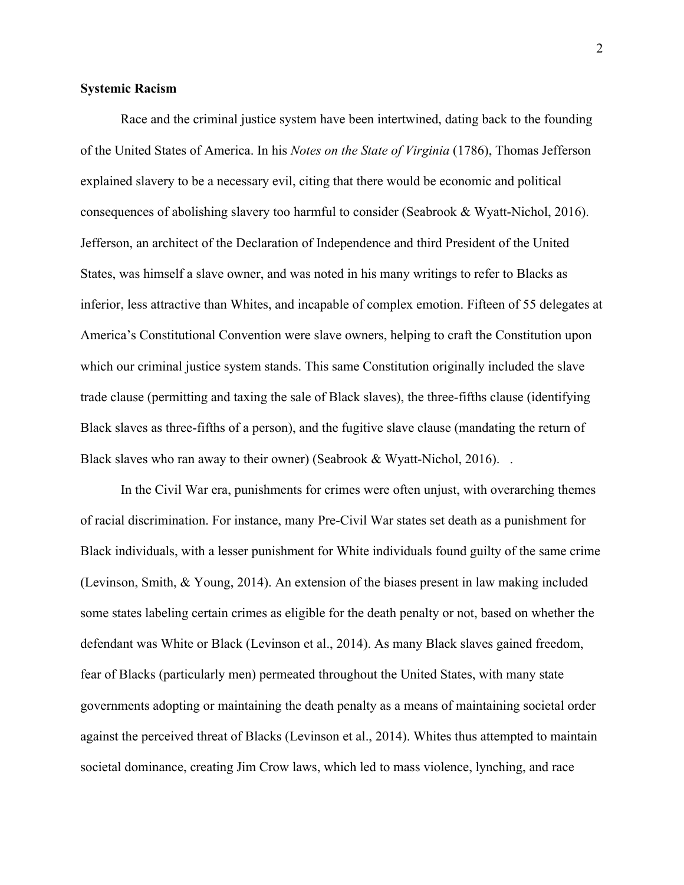### **Systemic Racism**

Race and the criminal justice system have been intertwined, dating back to the founding of the United States of America. In his *Notes on the State of Virginia* (1786), Thomas Jefferson explained slavery to be a necessary evil, citing that there would be economic and political consequences of abolishing slavery too harmful to consider (Seabrook & Wyatt-Nichol, 2016). Jefferson, an architect of the Declaration of Independence and third President of the United States, was himself a slave owner, and was noted in his many writings to refer to Blacks as inferior, less attractive than Whites, and incapable of complex emotion. Fifteen of 55 delegates at America's Constitutional Convention were slave owners, helping to craft the Constitution upon which our criminal justice system stands. This same Constitution originally included the slave trade clause (permitting and taxing the sale of Black slaves), the three-fifths clause (identifying Black slaves as three-fifths of a person), and the fugitive slave clause (mandating the return of Black slaves who ran away to their owner) (Seabrook & Wyatt-Nichol, 2016).  $\blacksquare$ 

In the Civil War era, punishments for crimes were often unjust, with overarching themes of racial discrimination. For instance, many Pre-Civil War states set death as a punishment for Black individuals, with a lesser punishment for White individuals found guilty of the same crime (Levinson, Smith, & Young, 2014). An extension of the biases present in law making included some states labeling certain crimes as eligible for the death penalty or not, based on whether the defendant was White or Black (Levinson et al., 2014). As many Black slaves gained freedom, fear of Blacks (particularly men) permeated throughout the United States, with many state governments adopting or maintaining the death penalty as a means of maintaining societal order against the perceived threat of Blacks (Levinson et al., 2014). Whites thus attempted to maintain societal dominance, creating Jim Crow laws, which led to mass violence, lynching, and race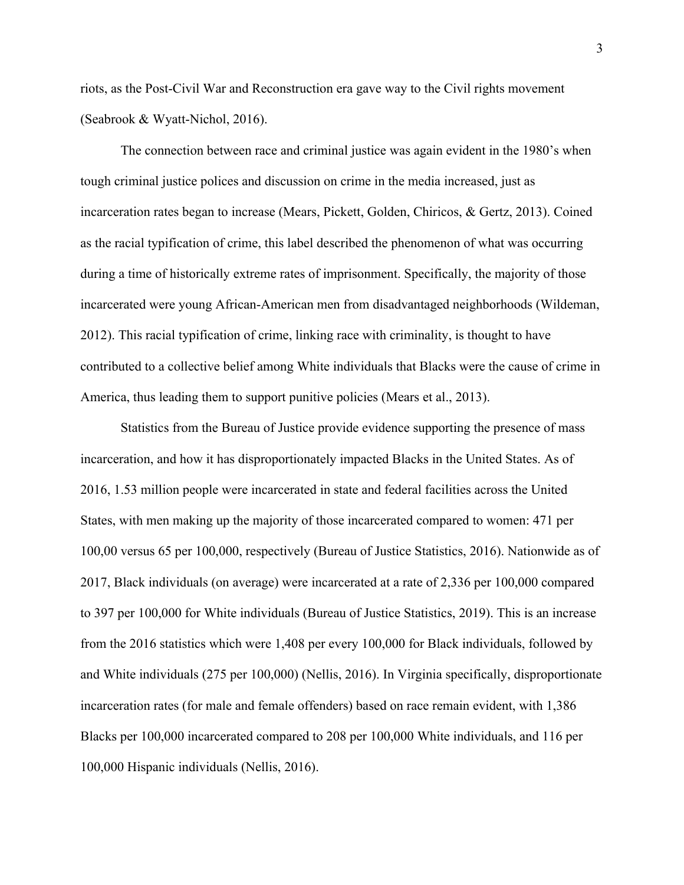riots, as the Post-Civil War and Reconstruction era gave way to the Civil rights movement (Seabrook & Wyatt-Nichol, 2016).

The connection between race and criminal justice was again evident in the 1980's when tough criminal justice polices and discussion on crime in the media increased, just as incarceration rates began to increase (Mears, Pickett, Golden, Chiricos, & Gertz, 2013). Coined as the racial typification of crime, this label described the phenomenon of what was occurring during a time of historically extreme rates of imprisonment. Specifically, the majority of those incarcerated were young African-American men from disadvantaged neighborhoods (Wildeman, 2012). This racial typification of crime, linking race with criminality, is thought to have contributed to a collective belief among White individuals that Blacks were the cause of crime in America, thus leading them to support punitive policies (Mears et al., 2013).

Statistics from the Bureau of Justice provide evidence supporting the presence of mass incarceration, and how it has disproportionately impacted Blacks in the United States. As of 2016, 1.53 million people were incarcerated in state and federal facilities across the United States, with men making up the majority of those incarcerated compared to women: 471 per 100,00 versus 65 per 100,000, respectively (Bureau of Justice Statistics, 2016). Nationwide as of 2017, Black individuals (on average) were incarcerated at a rate of 2,336 per 100,000 compared to 397 per 100,000 for White individuals (Bureau of Justice Statistics, 2019). This is an increase from the 2016 statistics which were 1,408 per every 100,000 for Black individuals, followed by and White individuals (275 per 100,000) (Nellis, 2016). In Virginia specifically, disproportionate incarceration rates (for male and female offenders) based on race remain evident, with 1,386 Blacks per 100,000 incarcerated compared to 208 per 100,000 White individuals, and 116 per 100,000 Hispanic individuals (Nellis, 2016).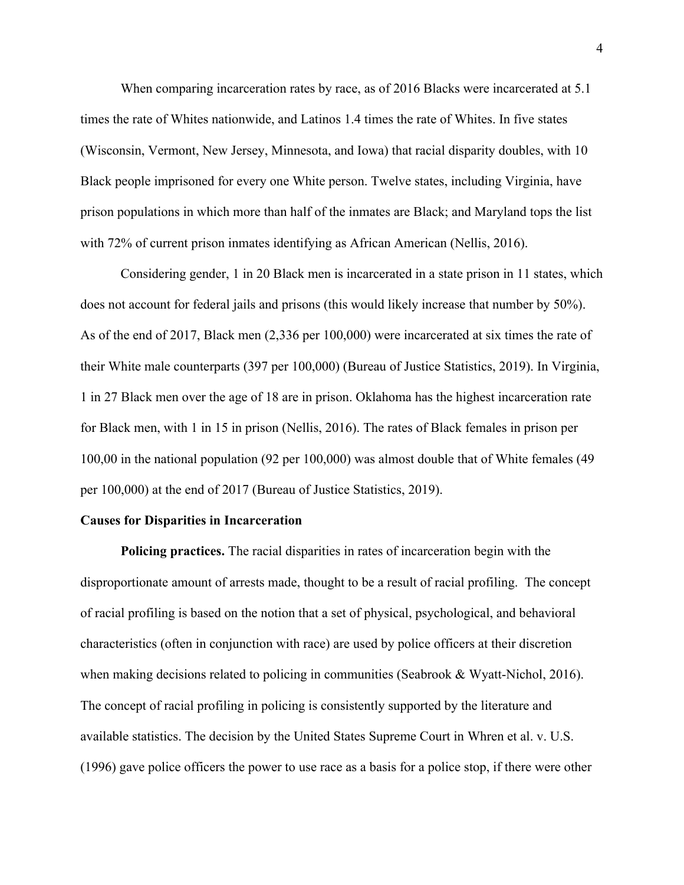When comparing incarceration rates by race, as of 2016 Blacks were incarcerated at 5.1 times the rate of Whites nationwide, and Latinos 1.4 times the rate of Whites. In five states (Wisconsin, Vermont, New Jersey, Minnesota, and Iowa) that racial disparity doubles, with 10 Black people imprisoned for every one White person. Twelve states, including Virginia, have prison populations in which more than half of the inmates are Black; and Maryland tops the list with 72% of current prison inmates identifying as African American (Nellis, 2016).

Considering gender, 1 in 20 Black men is incarcerated in a state prison in 11 states, which does not account for federal jails and prisons (this would likely increase that number by 50%). As of the end of 2017, Black men (2,336 per 100,000) were incarcerated at six times the rate of their White male counterparts (397 per 100,000) (Bureau of Justice Statistics, 2019). In Virginia, 1 in 27 Black men over the age of 18 are in prison. Oklahoma has the highest incarceration rate for Black men, with 1 in 15 in prison (Nellis, 2016). The rates of Black females in prison per 100,00 in the national population (92 per 100,000) was almost double that of White females (49 per 100,000) at the end of 2017 (Bureau of Justice Statistics, 2019).

#### **Causes for Disparities in Incarceration**

**Policing practices.** The racial disparities in rates of incarceration begin with the disproportionate amount of arrests made, thought to be a result of racial profiling. The concept of racial profiling is based on the notion that a set of physical, psychological, and behavioral characteristics (often in conjunction with race) are used by police officers at their discretion when making decisions related to policing in communities (Seabrook & Wyatt-Nichol, 2016). The concept of racial profiling in policing is consistently supported by the literature and available statistics. The decision by the United States Supreme Court in Whren et al. v. U.S. (1996) gave police officers the power to use race as a basis for a police stop, if there were other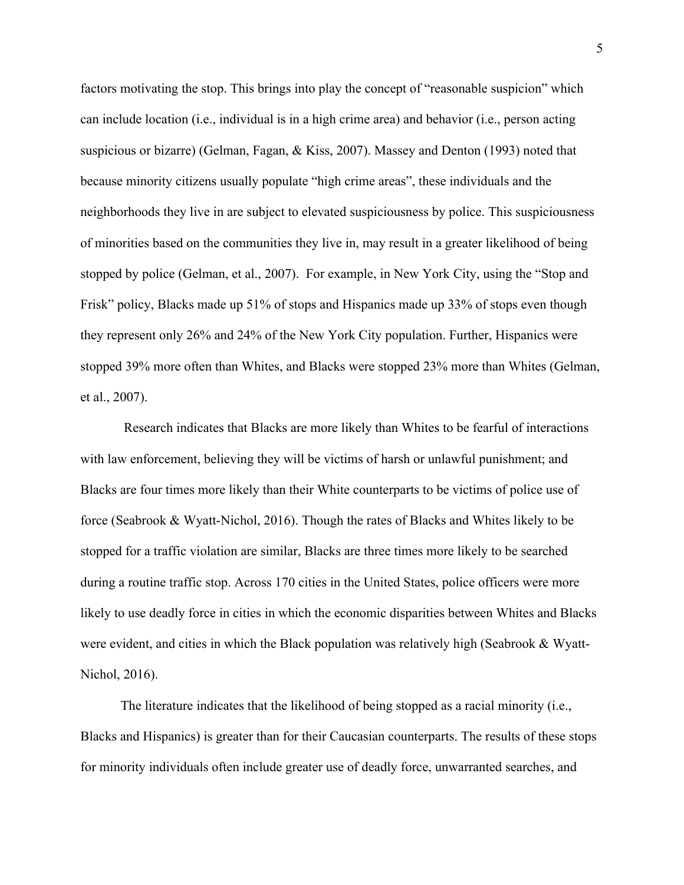factors motivating the stop. This brings into play the concept of "reasonable suspicion" which can include location (i.e., individual is in a high crime area) and behavior (i.e., person acting suspicious or bizarre) (Gelman, Fagan, & Kiss, 2007). Massey and Denton (1993) noted that because minority citizens usually populate "high crime areas", these individuals and the neighborhoods they live in are subject to elevated suspiciousness by police. This suspiciousness of minorities based on the communities they live in, may result in a greater likelihood of being stopped by police (Gelman, et al., 2007). For example, in New York City, using the "Stop and Frisk" policy, Blacks made up 51% of stops and Hispanics made up 33% of stops even though they represent only 26% and 24% of the New York City population. Further, Hispanics were stopped 39% more often than Whites, and Blacks were stopped 23% more than Whites (Gelman, et al., 2007).

Research indicates that Blacks are more likely than Whites to be fearful of interactions with law enforcement, believing they will be victims of harsh or unlawful punishment; and Blacks are four times more likely than their White counterparts to be victims of police use of force (Seabrook & Wyatt-Nichol, 2016). Though the rates of Blacks and Whites likely to be stopped for a traffic violation are similar, Blacks are three times more likely to be searched during a routine traffic stop. Across 170 cities in the United States, police officers were more likely to use deadly force in cities in which the economic disparities between Whites and Blacks were evident, and cities in which the Black population was relatively high (Seabrook & Wyatt-Nichol, 2016).

The literature indicates that the likelihood of being stopped as a racial minority (i.e., Blacks and Hispanics) is greater than for their Caucasian counterparts. The results of these stops for minority individuals often include greater use of deadly force, unwarranted searches, and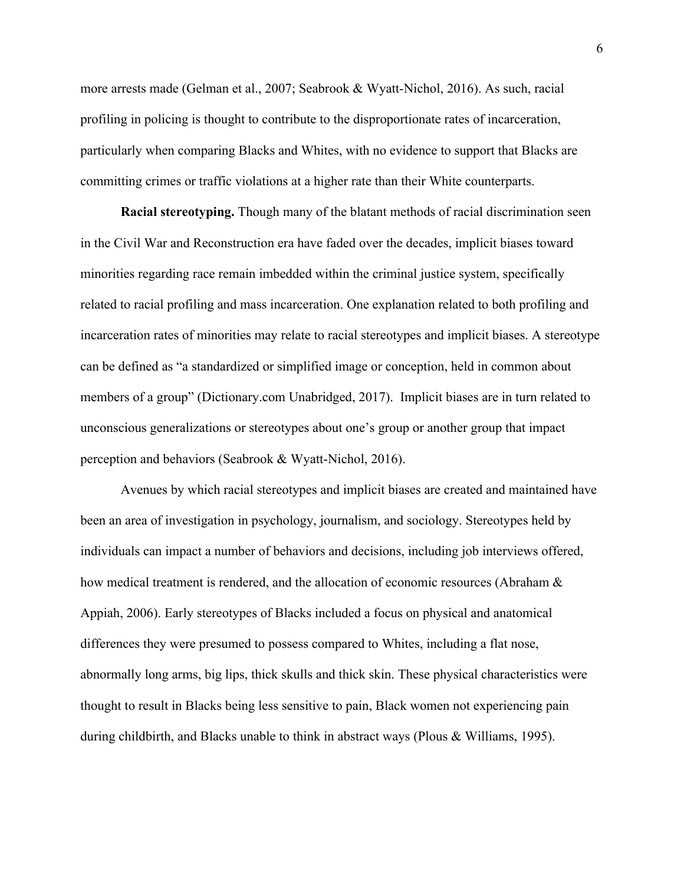more arrests made (Gelman et al., 2007; Seabrook & Wyatt-Nichol, 2016). As such, racial profiling in policing is thought to contribute to the disproportionate rates of incarceration, particularly when comparing Blacks and Whites, with no evidence to support that Blacks are committing crimes or traffic violations at a higher rate than their White counterparts.

**Racial stereotyping.** Though many of the blatant methods of racial discrimination seen in the Civil War and Reconstruction era have faded over the decades, implicit biases toward minorities regarding race remain imbedded within the criminal justice system, specifically related to racial profiling and mass incarceration. One explanation related to both profiling and incarceration rates of minorities may relate to racial stereotypes and implicit biases. A stereotype can be defined as "a standardized or simplified image or conception, held in common about members of a group" (Dictionary.com Unabridged, 2017). Implicit biases are in turn related to unconscious generalizations or stereotypes about one's group or another group that impact perception and behaviors (Seabrook & Wyatt-Nichol, 2016).

Avenues by which racial stereotypes and implicit biases are created and maintained have been an area of investigation in psychology, journalism, and sociology. Stereotypes held by individuals can impact a number of behaviors and decisions, including job interviews offered, how medical treatment is rendered, and the allocation of economic resources (Abraham & Appiah, 2006). Early stereotypes of Blacks included a focus on physical and anatomical differences they were presumed to possess compared to Whites, including a flat nose, abnormally long arms, big lips, thick skulls and thick skin. These physical characteristics were thought to result in Blacks being less sensitive to pain, Black women not experiencing pain during childbirth, and Blacks unable to think in abstract ways (Plous & Williams, 1995).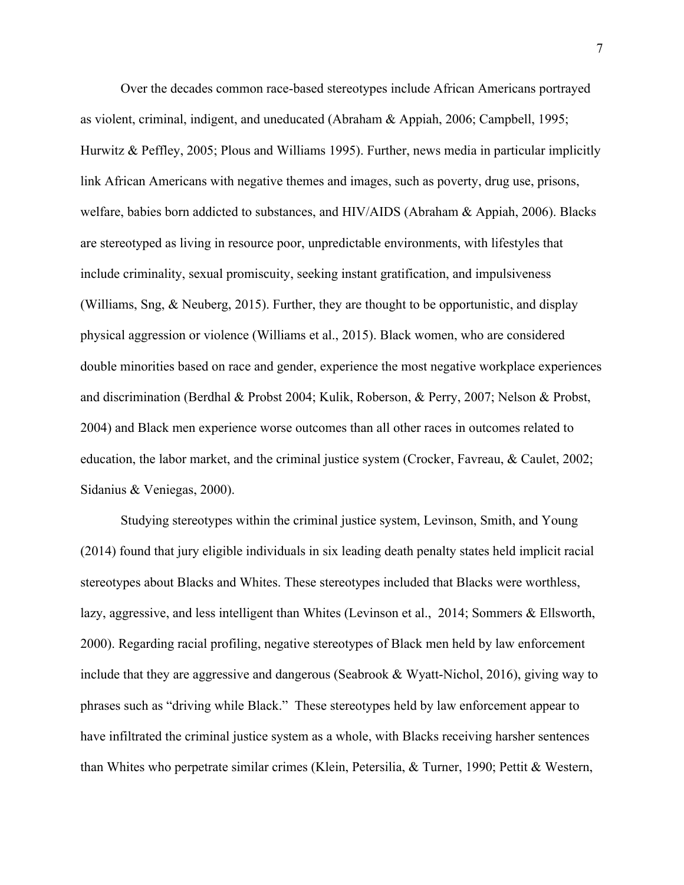Over the decades common race-based stereotypes include African Americans portrayed as violent, criminal, indigent, and uneducated (Abraham & Appiah, 2006; Campbell, 1995; Hurwitz & Peffley, 2005; Plous and Williams 1995). Further, news media in particular implicitly link African Americans with negative themes and images, such as poverty, drug use, prisons, welfare, babies born addicted to substances, and HIV/AIDS (Abraham & Appiah, 2006). Blacks are stereotyped as living in resource poor, unpredictable environments, with lifestyles that include criminality, sexual promiscuity, seeking instant gratification, and impulsiveness (Williams, Sng, & Neuberg, 2015). Further, they are thought to be opportunistic, and display physical aggression or violence (Williams et al., 2015). Black women, who are considered double minorities based on race and gender, experience the most negative workplace experiences and discrimination (Berdhal & Probst 2004; Kulik, Roberson, & Perry, 2007; Nelson & Probst, 2004) and Black men experience worse outcomes than all other races in outcomes related to education, the labor market, and the criminal justice system (Crocker, Favreau, & Caulet, 2002; Sidanius & Veniegas, 2000).

Studying stereotypes within the criminal justice system, Levinson, Smith, and Young (2014) found that jury eligible individuals in six leading death penalty states held implicit racial stereotypes about Blacks and Whites. These stereotypes included that Blacks were worthless, lazy, aggressive, and less intelligent than Whites (Levinson et al., 2014; Sommers & Ellsworth, 2000). Regarding racial profiling, negative stereotypes of Black men held by law enforcement include that they are aggressive and dangerous (Seabrook & Wyatt-Nichol, 2016), giving way to phrases such as "driving while Black." These stereotypes held by law enforcement appear to have infiltrated the criminal justice system as a whole, with Blacks receiving harsher sentences than Whites who perpetrate similar crimes (Klein, Petersilia, & Turner, 1990; Pettit & Western,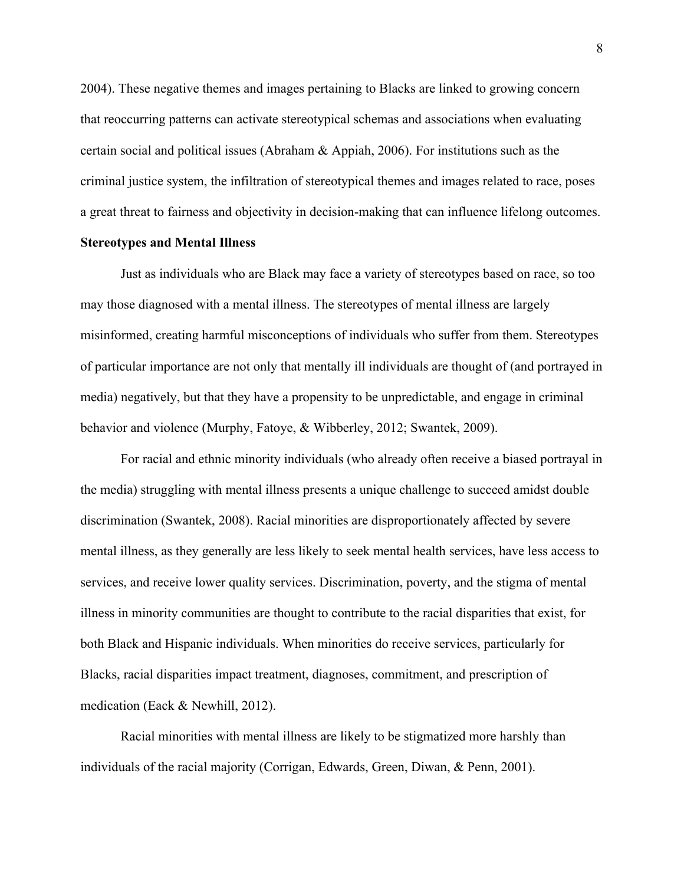2004). These negative themes and images pertaining to Blacks are linked to growing concern that reoccurring patterns can activate stereotypical schemas and associations when evaluating certain social and political issues (Abraham & Appiah, 2006). For institutions such as the criminal justice system, the infiltration of stereotypical themes and images related to race, poses a great threat to fairness and objectivity in decision-making that can influence lifelong outcomes.

### **Stereotypes and Mental Illness**

Just as individuals who are Black may face a variety of stereotypes based on race, so too may those diagnosed with a mental illness. The stereotypes of mental illness are largely misinformed, creating harmful misconceptions of individuals who suffer from them. Stereotypes of particular importance are not only that mentally ill individuals are thought of (and portrayed in media) negatively, but that they have a propensity to be unpredictable, and engage in criminal behavior and violence (Murphy, Fatoye, & Wibberley, 2012; Swantek, 2009).

For racial and ethnic minority individuals (who already often receive a biased portrayal in the media) struggling with mental illness presents a unique challenge to succeed amidst double discrimination (Swantek, 2008). Racial minorities are disproportionately affected by severe mental illness, as they generally are less likely to seek mental health services, have less access to services, and receive lower quality services. Discrimination, poverty, and the stigma of mental illness in minority communities are thought to contribute to the racial disparities that exist, for both Black and Hispanic individuals. When minorities do receive services, particularly for Blacks, racial disparities impact treatment, diagnoses, commitment, and prescription of medication (Eack & Newhill, 2012).

Racial minorities with mental illness are likely to be stigmatized more harshly than individuals of the racial majority (Corrigan, Edwards, Green, Diwan, & Penn, 2001).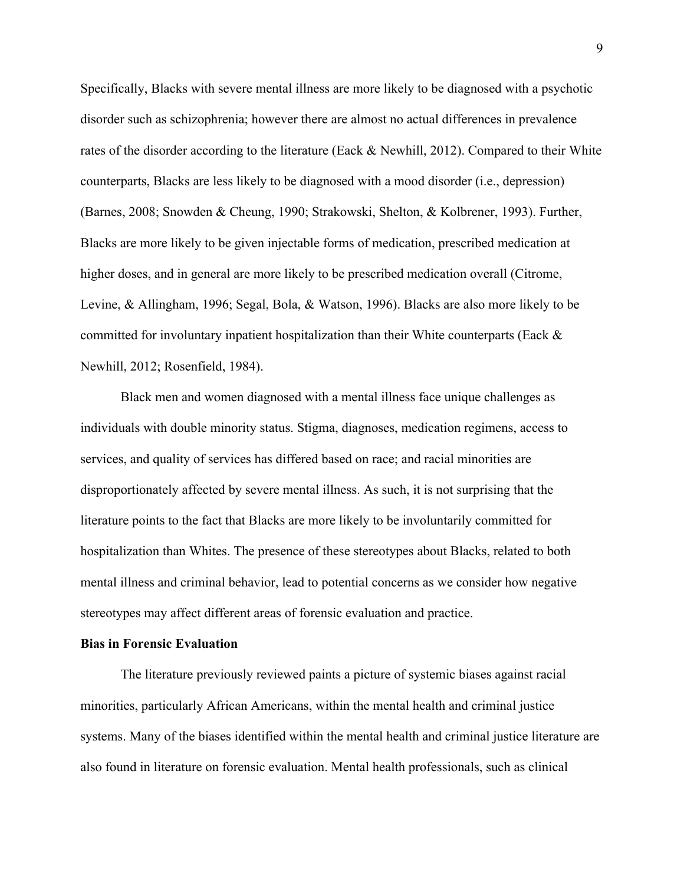Specifically, Blacks with severe mental illness are more likely to be diagnosed with a psychotic disorder such as schizophrenia; however there are almost no actual differences in prevalence rates of the disorder according to the literature (Eack & Newhill, 2012). Compared to their White counterparts, Blacks are less likely to be diagnosed with a mood disorder (i.e., depression) (Barnes, 2008; Snowden & Cheung, 1990; Strakowski, Shelton, & Kolbrener, 1993). Further, Blacks are more likely to be given injectable forms of medication, prescribed medication at higher doses, and in general are more likely to be prescribed medication overall (Citrome, Levine, & Allingham, 1996; Segal, Bola, & Watson, 1996). Blacks are also more likely to be committed for involuntary inpatient hospitalization than their White counterparts (Eack & Newhill, 2012; Rosenfield, 1984).

Black men and women diagnosed with a mental illness face unique challenges as individuals with double minority status. Stigma, diagnoses, medication regimens, access to services, and quality of services has differed based on race; and racial minorities are disproportionately affected by severe mental illness. As such, it is not surprising that the literature points to the fact that Blacks are more likely to be involuntarily committed for hospitalization than Whites. The presence of these stereotypes about Blacks, related to both mental illness and criminal behavior, lead to potential concerns as we consider how negative stereotypes may affect different areas of forensic evaluation and practice.

#### **Bias in Forensic Evaluation**

The literature previously reviewed paints a picture of systemic biases against racial minorities, particularly African Americans, within the mental health and criminal justice systems. Many of the biases identified within the mental health and criminal justice literature are also found in literature on forensic evaluation. Mental health professionals, such as clinical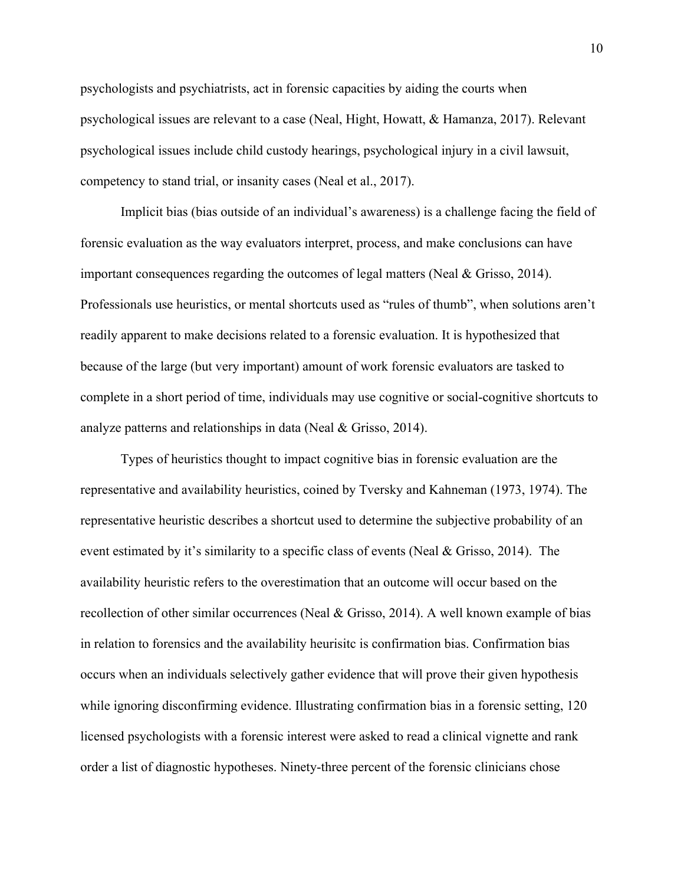psychologists and psychiatrists, act in forensic capacities by aiding the courts when psychological issues are relevant to a case (Neal, Hight, Howatt, & Hamanza, 2017). Relevant psychological issues include child custody hearings, psychological injury in a civil lawsuit, competency to stand trial, or insanity cases (Neal et al., 2017).

Implicit bias (bias outside of an individual's awareness) is a challenge facing the field of forensic evaluation as the way evaluators interpret, process, and make conclusions can have important consequences regarding the outcomes of legal matters (Neal & Grisso, 2014). Professionals use heuristics, or mental shortcuts used as "rules of thumb", when solutions aren't readily apparent to make decisions related to a forensic evaluation. It is hypothesized that because of the large (but very important) amount of work forensic evaluators are tasked to complete in a short period of time, individuals may use cognitive or social-cognitive shortcuts to analyze patterns and relationships in data (Neal & Grisso, 2014).

Types of heuristics thought to impact cognitive bias in forensic evaluation are the representative and availability heuristics, coined by Tversky and Kahneman (1973, 1974). The representative heuristic describes a shortcut used to determine the subjective probability of an event estimated by it's similarity to a specific class of events (Neal & Grisso, 2014). The availability heuristic refers to the overestimation that an outcome will occur based on the recollection of other similar occurrences (Neal & Grisso, 2014). A well known example of bias in relation to forensics and the availability heurisitc is confirmation bias. Confirmation bias occurs when an individuals selectively gather evidence that will prove their given hypothesis while ignoring disconfirming evidence. Illustrating confirmation bias in a forensic setting, 120 licensed psychologists with a forensic interest were asked to read a clinical vignette and rank order a list of diagnostic hypotheses. Ninety-three percent of the forensic clinicians chose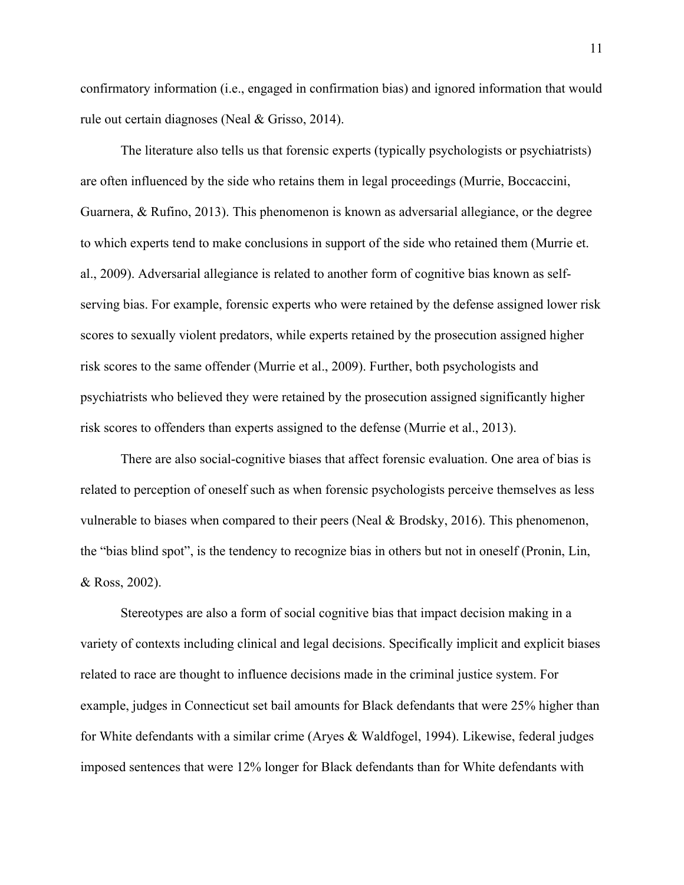confirmatory information (i.e., engaged in confirmation bias) and ignored information that would rule out certain diagnoses (Neal & Grisso, 2014).

The literature also tells us that forensic experts (typically psychologists or psychiatrists) are often influenced by the side who retains them in legal proceedings (Murrie, Boccaccini, Guarnera, & Rufino, 2013). This phenomenon is known as adversarial allegiance, or the degree to which experts tend to make conclusions in support of the side who retained them (Murrie et. al., 2009). Adversarial allegiance is related to another form of cognitive bias known as selfserving bias. For example, forensic experts who were retained by the defense assigned lower risk scores to sexually violent predators, while experts retained by the prosecution assigned higher risk scores to the same offender (Murrie et al., 2009). Further, both psychologists and psychiatrists who believed they were retained by the prosecution assigned significantly higher risk scores to offenders than experts assigned to the defense (Murrie et al., 2013).

There are also social-cognitive biases that affect forensic evaluation. One area of bias is related to perception of oneself such as when forensic psychologists perceive themselves as less vulnerable to biases when compared to their peers (Neal & Brodsky, 2016). This phenomenon, the "bias blind spot", is the tendency to recognize bias in others but not in oneself (Pronin, Lin, & Ross, 2002).

Stereotypes are also a form of social cognitive bias that impact decision making in a variety of contexts including clinical and legal decisions. Specifically implicit and explicit biases related to race are thought to influence decisions made in the criminal justice system. For example, judges in Connecticut set bail amounts for Black defendants that were 25% higher than for White defendants with a similar crime (Aryes & Waldfogel, 1994). Likewise, federal judges imposed sentences that were 12% longer for Black defendants than for White defendants with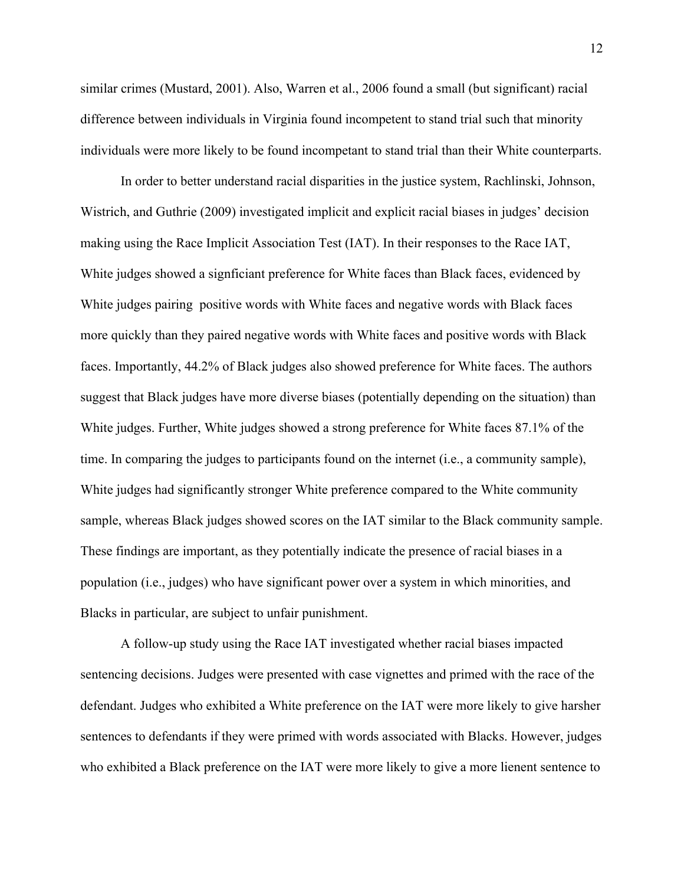similar crimes (Mustard, 2001). Also, Warren et al., 2006 found a small (but significant) racial difference between individuals in Virginia found incompetent to stand trial such that minority individuals were more likely to be found incompetant to stand trial than their White counterparts.

In order to better understand racial disparities in the justice system, Rachlinski, Johnson, Wistrich, and Guthrie (2009) investigated implicit and explicit racial biases in judges' decision making using the Race Implicit Association Test (IAT). In their responses to the Race IAT, White judges showed a signficiant preference for White faces than Black faces, evidenced by White judges pairing positive words with White faces and negative words with Black faces more quickly than they paired negative words with White faces and positive words with Black faces. Importantly, 44.2% of Black judges also showed preference for White faces. The authors suggest that Black judges have more diverse biases (potentially depending on the situation) than White judges. Further, White judges showed a strong preference for White faces 87.1% of the time. In comparing the judges to participants found on the internet (i.e., a community sample), White judges had significantly stronger White preference compared to the White community sample, whereas Black judges showed scores on the IAT similar to the Black community sample. These findings are important, as they potentially indicate the presence of racial biases in a population (i.e., judges) who have significant power over a system in which minorities, and Blacks in particular, are subject to unfair punishment.

A follow-up study using the Race IAT investigated whether racial biases impacted sentencing decisions. Judges were presented with case vignettes and primed with the race of the defendant. Judges who exhibited a White preference on the IAT were more likely to give harsher sentences to defendants if they were primed with words associated with Blacks. However, judges who exhibited a Black preference on the IAT were more likely to give a more lienent sentence to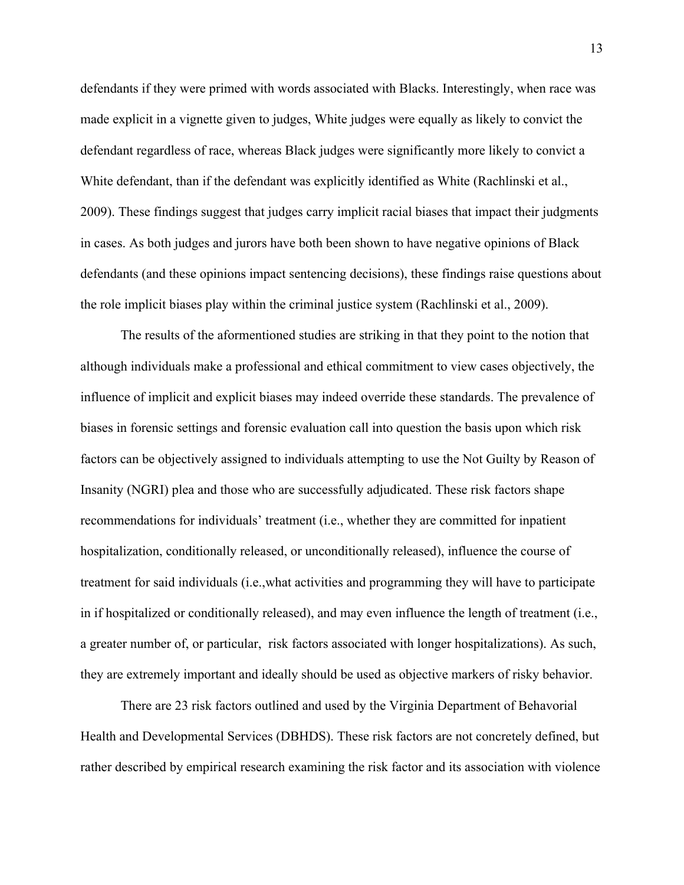defendants if they were primed with words associated with Blacks. Interestingly, when race was made explicit in a vignette given to judges, White judges were equally as likely to convict the defendant regardless of race, whereas Black judges were significantly more likely to convict a White defendant, than if the defendant was explicitly identified as White (Rachlinski et al., 2009). These findings suggest that judges carry implicit racial biases that impact their judgments in cases. As both judges and jurors have both been shown to have negative opinions of Black defendants (and these opinions impact sentencing decisions), these findings raise questions about the role implicit biases play within the criminal justice system (Rachlinski et al., 2009).

The results of the aformentioned studies are striking in that they point to the notion that although individuals make a professional and ethical commitment to view cases objectively, the influence of implicit and explicit biases may indeed override these standards. The prevalence of biases in forensic settings and forensic evaluation call into question the basis upon which risk factors can be objectively assigned to individuals attempting to use the Not Guilty by Reason of Insanity (NGRI) plea and those who are successfully adjudicated. These risk factors shape recommendations for individuals' treatment (i.e., whether they are committed for inpatient hospitalization, conditionally released, or unconditionally released), influence the course of treatment for said individuals (i.e.,what activities and programming they will have to participate in if hospitalized or conditionally released), and may even influence the length of treatment (i.e., a greater number of, or particular, risk factors associated with longer hospitalizations). As such, they are extremely important and ideally should be used as objective markers of risky behavior.

There are 23 risk factors outlined and used by the Virginia Department of Behavorial Health and Developmental Services (DBHDS). These risk factors are not concretely defined, but rather described by empirical research examining the risk factor and its association with violence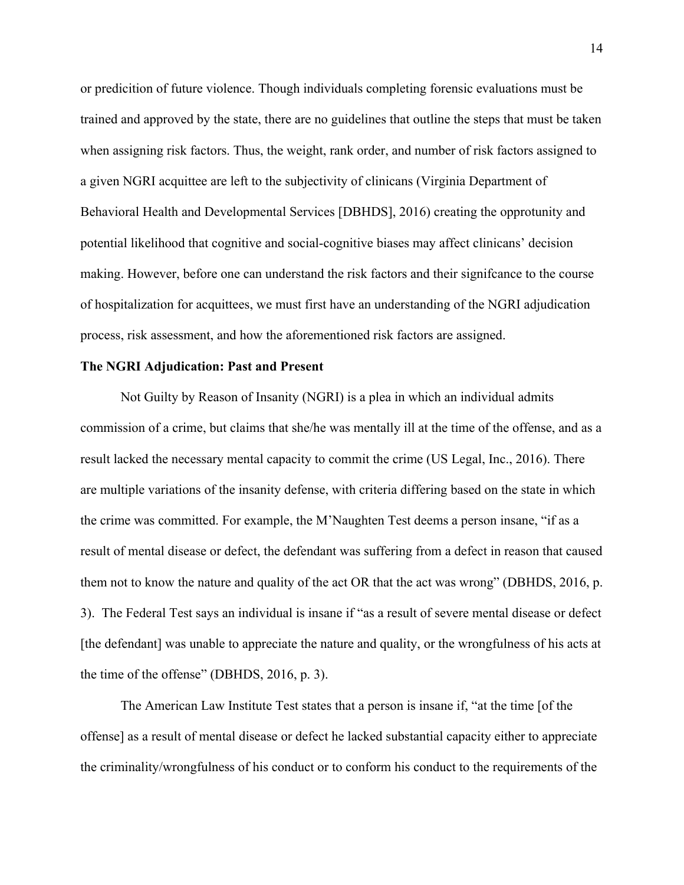or predicition of future violence. Though individuals completing forensic evaluations must be trained and approved by the state, there are no guidelines that outline the steps that must be taken when assigning risk factors. Thus, the weight, rank order, and number of risk factors assigned to a given NGRI acquittee are left to the subjectivity of clinicans (Virginia Department of Behavioral Health and Developmental Services [DBHDS], 2016) creating the opprotunity and potential likelihood that cognitive and social-cognitive biases may affect clinicans' decision making. However, before one can understand the risk factors and their signifcance to the course of hospitalization for acquittees, we must first have an understanding of the NGRI adjudication process, risk assessment, and how the aforementioned risk factors are assigned.

#### **The NGRI Adjudication: Past and Present**

Not Guilty by Reason of Insanity (NGRI) is a plea in which an individual admits commission of a crime, but claims that she/he was mentally ill at the time of the offense, and as a result lacked the necessary mental capacity to commit the crime (US Legal, Inc., 2016). There are multiple variations of the insanity defense, with criteria differing based on the state in which the crime was committed. For example, the M'Naughten Test deems a person insane, "if as a result of mental disease or defect, the defendant was suffering from a defect in reason that caused them not to know the nature and quality of the act OR that the act was wrong" (DBHDS, 2016, p. 3). The Federal Test says an individual is insane if "as a result of severe mental disease or defect [the defendant] was unable to appreciate the nature and quality, or the wrongfulness of his acts at the time of the offense" (DBHDS, 2016, p. 3).

The American Law Institute Test states that a person is insane if, "at the time [of the offense] as a result of mental disease or defect he lacked substantial capacity either to appreciate the criminality/wrongfulness of his conduct or to conform his conduct to the requirements of the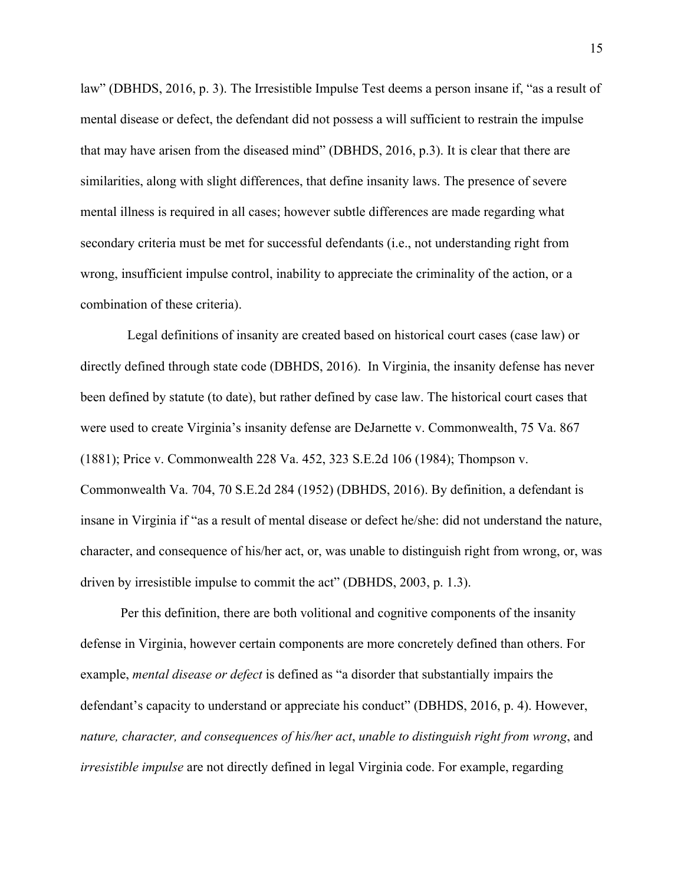law" (DBHDS, 2016, p. 3). The Irresistible Impulse Test deems a person insane if, "as a result of mental disease or defect, the defendant did not possess a will sufficient to restrain the impulse that may have arisen from the diseased mind" (DBHDS, 2016, p.3). It is clear that there are similarities, along with slight differences, that define insanity laws. The presence of severe mental illness is required in all cases; however subtle differences are made regarding what secondary criteria must be met for successful defendants (i.e., not understanding right from wrong, insufficient impulse control, inability to appreciate the criminality of the action, or a combination of these criteria).

 Legal definitions of insanity are created based on historical court cases (case law) or directly defined through state code (DBHDS, 2016). In Virginia, the insanity defense has never been defined by statute (to date), but rather defined by case law. The historical court cases that were used to create Virginia's insanity defense are DeJarnette v. Commonwealth, 75 Va. 867 (1881); Price v. Commonwealth 228 Va. 452, 323 S.E.2d 106 (1984); Thompson v. Commonwealth Va. 704, 70 S.E.2d 284 (1952) (DBHDS, 2016). By definition, a defendant is insane in Virginia if "as a result of mental disease or defect he/she: did not understand the nature, character, and consequence of his/her act, or, was unable to distinguish right from wrong, or, was driven by irresistible impulse to commit the act" (DBHDS, 2003, p. 1.3).

Per this definition, there are both volitional and cognitive components of the insanity defense in Virginia, however certain components are more concretely defined than others. For example, *mental disease or defect* is defined as "a disorder that substantially impairs the defendant's capacity to understand or appreciate his conduct" (DBHDS, 2016, p. 4). However, *nature, character, and consequences of his/her act*, *unable to distinguish right from wrong*, and *irresistible impulse* are not directly defined in legal Virginia code. For example, regarding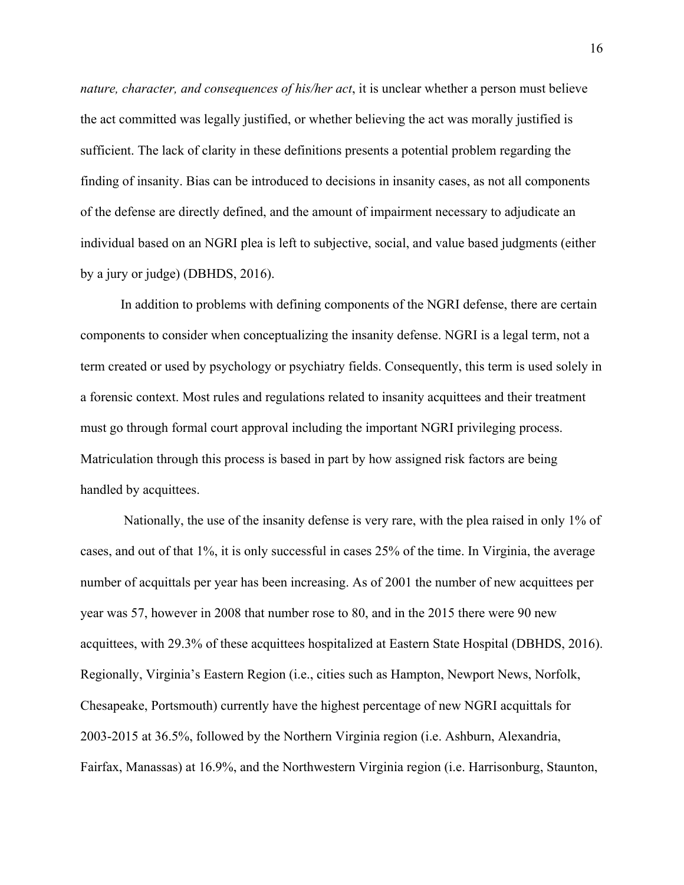*nature, character, and consequences of his/her act*, it is unclear whether a person must believe the act committed was legally justified, or whether believing the act was morally justified is sufficient. The lack of clarity in these definitions presents a potential problem regarding the finding of insanity. Bias can be introduced to decisions in insanity cases, as not all components of the defense are directly defined, and the amount of impairment necessary to adjudicate an individual based on an NGRI plea is left to subjective, social, and value based judgments (either by a jury or judge) (DBHDS, 2016).

In addition to problems with defining components of the NGRI defense, there are certain components to consider when conceptualizing the insanity defense. NGRI is a legal term, not a term created or used by psychology or psychiatry fields. Consequently, this term is used solely in a forensic context. Most rules and regulations related to insanity acquittees and their treatment must go through formal court approval including the important NGRI privileging process. Matriculation through this process is based in part by how assigned risk factors are being handled by acquittees.

Nationally, the use of the insanity defense is very rare, with the plea raised in only 1% of cases, and out of that 1%, it is only successful in cases 25% of the time. In Virginia, the average number of acquittals per year has been increasing. As of 2001 the number of new acquittees per year was 57, however in 2008 that number rose to 80, and in the 2015 there were 90 new acquittees, with 29.3% of these acquittees hospitalized at Eastern State Hospital (DBHDS, 2016). Regionally, Virginia's Eastern Region (i.e., cities such as Hampton, Newport News, Norfolk, Chesapeake, Portsmouth) currently have the highest percentage of new NGRI acquittals for 2003-2015 at 36.5%, followed by the Northern Virginia region (i.e. Ashburn, Alexandria, Fairfax, Manassas) at 16.9%, and the Northwestern Virginia region (i.e. Harrisonburg, Staunton,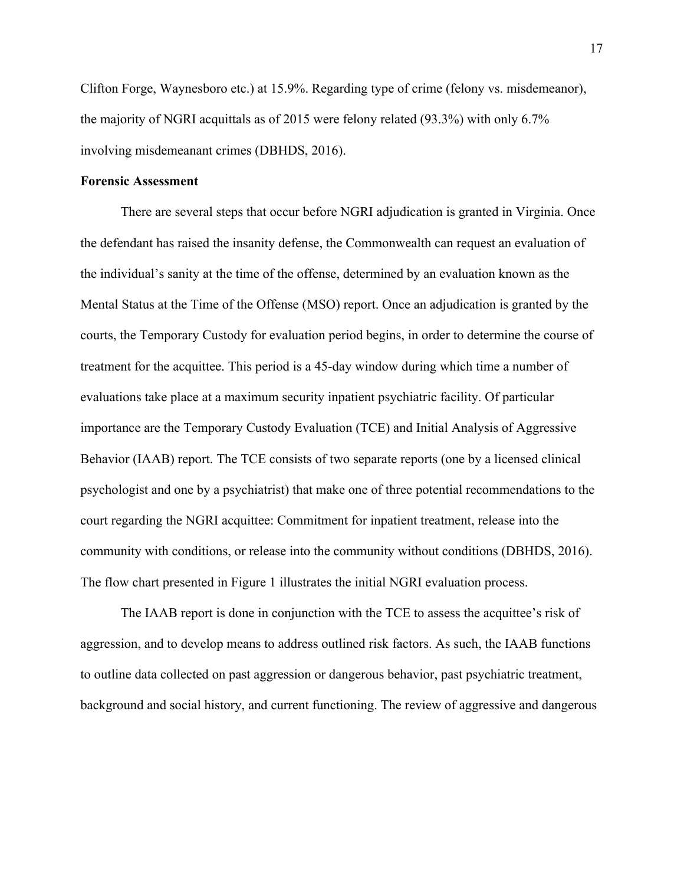Clifton Forge, Waynesboro etc.) at 15.9%. Regarding type of crime (felony vs. misdemeanor), the majority of NGRI acquittals as of 2015 were felony related (93.3%) with only 6.7% involving misdemeanant crimes (DBHDS, 2016).

### **Forensic Assessment**

There are several steps that occur before NGRI adjudication is granted in Virginia. Once the defendant has raised the insanity defense, the Commonwealth can request an evaluation of the individual's sanity at the time of the offense, determined by an evaluation known as the Mental Status at the Time of the Offense (MSO) report. Once an adjudication is granted by the courts, the Temporary Custody for evaluation period begins, in order to determine the course of treatment for the acquittee. This period is a 45-day window during which time a number of evaluations take place at a maximum security inpatient psychiatric facility. Of particular importance are the Temporary Custody Evaluation (TCE) and Initial Analysis of Aggressive Behavior (IAAB) report. The TCE consists of two separate reports (one by a licensed clinical psychologist and one by a psychiatrist) that make one of three potential recommendations to the court regarding the NGRI acquittee: Commitment for inpatient treatment, release into the community with conditions, or release into the community without conditions (DBHDS, 2016). The flow chart presented in Figure 1 illustrates the initial NGRI evaluation process.

The IAAB report is done in conjunction with the TCE to assess the acquittee's risk of aggression, and to develop means to address outlined risk factors. As such, the IAAB functions to outline data collected on past aggression or dangerous behavior, past psychiatric treatment, background and social history, and current functioning. The review of aggressive and dangerous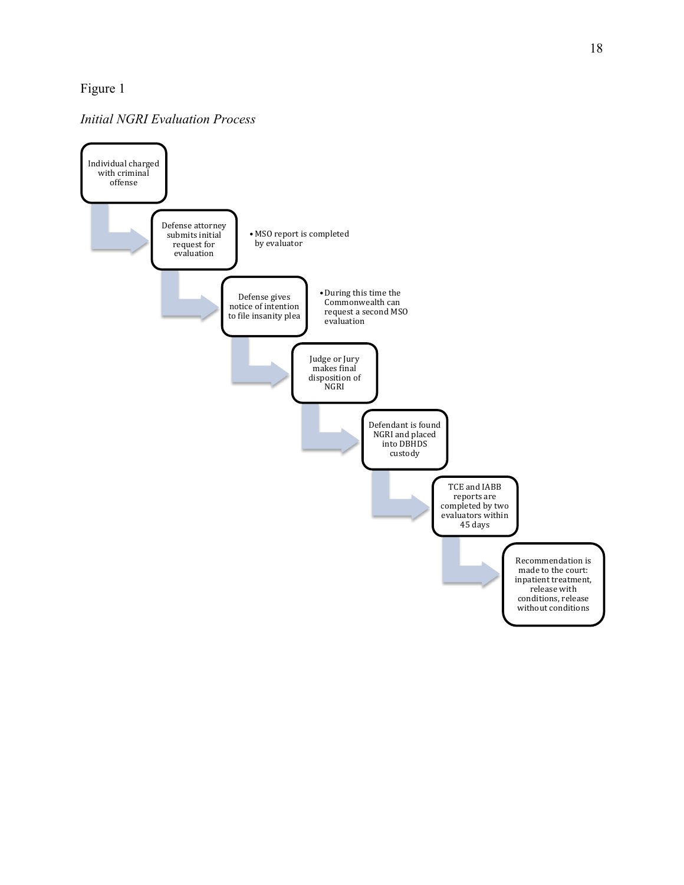### Figure 1

### *Initial NGRI Evaluation Process*

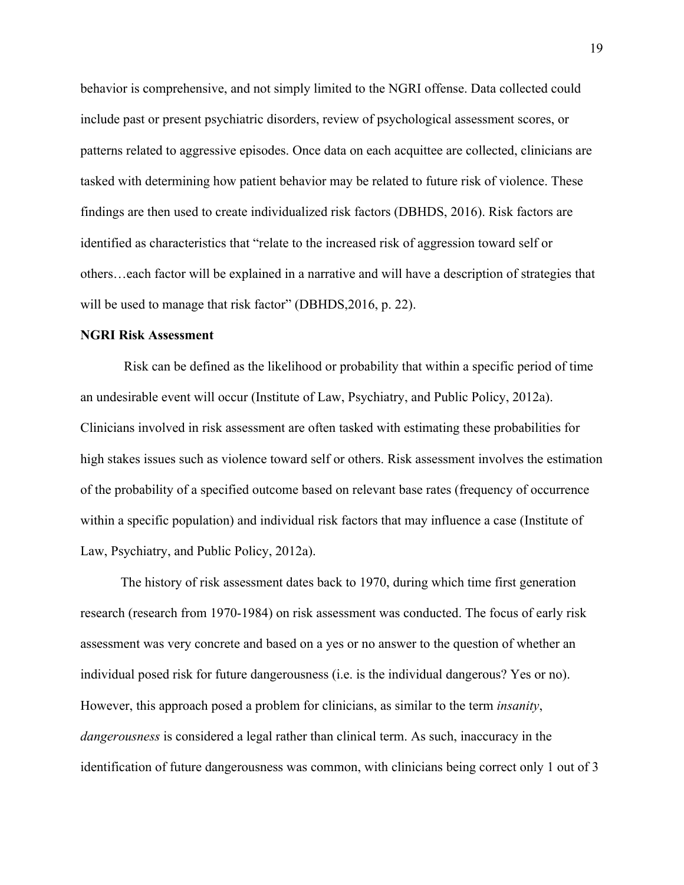behavior is comprehensive, and not simply limited to the NGRI offense. Data collected could include past or present psychiatric disorders, review of psychological assessment scores, or patterns related to aggressive episodes. Once data on each acquittee are collected, clinicians are tasked with determining how patient behavior may be related to future risk of violence. These findings are then used to create individualized risk factors (DBHDS, 2016). Risk factors are identified as characteristics that "relate to the increased risk of aggression toward self or others…each factor will be explained in a narrative and will have a description of strategies that will be used to manage that risk factor" (DBHDS, 2016, p. 22).

#### **NGRI Risk Assessment**

Risk can be defined as the likelihood or probability that within a specific period of time an undesirable event will occur (Institute of Law, Psychiatry, and Public Policy, 2012a). Clinicians involved in risk assessment are often tasked with estimating these probabilities for high stakes issues such as violence toward self or others. Risk assessment involves the estimation of the probability of a specified outcome based on relevant base rates (frequency of occurrence within a specific population) and individual risk factors that may influence a case (Institute of Law, Psychiatry, and Public Policy, 2012a).

The history of risk assessment dates back to 1970, during which time first generation research (research from 1970-1984) on risk assessment was conducted. The focus of early risk assessment was very concrete and based on a yes or no answer to the question of whether an individual posed risk for future dangerousness (i.e. is the individual dangerous? Yes or no). However, this approach posed a problem for clinicians, as similar to the term *insanity*, *dangerousness* is considered a legal rather than clinical term. As such, inaccuracy in the identification of future dangerousness was common, with clinicians being correct only 1 out of 3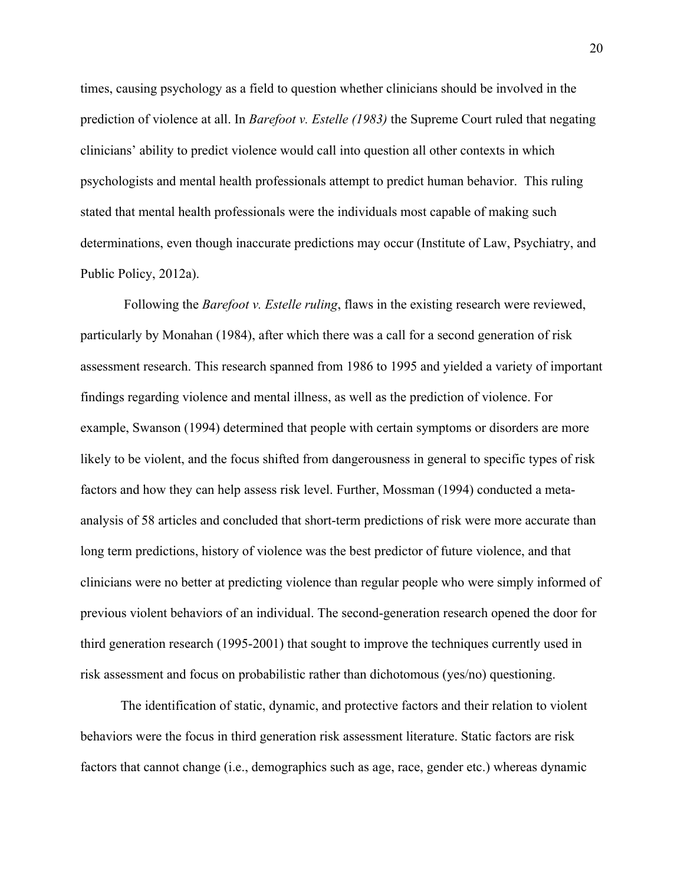times, causing psychology as a field to question whether clinicians should be involved in the prediction of violence at all. In *Barefoot v. Estelle (1983)* the Supreme Court ruled that negating clinicians' ability to predict violence would call into question all other contexts in which psychologists and mental health professionals attempt to predict human behavior. This ruling stated that mental health professionals were the individuals most capable of making such determinations, even though inaccurate predictions may occur (Institute of Law, Psychiatry, and Public Policy, 2012a).

Following the *Barefoot v. Estelle ruling*, flaws in the existing research were reviewed, particularly by Monahan (1984), after which there was a call for a second generation of risk assessment research. This research spanned from 1986 to 1995 and yielded a variety of important findings regarding violence and mental illness, as well as the prediction of violence. For example, Swanson (1994) determined that people with certain symptoms or disorders are more likely to be violent, and the focus shifted from dangerousness in general to specific types of risk factors and how they can help assess risk level. Further, Mossman (1994) conducted a metaanalysis of 58 articles and concluded that short-term predictions of risk were more accurate than long term predictions, history of violence was the best predictor of future violence, and that clinicians were no better at predicting violence than regular people who were simply informed of previous violent behaviors of an individual. The second-generation research opened the door for third generation research (1995-2001) that sought to improve the techniques currently used in risk assessment and focus on probabilistic rather than dichotomous (yes/no) questioning.

The identification of static, dynamic, and protective factors and their relation to violent behaviors were the focus in third generation risk assessment literature. Static factors are risk factors that cannot change (i.e., demographics such as age, race, gender etc.) whereas dynamic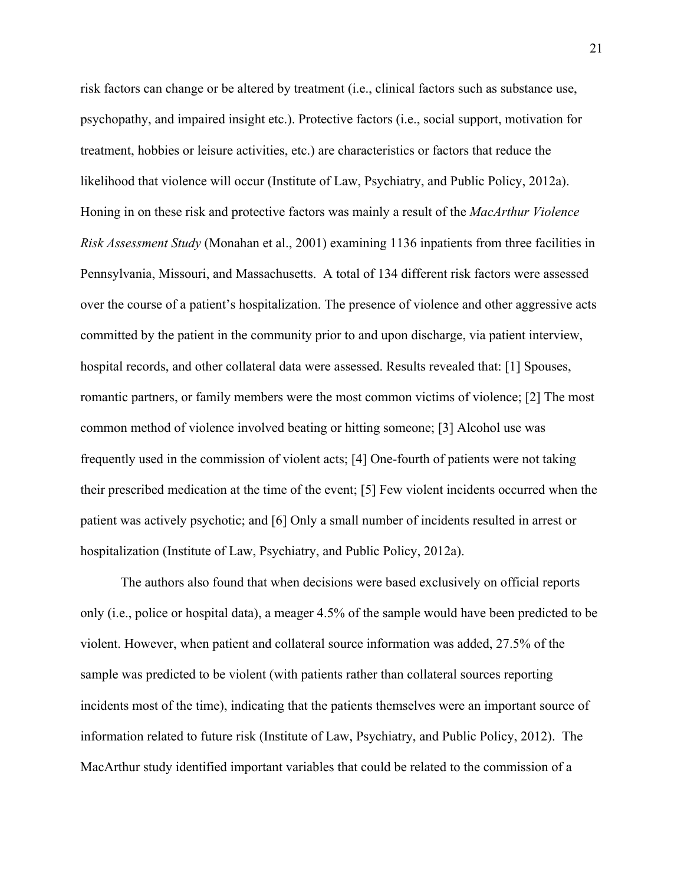risk factors can change or be altered by treatment (i.e., clinical factors such as substance use, psychopathy, and impaired insight etc.). Protective factors (i.e., social support, motivation for treatment, hobbies or leisure activities, etc.) are characteristics or factors that reduce the likelihood that violence will occur (Institute of Law, Psychiatry, and Public Policy, 2012a). Honing in on these risk and protective factors was mainly a result of the *MacArthur Violence Risk Assessment Study* (Monahan et al., 2001) examining 1136 inpatients from three facilities in Pennsylvania, Missouri, and Massachusetts. A total of 134 different risk factors were assessed over the course of a patient's hospitalization. The presence of violence and other aggressive acts committed by the patient in the community prior to and upon discharge, via patient interview, hospital records, and other collateral data were assessed. Results revealed that: [1] Spouses, romantic partners, or family members were the most common victims of violence; [2] The most common method of violence involved beating or hitting someone; [3] Alcohol use was frequently used in the commission of violent acts; [4] One-fourth of patients were not taking their prescribed medication at the time of the event; [5] Few violent incidents occurred when the patient was actively psychotic; and [6] Only a small number of incidents resulted in arrest or hospitalization (Institute of Law, Psychiatry, and Public Policy, 2012a).

The authors also found that when decisions were based exclusively on official reports only (i.e., police or hospital data), a meager 4.5% of the sample would have been predicted to be violent. However, when patient and collateral source information was added, 27.5% of the sample was predicted to be violent (with patients rather than collateral sources reporting incidents most of the time), indicating that the patients themselves were an important source of information related to future risk (Institute of Law, Psychiatry, and Public Policy, 2012). The MacArthur study identified important variables that could be related to the commission of a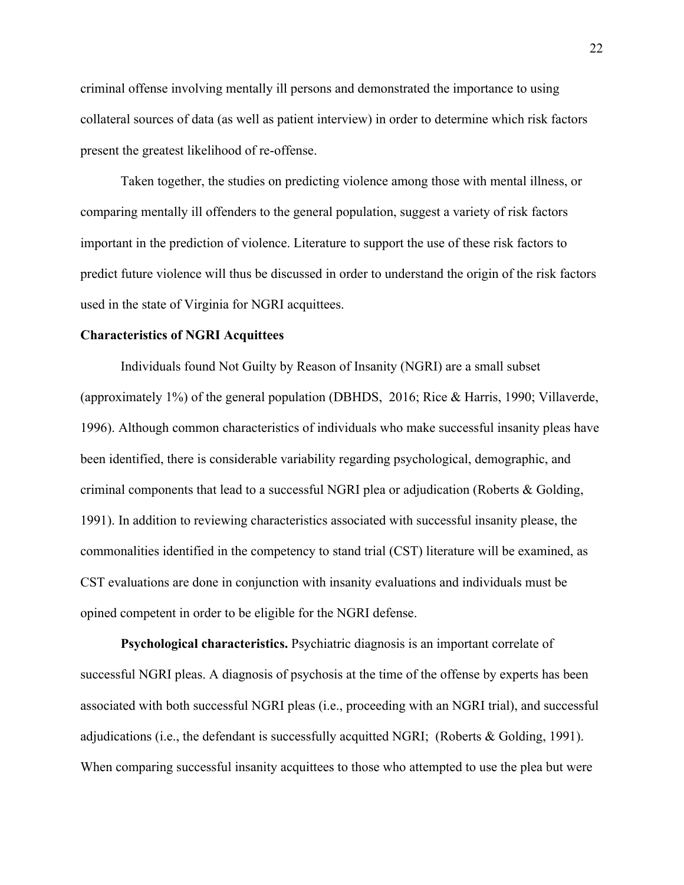criminal offense involving mentally ill persons and demonstrated the importance to using collateral sources of data (as well as patient interview) in order to determine which risk factors present the greatest likelihood of re-offense.

Taken together, the studies on predicting violence among those with mental illness, or comparing mentally ill offenders to the general population, suggest a variety of risk factors important in the prediction of violence. Literature to support the use of these risk factors to predict future violence will thus be discussed in order to understand the origin of the risk factors used in the state of Virginia for NGRI acquittees.

#### **Characteristics of NGRI Acquittees**

Individuals found Not Guilty by Reason of Insanity (NGRI) are a small subset (approximately 1%) of the general population (DBHDS, 2016; Rice & Harris, 1990; Villaverde, 1996). Although common characteristics of individuals who make successful insanity pleas have been identified, there is considerable variability regarding psychological, demographic, and criminal components that lead to a successful NGRI plea or adjudication (Roberts & Golding, 1991). In addition to reviewing characteristics associated with successful insanity please, the commonalities identified in the competency to stand trial (CST) literature will be examined, as CST evaluations are done in conjunction with insanity evaluations and individuals must be opined competent in order to be eligible for the NGRI defense.

**Psychological characteristics.** Psychiatric diagnosis is an important correlate of successful NGRI pleas. A diagnosis of psychosis at the time of the offense by experts has been associated with both successful NGRI pleas (i.e., proceeding with an NGRI trial), and successful adjudications (i.e., the defendant is successfully acquitted NGRI; (Roberts & Golding, 1991). When comparing successful insanity acquittees to those who attempted to use the plea but were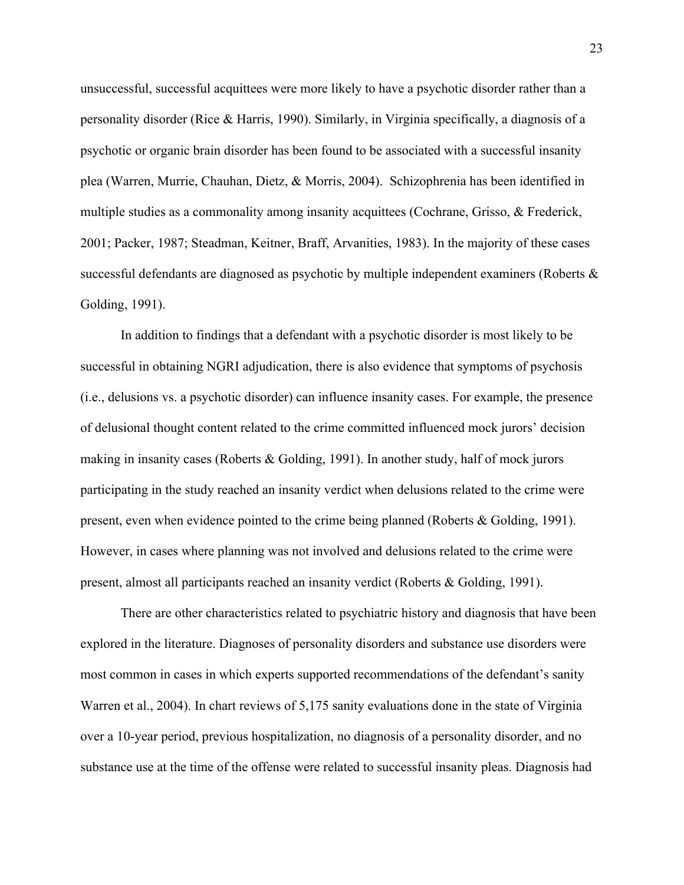unsuccessful, successful acquittees were more likely to have a psychotic disorder rather than a personality disorder (Rice & Harris, 1990). Similarly, in Virginia specifically, a diagnosis of a psychotic or organic brain disorder has been found to be associated with a successful insanity plea (Warren, Murrie, Chauhan, Dietz, & Morris, 2004). Schizophrenia has been identified in multiple studies as a commonality among insanity acquittees (Cochrane, Grisso, & Frederick, 2001; Packer, 1987; Steadman, Keitner, Braff, Arvanities, 1983). In the majority of these cases successful defendants are diagnosed as psychotic by multiple independent examiners (Roberts & Golding, 1991).

In addition to findings that a defendant with a psychotic disorder is most likely to be successful in obtaining NGRI adjudication, there is also evidence that symptoms of psychosis (i.e., delusions vs. a psychotic disorder) can influence insanity cases. For example, the presence of delusional thought content related to the crime committed influenced mock jurors' decision making in insanity cases (Roberts & Golding, 1991). In another study, half of mock jurors participating in the study reached an insanity verdict when delusions related to the crime were present, even when evidence pointed to the crime being planned (Roberts & Golding, 1991). However, in cases where planning was not involved and delusions related to the crime were present, almost all participants reached an insanity verdict (Roberts & Golding, 1991).

There are other characteristics related to psychiatric history and diagnosis that have been explored in the literature. Diagnoses of personality disorders and substance use disorders were most common in cases in which experts supported recommendations of the defendant's sanity Warren et al., 2004). In chart reviews of 5,175 sanity evaluations done in the state of Virginia over a 10-year period, previous hospitalization, no diagnosis of a personality disorder, and no substance use at the time of the offense were related to successful insanity pleas. Diagnosis had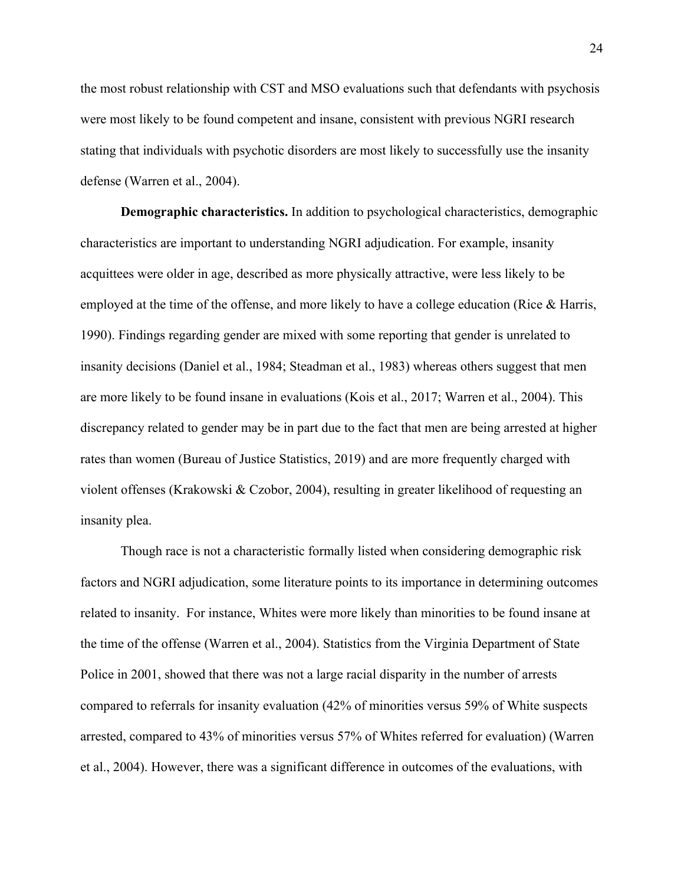the most robust relationship with CST and MSO evaluations such that defendants with psychosis were most likely to be found competent and insane, consistent with previous NGRI research stating that individuals with psychotic disorders are most likely to successfully use the insanity defense (Warren et al., 2004).

**Demographic characteristics.** In addition to psychological characteristics, demographic characteristics are important to understanding NGRI adjudication. For example, insanity acquittees were older in age, described as more physically attractive, were less likely to be employed at the time of the offense, and more likely to have a college education (Rice & Harris, 1990). Findings regarding gender are mixed with some reporting that gender is unrelated to insanity decisions (Daniel et al., 1984; Steadman et al., 1983) whereas others suggest that men are more likely to be found insane in evaluations (Kois et al., 2017; Warren et al., 2004). This discrepancy related to gender may be in part due to the fact that men are being arrested at higher rates than women (Bureau of Justice Statistics, 2019) and are more frequently charged with violent offenses (Krakowski & Czobor, 2004), resulting in greater likelihood of requesting an insanity plea.

Though race is not a characteristic formally listed when considering demographic risk factors and NGRI adjudication, some literature points to its importance in determining outcomes related to insanity. For instance, Whites were more likely than minorities to be found insane at the time of the offense (Warren et al., 2004). Statistics from the Virginia Department of State Police in 2001, showed that there was not a large racial disparity in the number of arrests compared to referrals for insanity evaluation (42% of minorities versus 59% of White suspects arrested, compared to 43% of minorities versus 57% of Whites referred for evaluation) (Warren et al., 2004). However, there was a significant difference in outcomes of the evaluations, with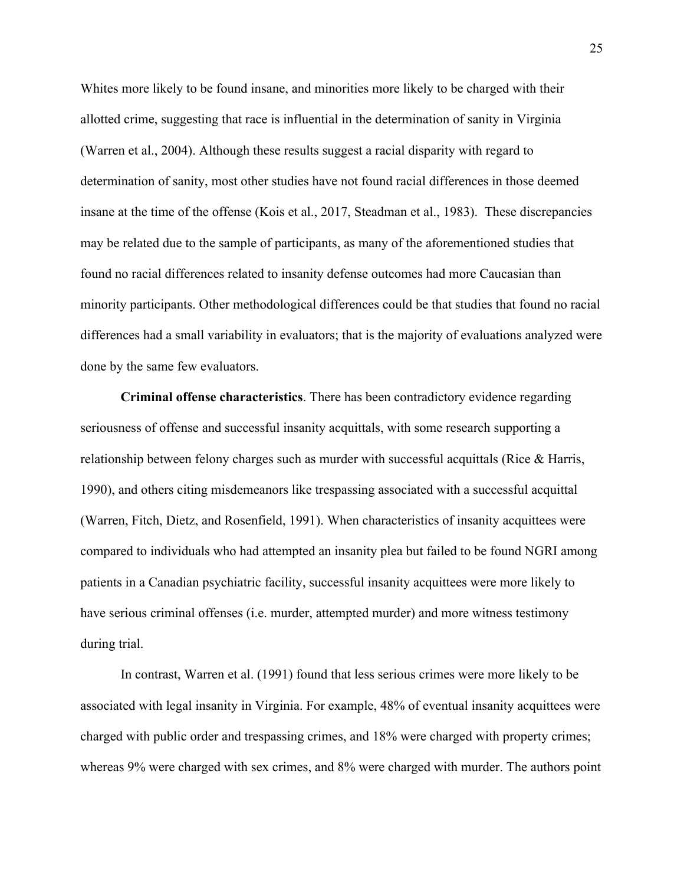Whites more likely to be found insane, and minorities more likely to be charged with their allotted crime, suggesting that race is influential in the determination of sanity in Virginia (Warren et al., 2004). Although these results suggest a racial disparity with regard to determination of sanity, most other studies have not found racial differences in those deemed insane at the time of the offense (Kois et al., 2017, Steadman et al., 1983). These discrepancies may be related due to the sample of participants, as many of the aforementioned studies that found no racial differences related to insanity defense outcomes had more Caucasian than minority participants. Other methodological differences could be that studies that found no racial differences had a small variability in evaluators; that is the majority of evaluations analyzed were done by the same few evaluators.

**Criminal offense characteristics**. There has been contradictory evidence regarding seriousness of offense and successful insanity acquittals, with some research supporting a relationship between felony charges such as murder with successful acquittals (Rice & Harris, 1990), and others citing misdemeanors like trespassing associated with a successful acquittal (Warren, Fitch, Dietz, and Rosenfield, 1991). When characteristics of insanity acquittees were compared to individuals who had attempted an insanity plea but failed to be found NGRI among patients in a Canadian psychiatric facility, successful insanity acquittees were more likely to have serious criminal offenses (i.e. murder, attempted murder) and more witness testimony during trial.

In contrast, Warren et al. (1991) found that less serious crimes were more likely to be associated with legal insanity in Virginia. For example, 48% of eventual insanity acquittees were charged with public order and trespassing crimes, and 18% were charged with property crimes; whereas 9% were charged with sex crimes, and 8% were charged with murder. The authors point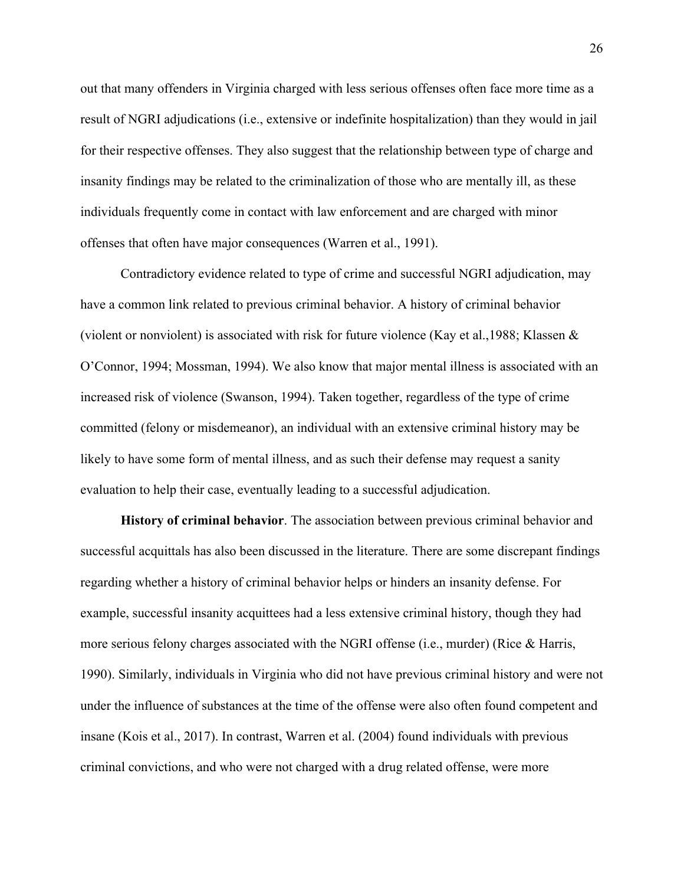out that many offenders in Virginia charged with less serious offenses often face more time as a result of NGRI adjudications (i.e., extensive or indefinite hospitalization) than they would in jail for their respective offenses. They also suggest that the relationship between type of charge and insanity findings may be related to the criminalization of those who are mentally ill, as these individuals frequently come in contact with law enforcement and are charged with minor offenses that often have major consequences (Warren et al., 1991).

Contradictory evidence related to type of crime and successful NGRI adjudication, may have a common link related to previous criminal behavior. A history of criminal behavior (violent or nonviolent) is associated with risk for future violence (Kay et al., 1988; Klassen  $\&$ O'Connor, 1994; Mossman, 1994). We also know that major mental illness is associated with an increased risk of violence (Swanson, 1994). Taken together, regardless of the type of crime committed (felony or misdemeanor), an individual with an extensive criminal history may be likely to have some form of mental illness, and as such their defense may request a sanity evaluation to help their case, eventually leading to a successful adjudication.

**History of criminal behavior**. The association between previous criminal behavior and successful acquittals has also been discussed in the literature. There are some discrepant findings regarding whether a history of criminal behavior helps or hinders an insanity defense. For example, successful insanity acquittees had a less extensive criminal history, though they had more serious felony charges associated with the NGRI offense (i.e., murder) (Rice & Harris, 1990). Similarly, individuals in Virginia who did not have previous criminal history and were not under the influence of substances at the time of the offense were also often found competent and insane (Kois et al., 2017). In contrast, Warren et al. (2004) found individuals with previous criminal convictions, and who were not charged with a drug related offense, were more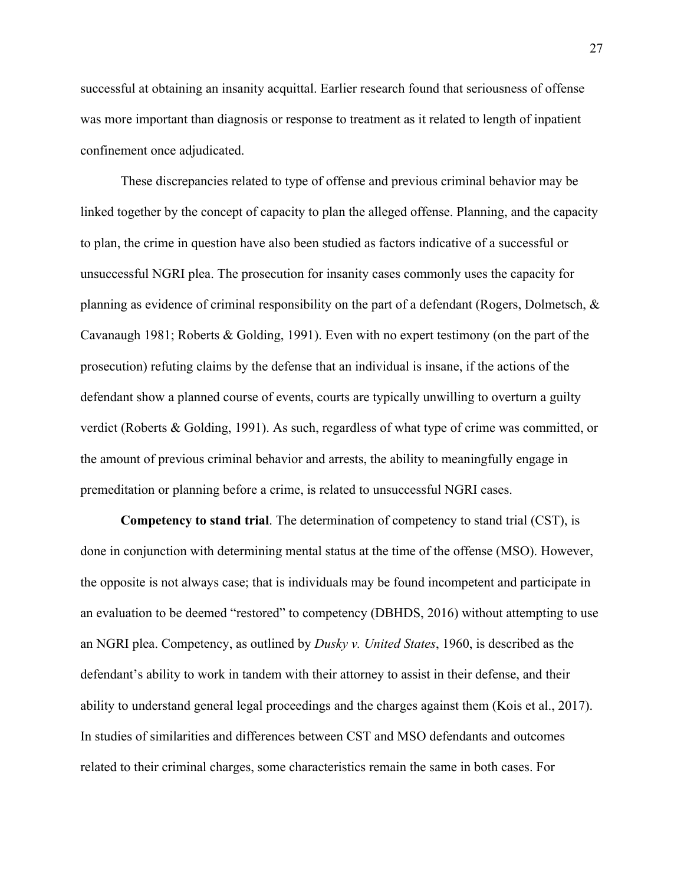successful at obtaining an insanity acquittal. Earlier research found that seriousness of offense was more important than diagnosis or response to treatment as it related to length of inpatient confinement once adjudicated.

These discrepancies related to type of offense and previous criminal behavior may be linked together by the concept of capacity to plan the alleged offense. Planning, and the capacity to plan, the crime in question have also been studied as factors indicative of a successful or unsuccessful NGRI plea. The prosecution for insanity cases commonly uses the capacity for planning as evidence of criminal responsibility on the part of a defendant (Rogers, Dolmetsch, & Cavanaugh 1981; Roberts & Golding, 1991). Even with no expert testimony (on the part of the prosecution) refuting claims by the defense that an individual is insane, if the actions of the defendant show a planned course of events, courts are typically unwilling to overturn a guilty verdict (Roberts & Golding, 1991). As such, regardless of what type of crime was committed, or the amount of previous criminal behavior and arrests, the ability to meaningfully engage in premeditation or planning before a crime, is related to unsuccessful NGRI cases.

**Competency to stand trial**. The determination of competency to stand trial (CST), is done in conjunction with determining mental status at the time of the offense (MSO). However, the opposite is not always case; that is individuals may be found incompetent and participate in an evaluation to be deemed "restored" to competency (DBHDS, 2016) without attempting to use an NGRI plea. Competency, as outlined by *Dusky v. United States*, 1960, is described as the defendant's ability to work in tandem with their attorney to assist in their defense, and their ability to understand general legal proceedings and the charges against them (Kois et al., 2017). In studies of similarities and differences between CST and MSO defendants and outcomes related to their criminal charges, some characteristics remain the same in both cases. For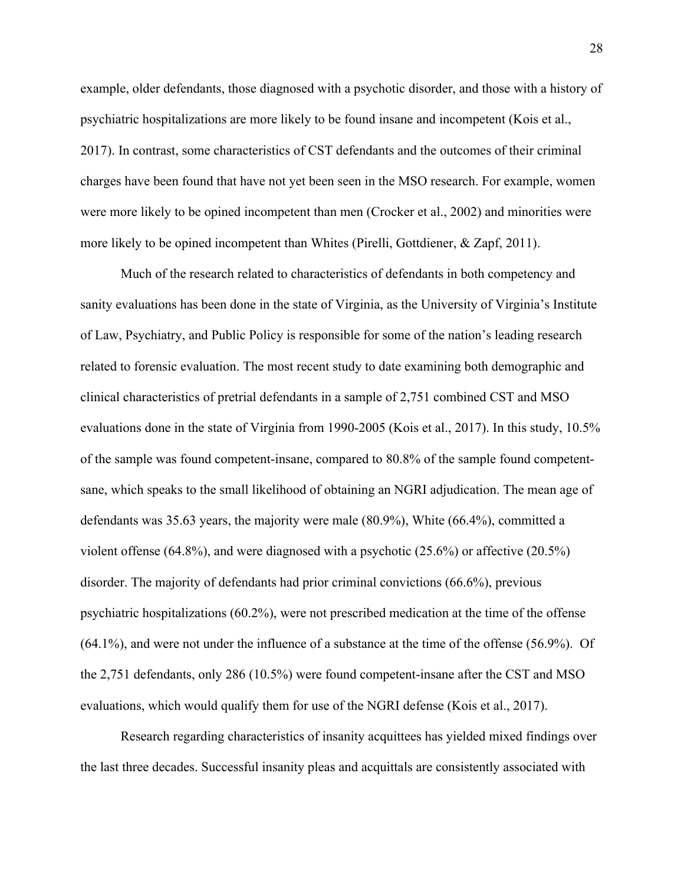example, older defendants, those diagnosed with a psychotic disorder, and those with a history of psychiatric hospitalizations are more likely to be found insane and incompetent (Kois et al., 2017). In contrast, some characteristics of CST defendants and the outcomes of their criminal charges have been found that have not yet been seen in the MSO research. For example, women were more likely to be opined incompetent than men (Crocker et al., 2002) and minorities were more likely to be opined incompetent than Whites (Pirelli, Gottdiener, & Zapf, 2011).

Much of the research related to characteristics of defendants in both competency and sanity evaluations has been done in the state of Virginia, as the University of Virginia's Institute of Law, Psychiatry, and Public Policy is responsible for some of the nation's leading research related to forensic evaluation. The most recent study to date examining both demographic and clinical characteristics of pretrial defendants in a sample of 2,751 combined CST and MSO evaluations done in the state of Virginia from 1990-2005 (Kois et al., 2017). In this study, 10.5% of the sample was found competent-insane, compared to 80.8% of the sample found competentsane, which speaks to the small likelihood of obtaining an NGRI adjudication. The mean age of defendants was 35.63 years, the majority were male (80.9%), White (66.4%), committed a violent offense (64.8%), and were diagnosed with a psychotic (25.6%) or affective (20.5%) disorder. The majority of defendants had prior criminal convictions (66.6%), previous psychiatric hospitalizations (60.2%), were not prescribed medication at the time of the offense (64.1%), and were not under the influence of a substance at the time of the offense (56.9%). Of the 2,751 defendants, only 286 (10.5%) were found competent-insane after the CST and MSO evaluations, which would qualify them for use of the NGRI defense (Kois et al., 2017).

Research regarding characteristics of insanity acquittees has yielded mixed findings over the last three decades. Successful insanity pleas and acquittals are consistently associated with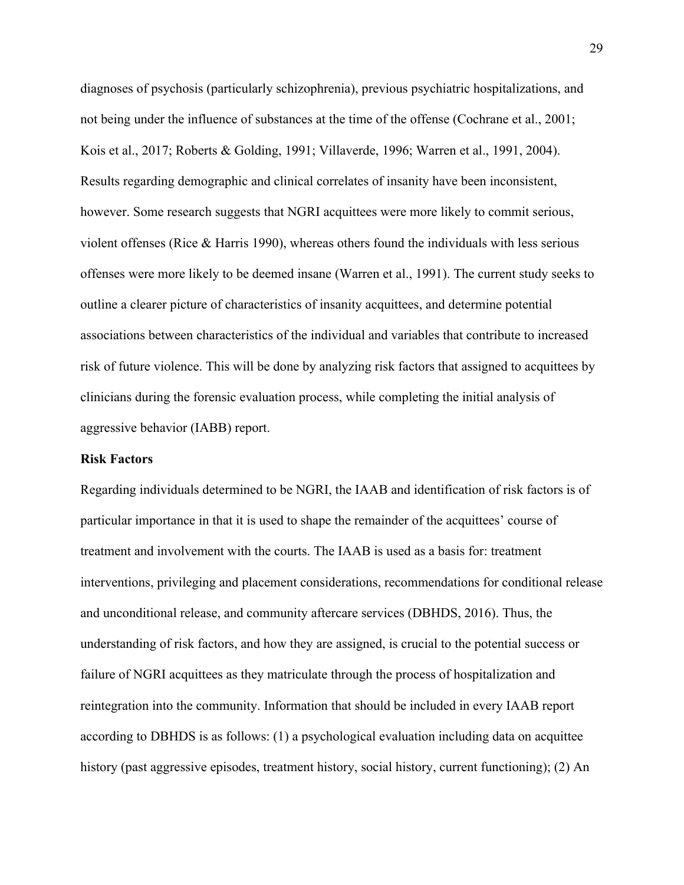diagnoses of psychosis (particularly schizophrenia), previous psychiatric hospitalizations, and not being under the influence of substances at the time of the offense (Cochrane et al., 2001; Kois et al., 2017; Roberts & Golding, 1991; Villaverde, 1996; Warren et al., 1991, 2004). Results regarding demographic and clinical correlates of insanity have been inconsistent, however. Some research suggests that NGRI acquittees were more likely to commit serious, violent offenses (Rice & Harris 1990), whereas others found the individuals with less serious offenses were more likely to be deemed insane (Warren et al., 1991). The current study seeks to outline a clearer picture of characteristics of insanity acquittees, and determine potential associations between characteristics of the individual and variables that contribute to increased risk of future violence. This will be done by analyzing risk factors that assigned to acquittees by clinicians during the forensic evaluation process, while completing the initial analysis of aggressive behavior (IABB) report.

### **Risk Factors**

Regarding individuals determined to be NGRI, the IAAB and identification of risk factors is of particular importance in that it is used to shape the remainder of the acquittees' course of treatment and involvement with the courts. The IAAB is used as a basis for: treatment interventions, privileging and placement considerations, recommendations for conditional release and unconditional release, and community aftercare services (DBHDS, 2016). Thus, the understanding of risk factors, and how they are assigned, is crucial to the potential success or failure of NGRI acquittees as they matriculate through the process of hospitalization and reintegration into the community. Information that should be included in every IAAB report according to DBHDS is as follows: (1) a psychological evaluation including data on acquittee history (past aggressive episodes, treatment history, social history, current functioning); (2) An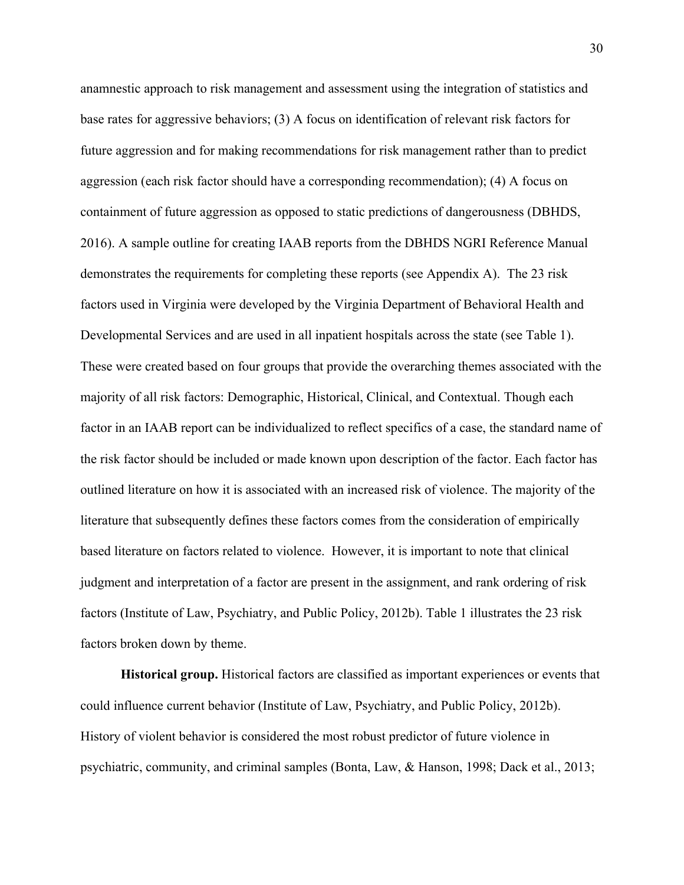anamnestic approach to risk management and assessment using the integration of statistics and base rates for aggressive behaviors; (3) A focus on identification of relevant risk factors for future aggression and for making recommendations for risk management rather than to predict aggression (each risk factor should have a corresponding recommendation); (4) A focus on containment of future aggression as opposed to static predictions of dangerousness (DBHDS, 2016). A sample outline for creating IAAB reports from the DBHDS NGRI Reference Manual demonstrates the requirements for completing these reports (see Appendix A). The 23 risk factors used in Virginia were developed by the Virginia Department of Behavioral Health and Developmental Services and are used in all inpatient hospitals across the state (see Table 1). These were created based on four groups that provide the overarching themes associated with the majority of all risk factors: Demographic, Historical, Clinical, and Contextual. Though each factor in an IAAB report can be individualized to reflect specifics of a case, the standard name of the risk factor should be included or made known upon description of the factor. Each factor has outlined literature on how it is associated with an increased risk of violence. The majority of the literature that subsequently defines these factors comes from the consideration of empirically based literature on factors related to violence. However, it is important to note that clinical judgment and interpretation of a factor are present in the assignment, and rank ordering of risk factors (Institute of Law, Psychiatry, and Public Policy, 2012b). Table 1 illustrates the 23 risk factors broken down by theme.

**Historical group.** Historical factors are classified as important experiences or events that could influence current behavior (Institute of Law, Psychiatry, and Public Policy, 2012b). History of violent behavior is considered the most robust predictor of future violence in psychiatric, community, and criminal samples (Bonta, Law, & Hanson, 1998; Dack et al., 2013;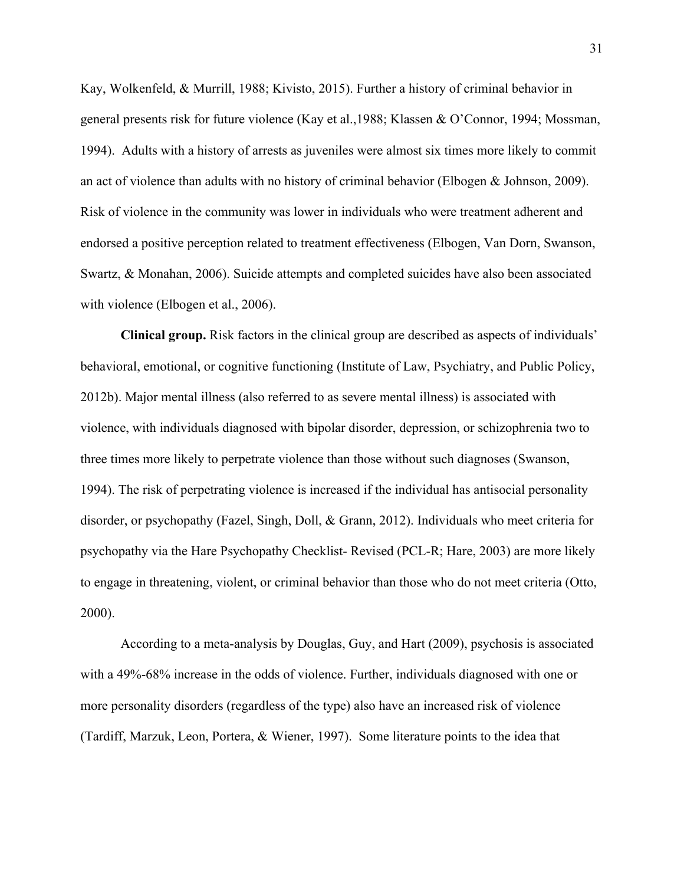Kay, Wolkenfeld, & Murrill, 1988; Kivisto, 2015). Further a history of criminal behavior in general presents risk for future violence (Kay et al.,1988; Klassen & O'Connor, 1994; Mossman, 1994). Adults with a history of arrests as juveniles were almost six times more likely to commit an act of violence than adults with no history of criminal behavior (Elbogen & Johnson, 2009). Risk of violence in the community was lower in individuals who were treatment adherent and endorsed a positive perception related to treatment effectiveness (Elbogen, Van Dorn, Swanson, Swartz, & Monahan, 2006). Suicide attempts and completed suicides have also been associated with violence (Elbogen et al., 2006).

**Clinical group.** Risk factors in the clinical group are described as aspects of individuals' behavioral, emotional, or cognitive functioning (Institute of Law, Psychiatry, and Public Policy, 2012b). Major mental illness (also referred to as severe mental illness) is associated with violence, with individuals diagnosed with bipolar disorder, depression, or schizophrenia two to three times more likely to perpetrate violence than those without such diagnoses (Swanson, 1994). The risk of perpetrating violence is increased if the individual has antisocial personality disorder, or psychopathy (Fazel, Singh, Doll, & Grann, 2012). Individuals who meet criteria for psychopathy via the Hare Psychopathy Checklist- Revised (PCL-R; Hare, 2003) are more likely to engage in threatening, violent, or criminal behavior than those who do not meet criteria (Otto, 2000).

According to a meta-analysis by Douglas, Guy, and Hart (2009), psychosis is associated with a 49%-68% increase in the odds of violence. Further, individuals diagnosed with one or more personality disorders (regardless of the type) also have an increased risk of violence (Tardiff, Marzuk, Leon, Portera, & Wiener, 1997). Some literature points to the idea that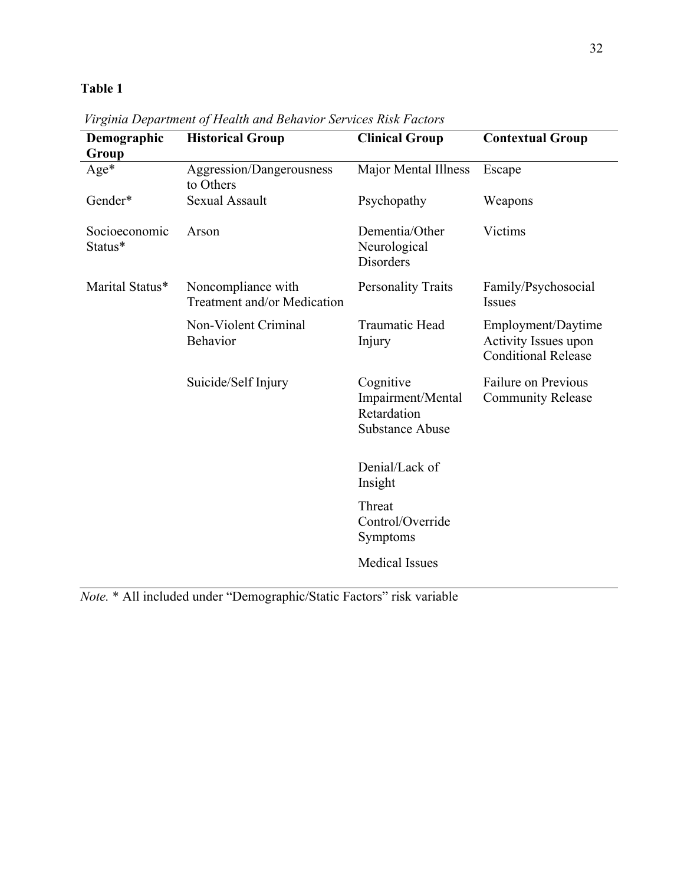| Demographic<br>Group     | <b>Historical Group</b>                           | <b>Clinical Group</b>                                                   | <b>Contextual Group</b>                                                  |
|--------------------------|---------------------------------------------------|-------------------------------------------------------------------------|--------------------------------------------------------------------------|
| $Age*$                   | Aggression/Dangerousness<br>to Others             | Major Mental Illness                                                    | Escape                                                                   |
| Gender*                  | <b>Sexual Assault</b>                             | Psychopathy                                                             | Weapons                                                                  |
| Socioeconomic<br>Status* | Arson                                             | Dementia/Other<br>Neurological<br><b>Disorders</b>                      | Victims                                                                  |
| Marital Status*          | Noncompliance with<br>Treatment and/or Medication | <b>Personality Traits</b>                                               | Family/Psychosocial<br><b>Issues</b>                                     |
|                          | Non-Violent Criminal<br><b>Behavior</b>           | Traumatic Head<br>Injury                                                | Employment/Daytime<br>Activity Issues upon<br><b>Conditional Release</b> |
|                          | Suicide/Self Injury                               | Cognitive<br>Impairment/Mental<br>Retardation<br><b>Substance Abuse</b> | Failure on Previous<br><b>Community Release</b>                          |
|                          |                                                   | Denial/Lack of<br>Insight                                               |                                                                          |
|                          |                                                   | Threat<br>Control/Override<br>Symptoms                                  |                                                                          |
|                          |                                                   | <b>Medical Issues</b>                                                   |                                                                          |

*Virginia Department of Health and Behavior Services Risk Factors*

*Note.* \* All included under "Demographic/Static Factors" risk variable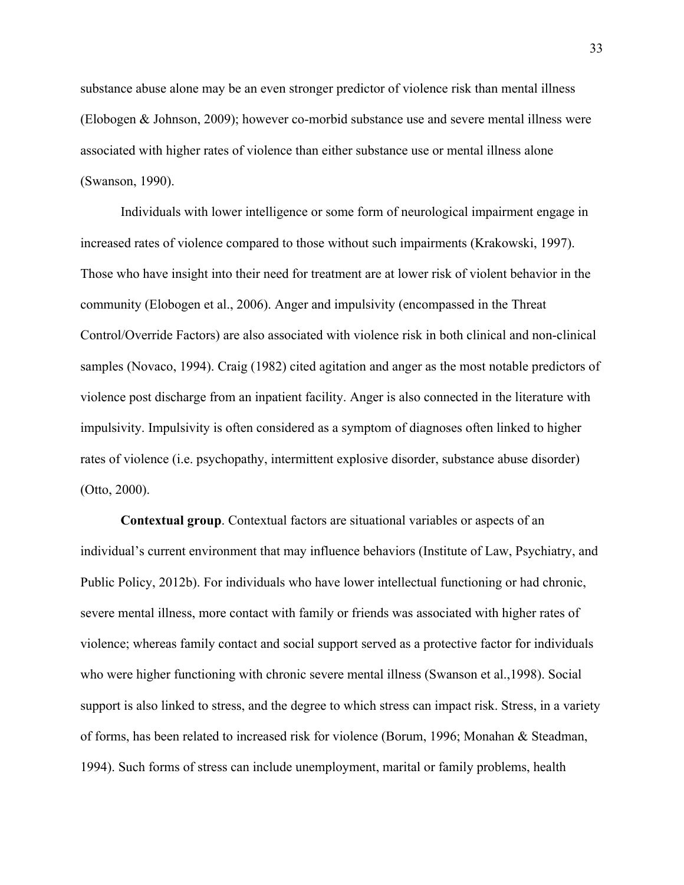substance abuse alone may be an even stronger predictor of violence risk than mental illness (Elobogen & Johnson, 2009); however co-morbid substance use and severe mental illness were associated with higher rates of violence than either substance use or mental illness alone (Swanson, 1990).

Individuals with lower intelligence or some form of neurological impairment engage in increased rates of violence compared to those without such impairments (Krakowski, 1997). Those who have insight into their need for treatment are at lower risk of violent behavior in the community (Elobogen et al., 2006). Anger and impulsivity (encompassed in the Threat Control/Override Factors) are also associated with violence risk in both clinical and non-clinical samples (Novaco, 1994). Craig (1982) cited agitation and anger as the most notable predictors of violence post discharge from an inpatient facility. Anger is also connected in the literature with impulsivity. Impulsivity is often considered as a symptom of diagnoses often linked to higher rates of violence (i.e. psychopathy, intermittent explosive disorder, substance abuse disorder) (Otto, 2000).

**Contextual group**. Contextual factors are situational variables or aspects of an individual's current environment that may influence behaviors (Institute of Law, Psychiatry, and Public Policy, 2012b). For individuals who have lower intellectual functioning or had chronic, severe mental illness, more contact with family or friends was associated with higher rates of violence; whereas family contact and social support served as a protective factor for individuals who were higher functioning with chronic severe mental illness (Swanson et al.,1998). Social support is also linked to stress, and the degree to which stress can impact risk. Stress, in a variety of forms, has been related to increased risk for violence (Borum, 1996; Monahan & Steadman, 1994). Such forms of stress can include unemployment, marital or family problems, health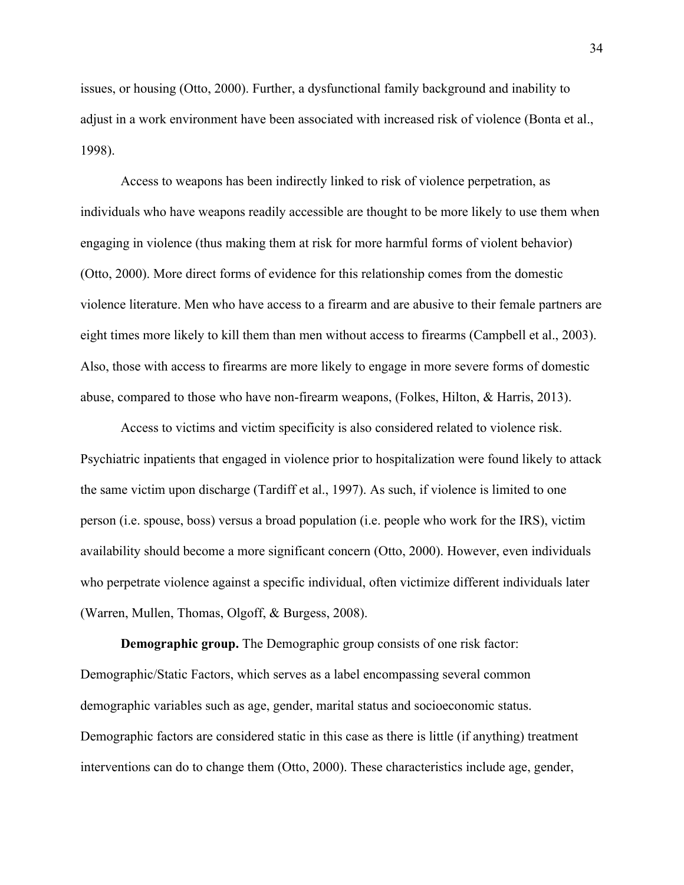issues, or housing (Otto, 2000). Further, a dysfunctional family background and inability to adjust in a work environment have been associated with increased risk of violence (Bonta et al., 1998).

Access to weapons has been indirectly linked to risk of violence perpetration, as individuals who have weapons readily accessible are thought to be more likely to use them when engaging in violence (thus making them at risk for more harmful forms of violent behavior) (Otto, 2000). More direct forms of evidence for this relationship comes from the domestic violence literature. Men who have access to a firearm and are abusive to their female partners are eight times more likely to kill them than men without access to firearms (Campbell et al., 2003). Also, those with access to firearms are more likely to engage in more severe forms of domestic abuse, compared to those who have non-firearm weapons, (Folkes, Hilton, & Harris, 2013).

Access to victims and victim specificity is also considered related to violence risk. Psychiatric inpatients that engaged in violence prior to hospitalization were found likely to attack the same victim upon discharge (Tardiff et al., 1997). As such, if violence is limited to one person (i.e. spouse, boss) versus a broad population (i.e. people who work for the IRS), victim availability should become a more significant concern (Otto, 2000). However, even individuals who perpetrate violence against a specific individual, often victimize different individuals later (Warren, Mullen, Thomas, Olgoff, & Burgess, 2008).

**Demographic group.** The Demographic group consists of one risk factor: Demographic/Static Factors, which serves as a label encompassing several common demographic variables such as age, gender, marital status and socioeconomic status. Demographic factors are considered static in this case as there is little (if anything) treatment interventions can do to change them (Otto, 2000). These characteristics include age, gender,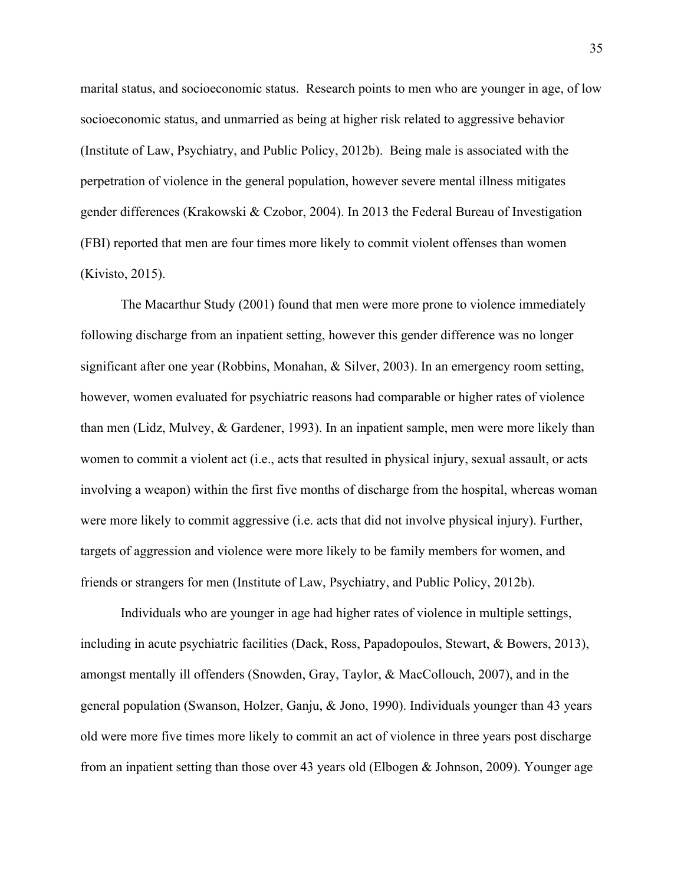marital status, and socioeconomic status. Research points to men who are younger in age, of low socioeconomic status, and unmarried as being at higher risk related to aggressive behavior (Institute of Law, Psychiatry, and Public Policy, 2012b). Being male is associated with the perpetration of violence in the general population, however severe mental illness mitigates gender differences (Krakowski & Czobor, 2004). In 2013 the Federal Bureau of Investigation (FBI) reported that men are four times more likely to commit violent offenses than women (Kivisto, 2015).

The Macarthur Study (2001) found that men were more prone to violence immediately following discharge from an inpatient setting, however this gender difference was no longer significant after one year (Robbins, Monahan, & Silver, 2003). In an emergency room setting, however, women evaluated for psychiatric reasons had comparable or higher rates of violence than men (Lidz, Mulvey, & Gardener, 1993). In an inpatient sample, men were more likely than women to commit a violent act (i.e., acts that resulted in physical injury, sexual assault, or acts involving a weapon) within the first five months of discharge from the hospital, whereas woman were more likely to commit aggressive (i.e. acts that did not involve physical injury). Further, targets of aggression and violence were more likely to be family members for women, and friends or strangers for men (Institute of Law, Psychiatry, and Public Policy, 2012b).

Individuals who are younger in age had higher rates of violence in multiple settings, including in acute psychiatric facilities (Dack, Ross, Papadopoulos, Stewart, & Bowers, 2013), amongst mentally ill offenders (Snowden, Gray, Taylor, & MacCollouch, 2007), and in the general population (Swanson, Holzer, Ganju, & Jono, 1990). Individuals younger than 43 years old were more five times more likely to commit an act of violence in three years post discharge from an inpatient setting than those over 43 years old (Elbogen & Johnson, 2009). Younger age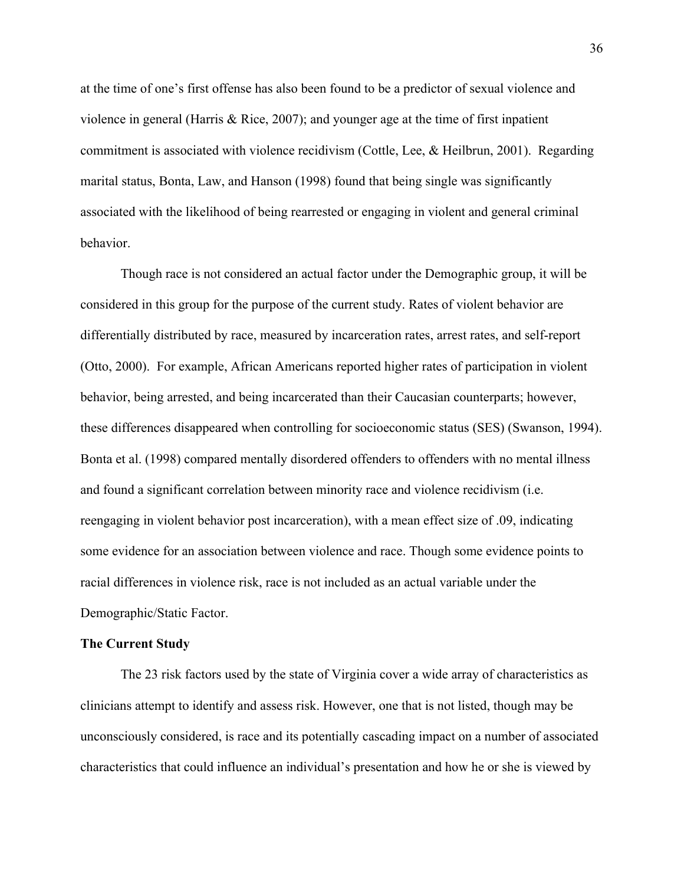at the time of one's first offense has also been found to be a predictor of sexual violence and violence in general (Harris & Rice, 2007); and younger age at the time of first inpatient commitment is associated with violence recidivism (Cottle, Lee, & Heilbrun, 2001). Regarding marital status, Bonta, Law, and Hanson (1998) found that being single was significantly associated with the likelihood of being rearrested or engaging in violent and general criminal behavior.

Though race is not considered an actual factor under the Demographic group, it will be considered in this group for the purpose of the current study. Rates of violent behavior are differentially distributed by race, measured by incarceration rates, arrest rates, and self-report (Otto, 2000). For example, African Americans reported higher rates of participation in violent behavior, being arrested, and being incarcerated than their Caucasian counterparts; however, these differences disappeared when controlling for socioeconomic status (SES) (Swanson, 1994). Bonta et al. (1998) compared mentally disordered offenders to offenders with no mental illness and found a significant correlation between minority race and violence recidivism (i.e. reengaging in violent behavior post incarceration), with a mean effect size of .09, indicating some evidence for an association between violence and race. Though some evidence points to racial differences in violence risk, race is not included as an actual variable under the Demographic/Static Factor.

#### **The Current Study**

The 23 risk factors used by the state of Virginia cover a wide array of characteristics as clinicians attempt to identify and assess risk. However, one that is not listed, though may be unconsciously considered, is race and its potentially cascading impact on a number of associated characteristics that could influence an individual's presentation and how he or she is viewed by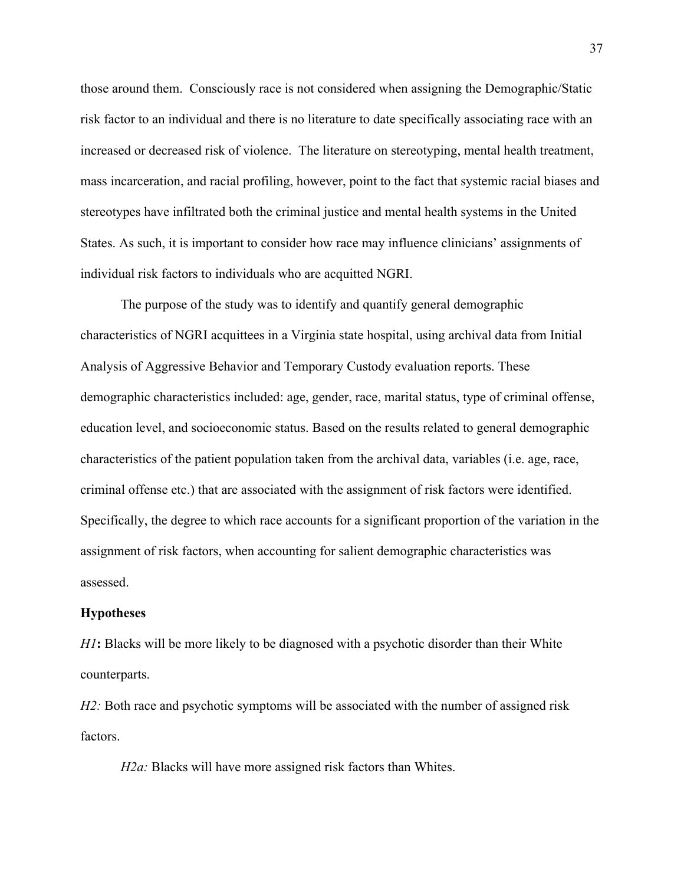those around them. Consciously race is not considered when assigning the Demographic/Static risk factor to an individual and there is no literature to date specifically associating race with an increased or decreased risk of violence. The literature on stereotyping, mental health treatment, mass incarceration, and racial profiling, however, point to the fact that systemic racial biases and stereotypes have infiltrated both the criminal justice and mental health systems in the United States. As such, it is important to consider how race may influence clinicians' assignments of individual risk factors to individuals who are acquitted NGRI.

The purpose of the study was to identify and quantify general demographic characteristics of NGRI acquittees in a Virginia state hospital, using archival data from Initial Analysis of Aggressive Behavior and Temporary Custody evaluation reports. These demographic characteristics included: age, gender, race, marital status, type of criminal offense, education level, and socioeconomic status. Based on the results related to general demographic characteristics of the patient population taken from the archival data, variables (i.e. age, race, criminal offense etc.) that are associated with the assignment of risk factors were identified. Specifically, the degree to which race accounts for a significant proportion of the variation in the assignment of risk factors, when accounting for salient demographic characteristics was assessed.

#### **Hypotheses**

*H1***:** Blacks will be more likely to be diagnosed with a psychotic disorder than their White counterparts.

*H2*: Both race and psychotic symptoms will be associated with the number of assigned risk factors.

*H2a*: Blacks will have more assigned risk factors than Whites.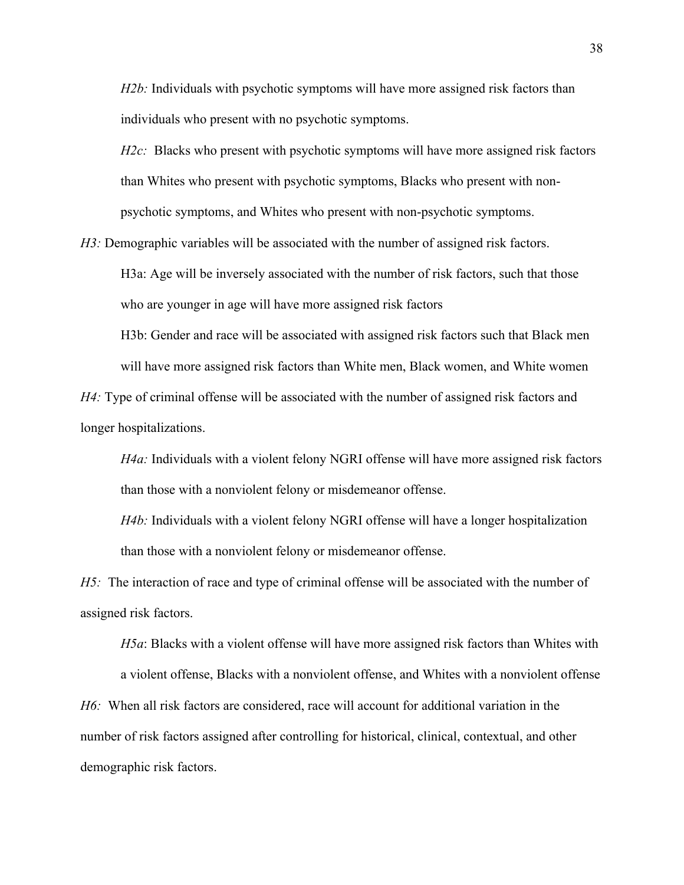*H2b:* Individuals with psychotic symptoms will have more assigned risk factors than individuals who present with no psychotic symptoms.

*H2c*: Blacks who present with psychotic symptoms will have more assigned risk factors than Whites who present with psychotic symptoms, Blacks who present with nonpsychotic symptoms, and Whites who present with non-psychotic symptoms.

*H3*: Demographic variables will be associated with the number of assigned risk factors.

H3a: Age will be inversely associated with the number of risk factors, such that those who are younger in age will have more assigned risk factors

H3b: Gender and race will be associated with assigned risk factors such that Black men will have more assigned risk factors than White men, Black women, and White women

*H4*: Type of criminal offense will be associated with the number of assigned risk factors and longer hospitalizations.

*H4a:* Individuals with a violent felony NGRI offense will have more assigned risk factors than those with a nonviolent felony or misdemeanor offense.

*H4b:* Individuals with a violent felony NGRI offense will have a longer hospitalization than those with a nonviolent felony or misdemeanor offense.

*H5:* The interaction of race and type of criminal offense will be associated with the number of assigned risk factors.

*H5a*: Blacks with a violent offense will have more assigned risk factors than Whites with

a violent offense, Blacks with a nonviolent offense, and Whites with a nonviolent offense *H6:* When all risk factors are considered, race will account for additional variation in the number of risk factors assigned after controlling for historical, clinical, contextual, and other demographic risk factors.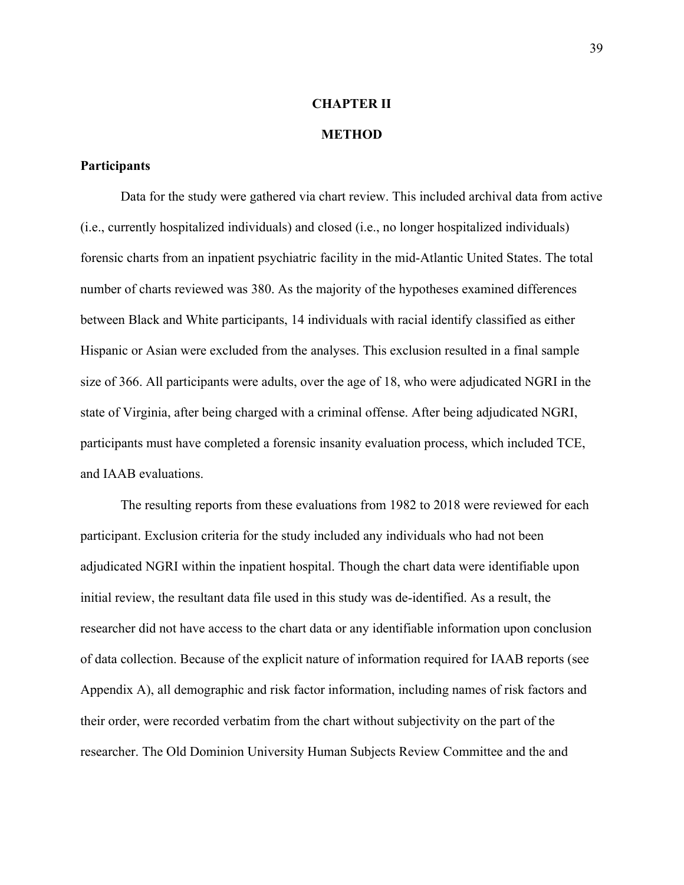# **CHAPTER II**

### **METHOD**

### **Participants**

Data for the study were gathered via chart review. This included archival data from active (i.e., currently hospitalized individuals) and closed (i.e., no longer hospitalized individuals) forensic charts from an inpatient psychiatric facility in the mid-Atlantic United States. The total number of charts reviewed was 380. As the majority of the hypotheses examined differences between Black and White participants, 14 individuals with racial identify classified as either Hispanic or Asian were excluded from the analyses. This exclusion resulted in a final sample size of 366. All participants were adults, over the age of 18, who were adjudicated NGRI in the state of Virginia, after being charged with a criminal offense. After being adjudicated NGRI, participants must have completed a forensic insanity evaluation process, which included TCE, and IAAB evaluations.

The resulting reports from these evaluations from 1982 to 2018 were reviewed for each participant. Exclusion criteria for the study included any individuals who had not been adjudicated NGRI within the inpatient hospital. Though the chart data were identifiable upon initial review, the resultant data file used in this study was de-identified. As a result, the researcher did not have access to the chart data or any identifiable information upon conclusion of data collection. Because of the explicit nature of information required for IAAB reports (see Appendix A), all demographic and risk factor information, including names of risk factors and their order, were recorded verbatim from the chart without subjectivity on the part of the researcher. The Old Dominion University Human Subjects Review Committee and the and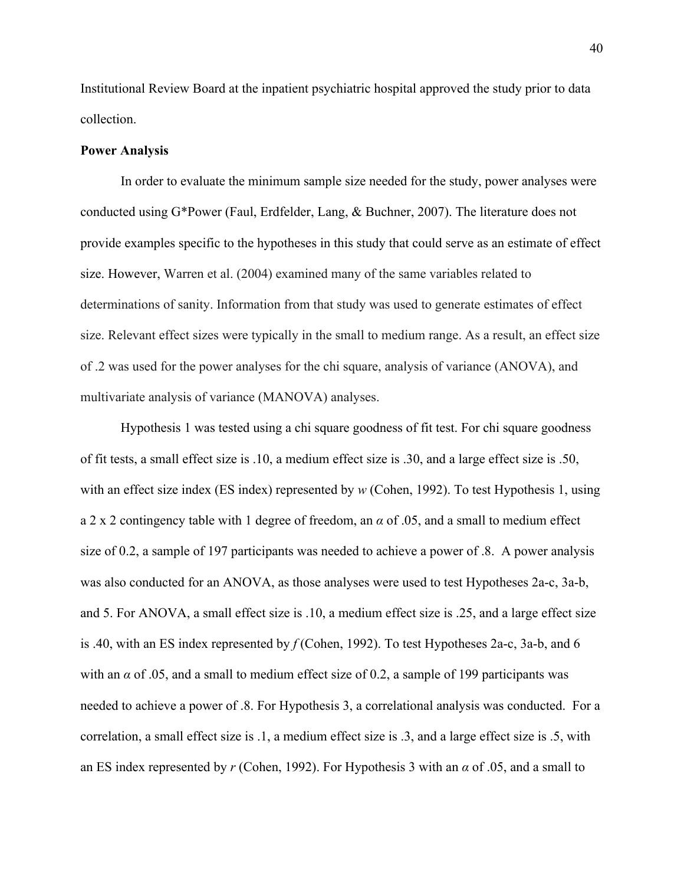Institutional Review Board at the inpatient psychiatric hospital approved the study prior to data collection.

#### **Power Analysis**

In order to evaluate the minimum sample size needed for the study, power analyses were conducted using G\*Power (Faul, Erdfelder, Lang, & Buchner, 2007). The literature does not provide examples specific to the hypotheses in this study that could serve as an estimate of effect size. However, Warren et al. (2004) examined many of the same variables related to determinations of sanity. Information from that study was used to generate estimates of effect size. Relevant effect sizes were typically in the small to medium range. As a result, an effect size of .2 was used for the power analyses for the chi square, analysis of variance (ANOVA), and multivariate analysis of variance (MANOVA) analyses.

Hypothesis 1 was tested using a chi square goodness of fit test. For chi square goodness of fit tests, a small effect size is .10, a medium effect size is .30, and a large effect size is .50, with an effect size index (ES index) represented by *w* (Cohen, 1992). To test Hypothesis 1, using a 2 x 2 contingency table with 1 degree of freedom, an *α* of .05, and a small to medium effect size of 0.2, a sample of 197 participants was needed to achieve a power of .8. A power analysis was also conducted for an ANOVA, as those analyses were used to test Hypotheses 2a-c, 3a-b, and 5. For ANOVA, a small effect size is .10, a medium effect size is .25, and a large effect size is .40, with an ES index represented by *f* (Cohen, 1992). To test Hypotheses 2a-c, 3a-b, and 6 with an  $\alpha$  of .05, and a small to medium effect size of 0.2, a sample of 199 participants was needed to achieve a power of .8. For Hypothesis 3, a correlational analysis was conducted. For a correlation, a small effect size is .1, a medium effect size is .3, and a large effect size is .5, with an ES index represented by *r* (Cohen, 1992). For Hypothesis 3 with an *α* of .05, and a small to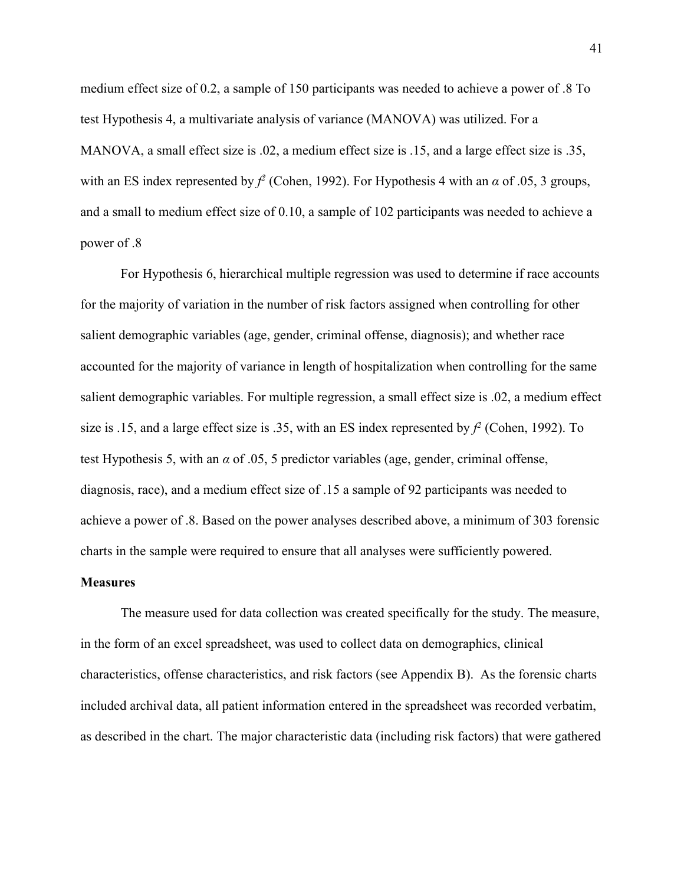medium effect size of 0.2, a sample of 150 participants was needed to achieve a power of .8 To test Hypothesis 4, a multivariate analysis of variance (MANOVA) was utilized. For a MANOVA, a small effect size is .02, a medium effect size is .15, and a large effect size is .35, with an ES index represented by  $f^2$  (Cohen, 1992). For Hypothesis 4 with an  $\alpha$  of .05, 3 groups, and a small to medium effect size of 0.10, a sample of 102 participants was needed to achieve a power of .8

For Hypothesis 6, hierarchical multiple regression was used to determine if race accounts for the majority of variation in the number of risk factors assigned when controlling for other salient demographic variables (age, gender, criminal offense, diagnosis); and whether race accounted for the majority of variance in length of hospitalization when controlling for the same salient demographic variables. For multiple regression, a small effect size is .02, a medium effect size is .15, and a large effect size is .35, with an ES index represented by *f <sup>2</sup>* (Cohen, 1992). To test Hypothesis 5, with an *α* of .05, 5 predictor variables (age, gender, criminal offense, diagnosis, race), and a medium effect size of .15 a sample of 92 participants was needed to achieve a power of .8. Based on the power analyses described above, a minimum of 303 forensic charts in the sample were required to ensure that all analyses were sufficiently powered.

### **Measures**

The measure used for data collection was created specifically for the study. The measure, in the form of an excel spreadsheet, was used to collect data on demographics, clinical characteristics, offense characteristics, and risk factors (see Appendix B). As the forensic charts included archival data, all patient information entered in the spreadsheet was recorded verbatim, as described in the chart. The major characteristic data (including risk factors) that were gathered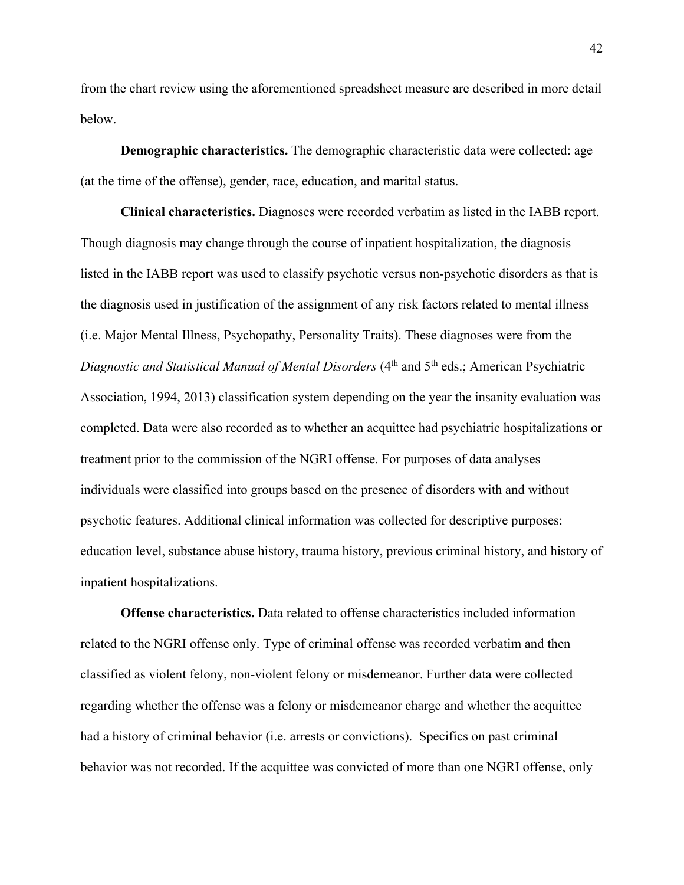from the chart review using the aforementioned spreadsheet measure are described in more detail below.

**Demographic characteristics.** The demographic characteristic data were collected: age (at the time of the offense), gender, race, education, and marital status.

**Clinical characteristics.** Diagnoses were recorded verbatim as listed in the IABB report. Though diagnosis may change through the course of inpatient hospitalization, the diagnosis listed in the IABB report was used to classify psychotic versus non-psychotic disorders as that is the diagnosis used in justification of the assignment of any risk factors related to mental illness (i.e. Major Mental Illness, Psychopathy, Personality Traits). These diagnoses were from the *Diagnostic and Statistical Manual of Mental Disorders* (4<sup>th</sup> and 5<sup>th</sup> eds.; American Psychiatric Association, 1994, 2013) classification system depending on the year the insanity evaluation was completed. Data were also recorded as to whether an acquittee had psychiatric hospitalizations or treatment prior to the commission of the NGRI offense. For purposes of data analyses individuals were classified into groups based on the presence of disorders with and without psychotic features. Additional clinical information was collected for descriptive purposes: education level, substance abuse history, trauma history, previous criminal history, and history of inpatient hospitalizations.

**Offense characteristics.** Data related to offense characteristics included information related to the NGRI offense only. Type of criminal offense was recorded verbatim and then classified as violent felony, non-violent felony or misdemeanor. Further data were collected regarding whether the offense was a felony or misdemeanor charge and whether the acquittee had a history of criminal behavior (i.e. arrests or convictions). Specifics on past criminal behavior was not recorded. If the acquittee was convicted of more than one NGRI offense, only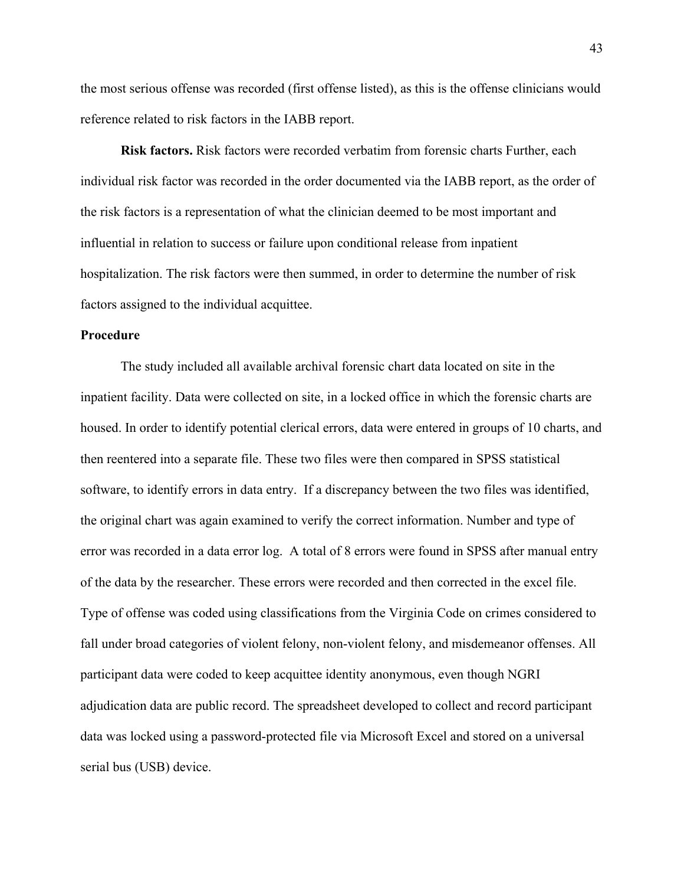the most serious offense was recorded (first offense listed), as this is the offense clinicians would reference related to risk factors in the IABB report.

**Risk factors.** Risk factors were recorded verbatim from forensic charts Further, each individual risk factor was recorded in the order documented via the IABB report, as the order of the risk factors is a representation of what the clinician deemed to be most important and influential in relation to success or failure upon conditional release from inpatient hospitalization. The risk factors were then summed, in order to determine the number of risk factors assigned to the individual acquittee.

### **Procedure**

The study included all available archival forensic chart data located on site in the inpatient facility. Data were collected on site, in a locked office in which the forensic charts are housed. In order to identify potential clerical errors, data were entered in groups of 10 charts, and then reentered into a separate file. These two files were then compared in SPSS statistical software, to identify errors in data entry. If a discrepancy between the two files was identified, the original chart was again examined to verify the correct information. Number and type of error was recorded in a data error log. A total of 8 errors were found in SPSS after manual entry of the data by the researcher. These errors were recorded and then corrected in the excel file. Type of offense was coded using classifications from the Virginia Code on crimes considered to fall under broad categories of violent felony, non-violent felony, and misdemeanor offenses. All participant data were coded to keep acquittee identity anonymous, even though NGRI adjudication data are public record. The spreadsheet developed to collect and record participant data was locked using a password-protected file via Microsoft Excel and stored on a universal serial bus (USB) device.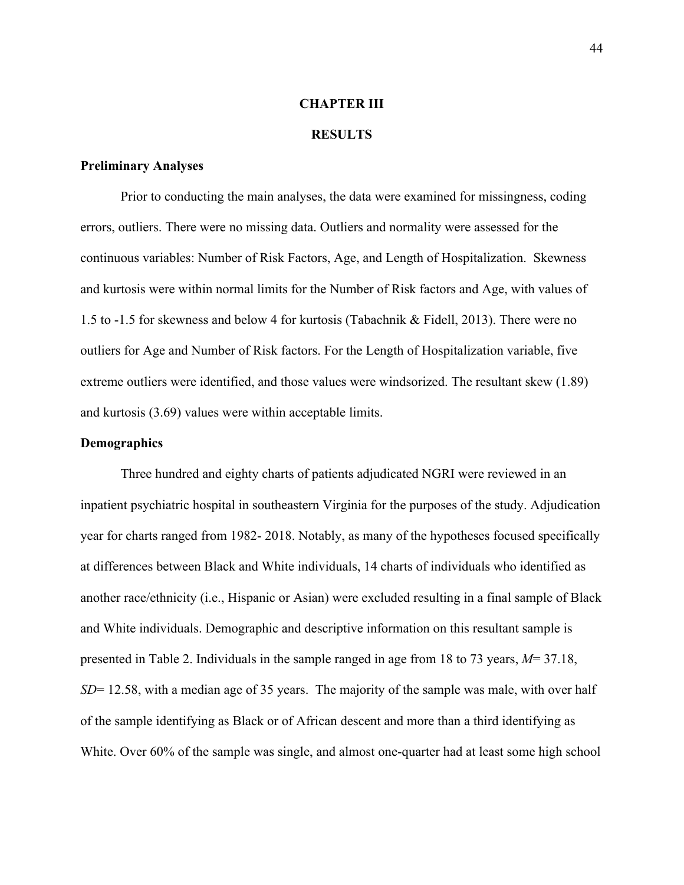### **CHAPTER III**

### **RESULTS**

### **Preliminary Analyses**

Prior to conducting the main analyses, the data were examined for missingness, coding errors, outliers. There were no missing data. Outliers and normality were assessed for the continuous variables: Number of Risk Factors, Age, and Length of Hospitalization. Skewness and kurtosis were within normal limits for the Number of Risk factors and Age, with values of 1.5 to -1.5 for skewness and below 4 for kurtosis (Tabachnik & Fidell, 2013). There were no outliers for Age and Number of Risk factors. For the Length of Hospitalization variable, five extreme outliers were identified, and those values were windsorized. The resultant skew (1.89) and kurtosis (3.69) values were within acceptable limits.

### **Demographics**

Three hundred and eighty charts of patients adjudicated NGRI were reviewed in an inpatient psychiatric hospital in southeastern Virginia for the purposes of the study. Adjudication year for charts ranged from 1982- 2018. Notably, as many of the hypotheses focused specifically at differences between Black and White individuals, 14 charts of individuals who identified as another race/ethnicity (i.e., Hispanic or Asian) were excluded resulting in a final sample of Black and White individuals. Demographic and descriptive information on this resultant sample is presented in Table 2. Individuals in the sample ranged in age from 18 to 73 years, *M*= 37.18, *SD*= 12.58, with a median age of 35 years. The majority of the sample was male, with over half of the sample identifying as Black or of African descent and more than a third identifying as White. Over 60% of the sample was single, and almost one-quarter had at least some high school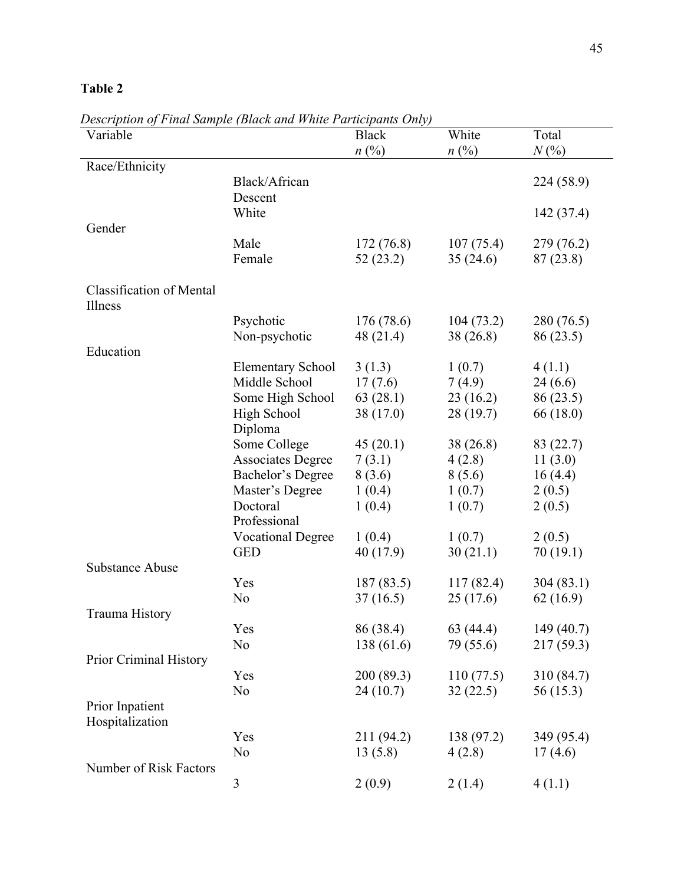| Variable                                   |                          | <b>Black</b>   | White          | Total      |
|--------------------------------------------|--------------------------|----------------|----------------|------------|
|                                            |                          | $n(^{0}/_{0})$ | $n(^{0}/_{0})$ | $N(\%)$    |
| Race/Ethnicity                             |                          |                |                |            |
|                                            | Black/African<br>Descent |                |                | 224 (58.9) |
|                                            | White                    |                |                | 142 (37.4) |
| Gender                                     |                          |                |                |            |
|                                            | Male                     | 172 (76.8)     | 107(75.4)      | 279 (76.2) |
|                                            | Female                   | 52(23.2)       | 35(24.6)       | 87(23.8)   |
| <b>Classification of Mental</b><br>Illness |                          |                |                |            |
|                                            | Psychotic                | 176(78.6)      | 104(73.2)      | 280 (76.5) |
|                                            | Non-psychotic            | 48 (21.4)      | 38(26.8)       | 86 (23.5)  |
| Education                                  |                          |                |                |            |
|                                            | <b>Elementary School</b> | 3(1.3)         | 1(0.7)         | 4(1.1)     |
|                                            | Middle School            | 17(7.6)        | 7(4.9)         | 24(6.6)    |
|                                            | Some High School         | 63(28.1)       | 23(16.2)       | 86 (23.5)  |
|                                            | High School              | 38 (17.0)      | 28(19.7)       | 66 (18.0)  |
|                                            | Diploma                  |                |                |            |
|                                            | Some College             | 45(20.1)       | 38 (26.8)      | 83 (22.7)  |
|                                            | <b>Associates Degree</b> | 7(3.1)         | 4(2.8)         | 11(3.0)    |
|                                            | Bachelor's Degree        | 8(3.6)         | 8(5.6)         | 16(4.4)    |
|                                            | Master's Degree          | 1(0.4)         | 1(0.7)         | 2(0.5)     |
|                                            | Doctoral<br>Professional | 1(0.4)         | 1(0.7)         | 2(0.5)     |
|                                            | <b>Vocational Degree</b> | 1(0.4)         | 1(0.7)         | 2(0.5)     |
|                                            | <b>GED</b>               | 40 (17.9)      | 30(21.1)       | 70(19.1)   |
| <b>Substance Abuse</b>                     |                          |                |                |            |
|                                            | Yes                      | 187(83.5)      | 117(82.4)      | 304(83.1)  |
|                                            | No                       | 37(16.5)       | 25(17.6)       | 62(16.9)   |
| Trauma History                             |                          |                |                |            |
|                                            | Yes                      | 86 (38.4)      | 63 (44.4)      | 149 (40.7) |
|                                            | No                       | 138 (61.6)     | 79 (55.6)      | 217 (59.3) |
| Prior Criminal History                     |                          |                |                |            |
|                                            | Yes                      | 200 (89.3)     | 110(77.5)      | 310 (84.7) |
|                                            | No                       | 24(10.7)       | 32(22.5)       | 56 (15.3)  |
| Prior Inpatient<br>Hospitalization         |                          |                |                |            |
|                                            | Yes                      | 211 (94.2)     | 138 (97.2)     | 349 (95.4) |
|                                            | No                       | 13(5.8)        | 4(2.8)         | 17(4.6)    |
| Number of Risk Factors                     |                          |                |                |            |
|                                            | 3                        | 2(0.9)         | 2(1.4)         | 4(1.1)     |

*Description of Final Sample (Black and White Participants Only)*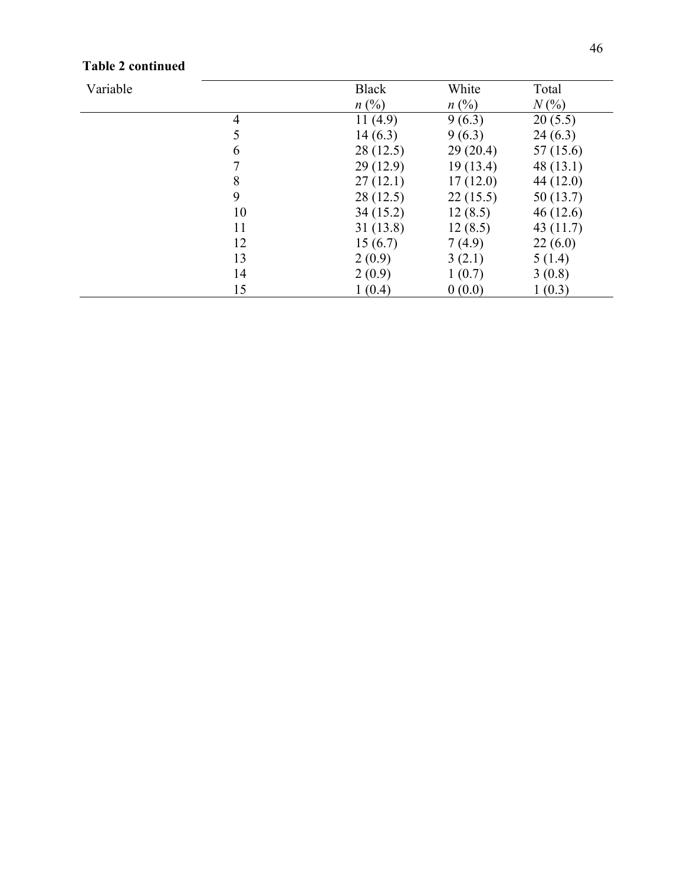| Variable |    | <b>Black</b>   | White          | Total       |
|----------|----|----------------|----------------|-------------|
|          |    | $n(^{0}/_{0})$ | $n(^{0}/_{0})$ | $N(\%)$     |
|          | 4  | 11 $(4.9)$     | 9(6.3)         | 20(5.5)     |
|          | 5  | 14(6.3)        | 9(6.3)         | 24(6.3)     |
|          | 6  | 28(12.5)       | 29(20.4)       | 57 (15.6)   |
|          |    | 29(12.9)       | 19(13.4)       | 48(13.1)    |
|          | 8  | 27(12.1)       | 17(12.0)       | 44 (12.0)   |
|          | 9  | 28(12.5)       | 22(15.5)       | 50(13.7)    |
|          | 10 | 34(15.2)       | 12(8.5)        | 46(12.6)    |
|          | 11 | 31(13.8)       | 12(8.5)        | 43 $(11.7)$ |
|          | 12 | 15(6.7)        | 7(4.9)         | 22(6.0)     |
|          | 13 | 2(0.9)         | 3(2.1)         | 5(1.4)      |
|          | 14 | 2(0.9)         | 1(0.7)         | 3(0.8)      |
|          | 15 | 1(0.4)         | 0(0.0)         | 1(0.3)      |

### **Table 2 continued**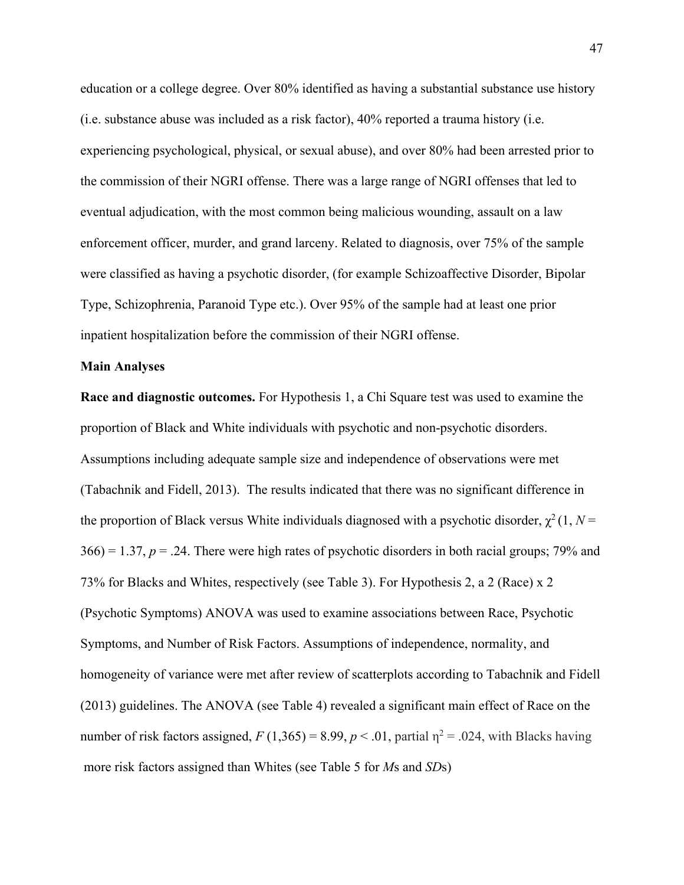education or a college degree. Over 80% identified as having a substantial substance use history (i.e. substance abuse was included as a risk factor), 40% reported a trauma history (i.e. experiencing psychological, physical, or sexual abuse), and over 80% had been arrested prior to the commission of their NGRI offense. There was a large range of NGRI offenses that led to eventual adjudication, with the most common being malicious wounding, assault on a law enforcement officer, murder, and grand larceny. Related to diagnosis, over 75% of the sample were classified as having a psychotic disorder, (for example Schizoaffective Disorder, Bipolar Type, Schizophrenia, Paranoid Type etc.). Over 95% of the sample had at least one prior inpatient hospitalization before the commission of their NGRI offense.

#### **Main Analyses**

**Race and diagnostic outcomes.** For Hypothesis 1, a Chi Square test was used to examine the proportion of Black and White individuals with psychotic and non-psychotic disorders. Assumptions including adequate sample size and independence of observations were met (Tabachnik and Fidell, 2013). The results indicated that there was no significant difference in the proportion of Black versus White individuals diagnosed with a psychotic disorder,  $\chi^2(1, N =$  $366$ ) = 1.37,  $p = 0.24$ . There were high rates of psychotic disorders in both racial groups; 79% and 73% for Blacks and Whites, respectively (see Table 3). For Hypothesis 2, a 2 (Race) x 2 (Psychotic Symptoms) ANOVA was used to examine associations between Race, Psychotic Symptoms, and Number of Risk Factors. Assumptions of independence, normality, and homogeneity of variance were met after review of scatterplots according to Tabachnik and Fidell (2013) guidelines. The ANOVA (see Table 4) revealed a significant main effect of Race on the number of risk factors assigned,  $F(1,365) = 8.99$ ,  $p < .01$ , partial  $\eta^2 = .024$ , with Blacks having more risk factors assigned than Whites (see Table 5 for *M*s and *SD*s)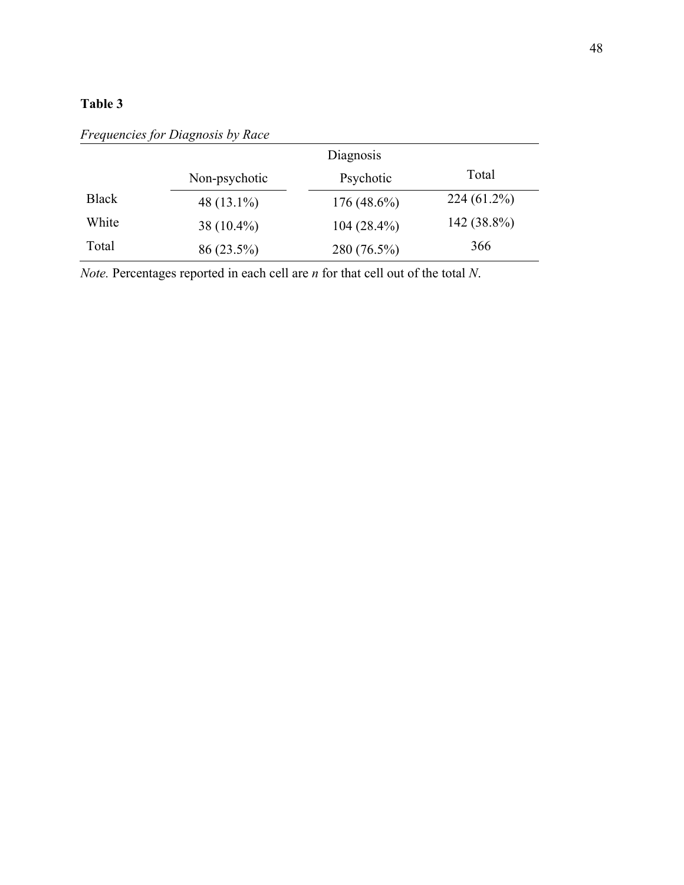|              |               | Diagnosis     |               |
|--------------|---------------|---------------|---------------|
|              | Non-psychotic | Psychotic     | Total         |
| <b>Black</b> | 48 $(13.1\%)$ | $176(48.6\%)$ | $224(61.2\%)$ |
| White        | 38 $(10.4\%)$ | $104(28.4\%)$ | 142 (38.8%)   |
| Total        | $86(23.5\%)$  | 280 (76.5%)   | 366           |

*Frequencies for Diagnosis by Race*

*Note.* Percentages reported in each cell are *n* for that cell out of the total *N*.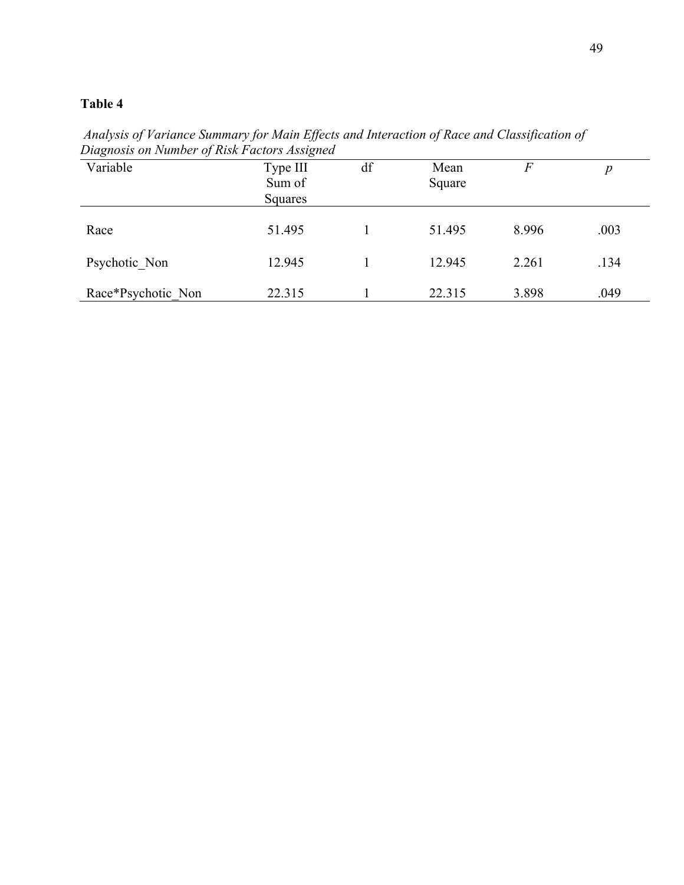| Duighosis on ivamper of Risk Pactors Assigned |                               |    |                |       |      |
|-----------------------------------------------|-------------------------------|----|----------------|-------|------|
| Variable                                      | Type III<br>Sum of<br>Squares | df | Mean<br>Square | F     | р    |
| Race                                          | 51.495                        |    | 51.495         | 8.996 | .003 |
| Psychotic Non                                 | 12.945                        |    | 12.945         | 2.261 | .134 |
| Race*Psychotic Non                            | 22.315                        |    | 22.315         | 3.898 | .049 |

*Analysis of Variance Summary for Main Effects and Interaction of Race and Classification of Diagnosis on Number of Risk Factors Assigned*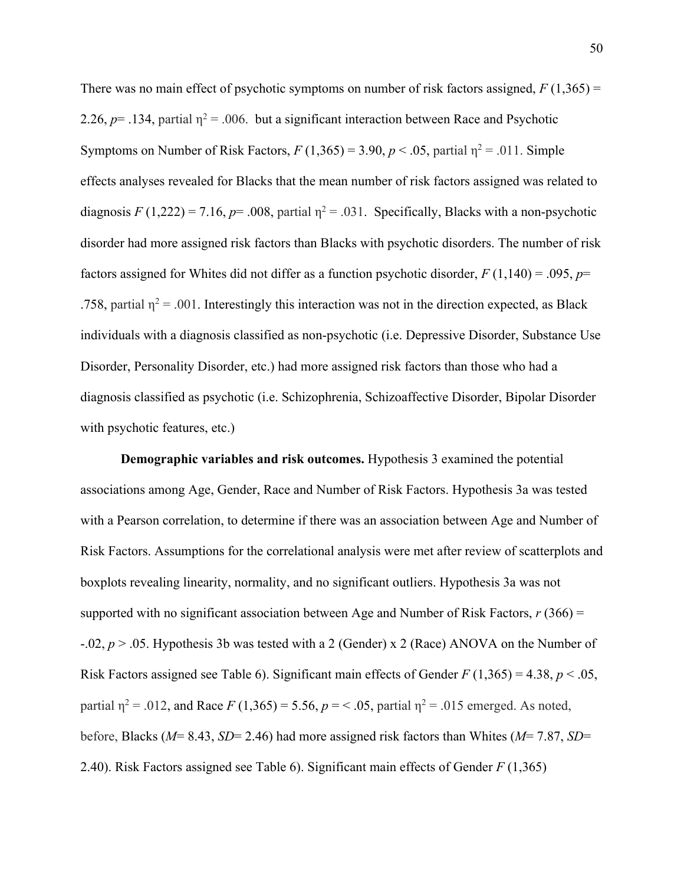There was no main effect of psychotic symptoms on number of risk factors assigned,  $F(1,365)$  = 2.26,  $p$ = .134, partial  $\eta$ <sup>2</sup> = .006. but a significant interaction between Race and Psychotic Symptoms on Number of Risk Factors,  $F(1,365) = 3.90, p < .05$ , partial  $\eta^2 = .011$ . Simple effects analyses revealed for Blacks that the mean number of risk factors assigned was related to diagnosis  $F(1,222) = 7.16$ ,  $p = .008$ , partial  $\eta^2 = .031$ . Specifically, Blacks with a non-psychotic disorder had more assigned risk factors than Blacks with psychotic disorders. The number of risk factors assigned for Whites did not differ as a function psychotic disorder, *F* (1,140) = .095, *p*= .758, partial  $\eta^2$  = .001. Interestingly this interaction was not in the direction expected, as Black individuals with a diagnosis classified as non-psychotic (i.e. Depressive Disorder, Substance Use Disorder, Personality Disorder, etc.) had more assigned risk factors than those who had a diagnosis classified as psychotic (i.e. Schizophrenia, Schizoaffective Disorder, Bipolar Disorder with psychotic features, etc.)

**Demographic variables and risk outcomes.** Hypothesis 3 examined the potential associations among Age, Gender, Race and Number of Risk Factors. Hypothesis 3a was tested with a Pearson correlation, to determine if there was an association between Age and Number of Risk Factors. Assumptions for the correlational analysis were met after review of scatterplots and boxplots revealing linearity, normality, and no significant outliers. Hypothesis 3a was not supported with no significant association between Age and Number of Risk Factors, *r* (366) = -.02, *p* > .05. Hypothesis 3b was tested with a 2 (Gender) x 2 (Race) ANOVA on the Number of Risk Factors assigned see Table 6). Significant main effects of Gender *F* (1,365) = 4.38, *p* < .05, partial  $\eta^2 = .012$ , and Race *F* (1,365) = 5.56, *p* = < .05, partial  $\eta^2 = .015$  emerged. As noted, before, Blacks (*M*= 8.43, *SD*= 2.46) had more assigned risk factors than Whites (*M*= 7.87, *SD*= 2.40). Risk Factors assigned see Table 6). Significant main effects of Gender *F* (1,365)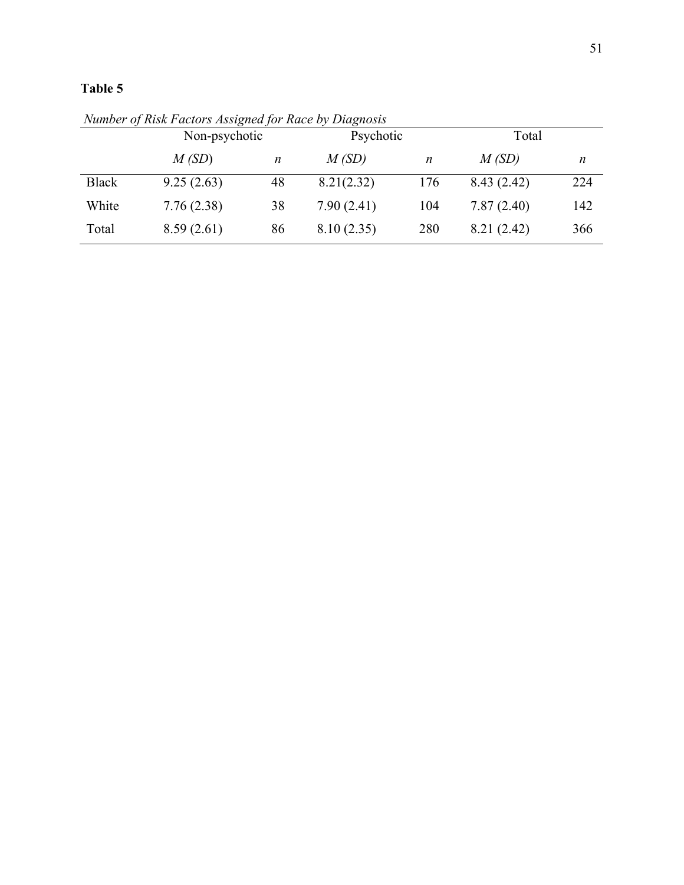|              | Non-psychotic |    |            | Psychotic |            | Total |  |
|--------------|---------------|----|------------|-----------|------------|-------|--|
|              | M(SD)         | n  | M(SD)      | n         | M(SD)      | n     |  |
| <b>Black</b> | 9.25(2.63)    | 48 | 8.21(2.32) | 176       | 8.43(2.42) | 224   |  |
| White        | 7.76(2.38)    | 38 | 7.90(2.41) | 104       | 7.87(2.40) | 142   |  |
| Total        | 8.59(2.61)    | 86 | 8.10(2.35) | 280       | 8.21(2.42) | 366   |  |

*Number of Risk Factors Assigned for Race by Diagnosis*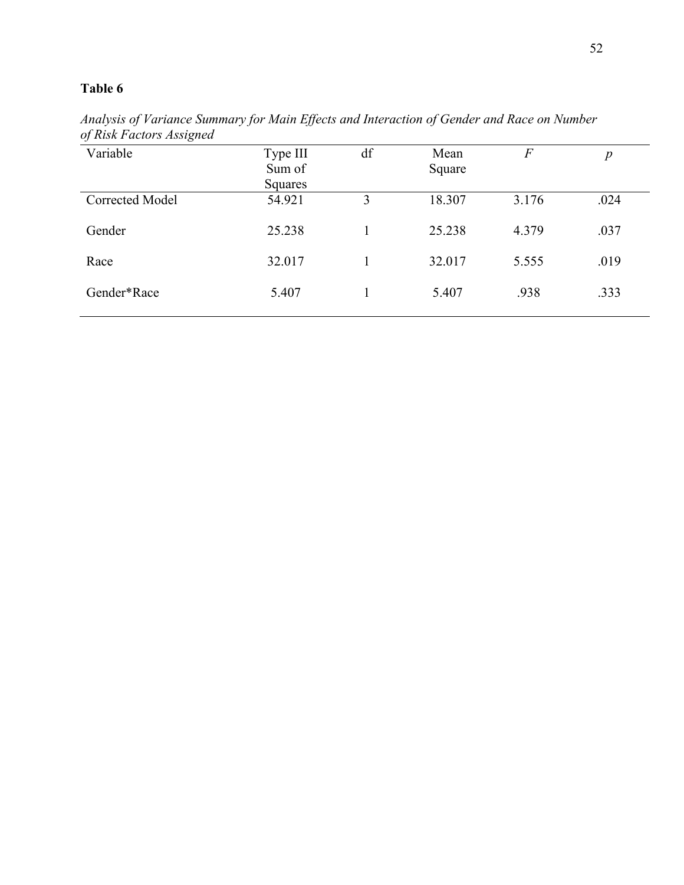*Analysis of Variance Summary for Main Effects and Interaction of Gender and Race on Number of Risk Factors Assigned*

| $\check{ }$            |                |    |        |                |                  |
|------------------------|----------------|----|--------|----------------|------------------|
| Variable               | Type III       | df | Mean   | $\overline{F}$ | $\boldsymbol{p}$ |
|                        | Sum of         |    | Square |                |                  |
|                        | <b>Squares</b> |    |        |                |                  |
| <b>Corrected Model</b> | 54.921         | 3  | 18.307 | 3.176          | .024             |
| Gender                 | 25.238         |    | 25.238 | 4.379          | .037             |
| Race                   | 32.017         |    | 32.017 | 5.555          | .019             |
| Gender*Race            | 5.407          |    | 5.407  | .938           | .333             |
|                        |                |    |        |                |                  |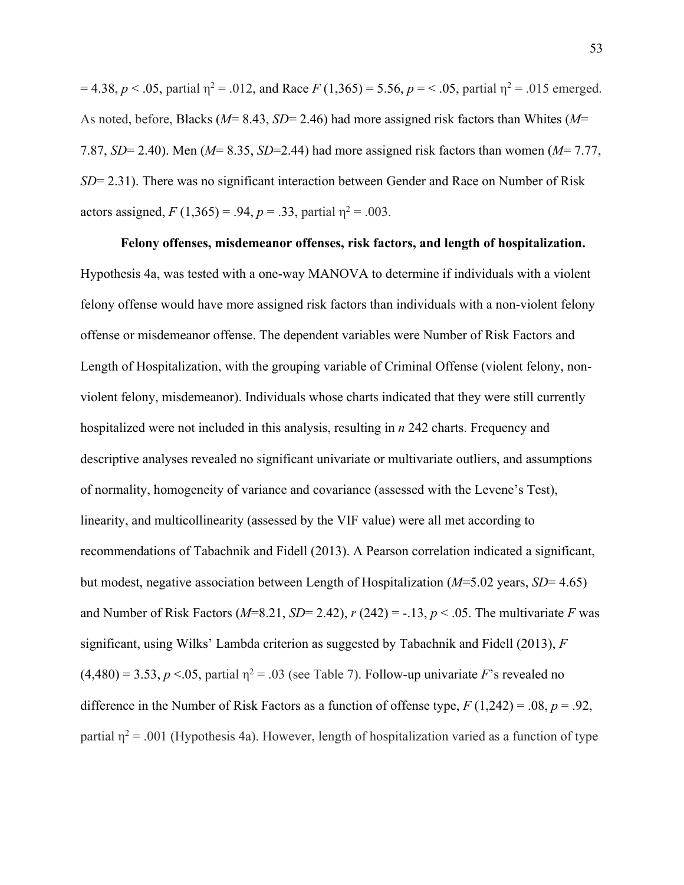$= 4.38, p < .05$ , partial  $\eta^2 = .012$ , and Race *F* (1,365) = 5.56, *p* = < .05, partial  $\eta^2 = .015$  emerged. As noted, before, Blacks (*M*= 8.43, *SD*= 2.46) had more assigned risk factors than Whites (*M*= 7.87, *SD*= 2.40). Men (*M*= 8.35, *SD*=2.44) had more assigned risk factors than women (*M*= 7.77, *SD*= 2.31). There was no significant interaction between Gender and Race on Number of Risk actors assigned,  $F(1,365) = .94$ ,  $p = .33$ , partial  $\eta^2 = .003$ .

### **Felony offenses, misdemeanor offenses, risk factors, and length of hospitalization.**

Hypothesis 4a, was tested with a one-way MANOVA to determine if individuals with a violent felony offense would have more assigned risk factors than individuals with a non-violent felony offense or misdemeanor offense. The dependent variables were Number of Risk Factors and Length of Hospitalization, with the grouping variable of Criminal Offense (violent felony, nonviolent felony, misdemeanor). Individuals whose charts indicated that they were still currently hospitalized were not included in this analysis, resulting in *n* 242 charts. Frequency and descriptive analyses revealed no significant univariate or multivariate outliers, and assumptions of normality, homogeneity of variance and covariance (assessed with the Levene's Test), linearity, and multicollinearity (assessed by the VIF value) were all met according to recommendations of Tabachnik and Fidell (2013). A Pearson correlation indicated a significant, but modest, negative association between Length of Hospitalization (*M*=5.02 years, *SD*= 4.65) and Number of Risk Factors ( $M=8.21$ ,  $SD=2.42$ ),  $r(242) = -.13$ ,  $p < .05$ . The multivariate *F* was significant, using Wilks' Lambda criterion as suggested by Tabachnik and Fidell (2013), *F*   $(4,480) = 3.53, p < 0.05$ , partial  $\eta^2 = 0.03$  (see Table 7). Follow-up univariate *F*'s revealed no difference in the Number of Risk Factors as a function of offense type, *F* (1,242) = .08, *p* = .92, partial  $\eta^2$  = .001 (Hypothesis 4a). However, length of hospitalization varied as a function of type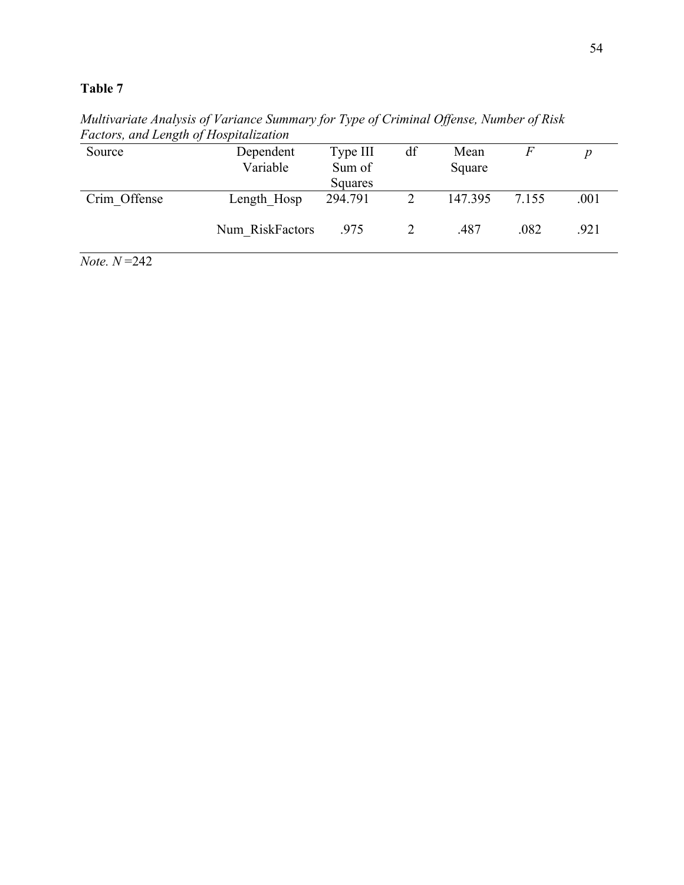| Source       | Dependent       | Type III | df | Mean    |       |      |
|--------------|-----------------|----------|----|---------|-------|------|
|              | Variable        | Sum of   |    | Square  |       |      |
|              |                 | Squares  |    |         |       |      |
| Crim Offense | Length Hosp     | 294.791  |    | 147.395 | 7.155 | .001 |
|              | Num RiskFactors | .975     |    | .487    | .082  | .921 |

*Multivariate Analysis of Variance Summary for Type of Criminal Offense, Number of Risk Factors, and Length of Hospitalization*

 $$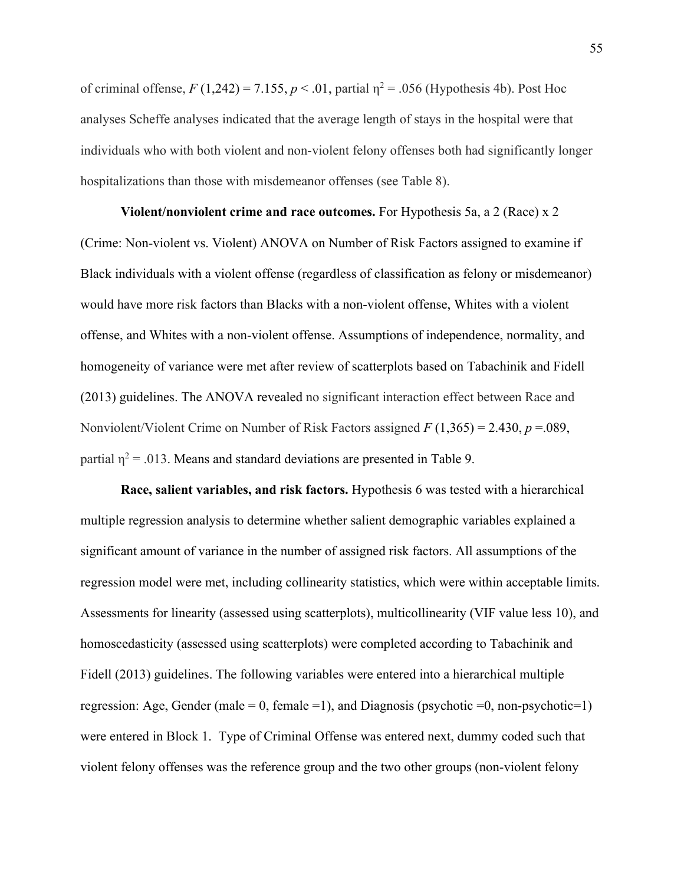of criminal offense,  $F(1,242) = 7.155$ ,  $p < .01$ , partial  $\eta^2 = .056$  (Hypothesis 4b). Post Hoc analyses Scheffe analyses indicated that the average length of stays in the hospital were that individuals who with both violent and non-violent felony offenses both had significantly longer hospitalizations than those with misdemeanor offenses (see Table 8).

**Violent/nonviolent crime and race outcomes.** For Hypothesis 5a, a 2 (Race) x 2 (Crime: Non-violent vs. Violent) ANOVA on Number of Risk Factors assigned to examine if Black individuals with a violent offense (regardless of classification as felony or misdemeanor) would have more risk factors than Blacks with a non-violent offense, Whites with a violent offense, and Whites with a non-violent offense. Assumptions of independence, normality, and homogeneity of variance were met after review of scatterplots based on Tabachinik and Fidell (2013) guidelines. The ANOVA revealed no significant interaction effect between Race and Nonviolent/Violent Crime on Number of Risk Factors assigned *F* (1,365) = 2.430, *p* =.089, partial  $\eta^2$  = .013. Means and standard deviations are presented in Table 9.

**Race, salient variables, and risk factors.** Hypothesis 6 was tested with a hierarchical multiple regression analysis to determine whether salient demographic variables explained a significant amount of variance in the number of assigned risk factors. All assumptions of the regression model were met, including collinearity statistics, which were within acceptable limits. Assessments for linearity (assessed using scatterplots), multicollinearity (VIF value less 10), and homoscedasticity (assessed using scatterplots) were completed according to Tabachinik and Fidell (2013) guidelines. The following variables were entered into a hierarchical multiple regression: Age, Gender (male = 0, female = 1), and Diagnosis (psychotic = 0, non-psychotic = 1) were entered in Block 1. Type of Criminal Offense was entered next, dummy coded such that violent felony offenses was the reference group and the two other groups (non-violent felony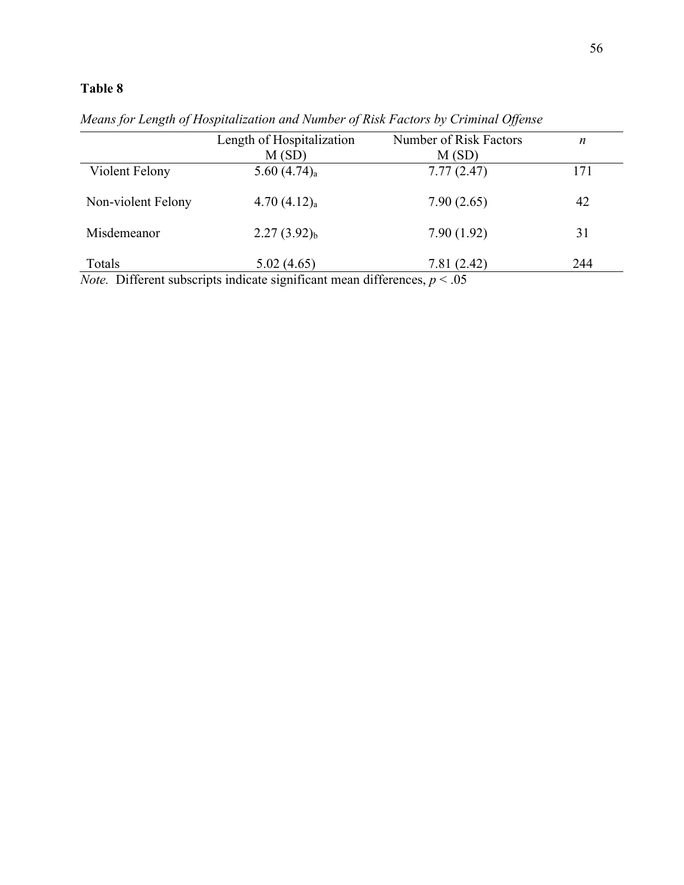|                    | Length of Hospitalization<br>M(SD) | Number of Risk Factors<br>M(SD) | $\boldsymbol{n}$ |
|--------------------|------------------------------------|---------------------------------|------------------|
| Violent Felony     | 5.60 $(4.74)$ <sub>a</sub>         | 7.77(2.47)                      | 171              |
| Non-violent Felony | 4.70(4.12) <sub>a</sub>            | 7.90(2.65)                      | 42               |
| Misdemeanor        | $2.27(3.92)_{b}$                   | 7.90(1.92)                      | 31               |
| Totals             | 5.02(4.65)                         | 7.81(2.42)                      | 244              |

*Means for Length of Hospitalization and Number of Risk Factors by Criminal Offense*

*Note.* Different subscripts indicate significant mean differences,  $p < 0.05$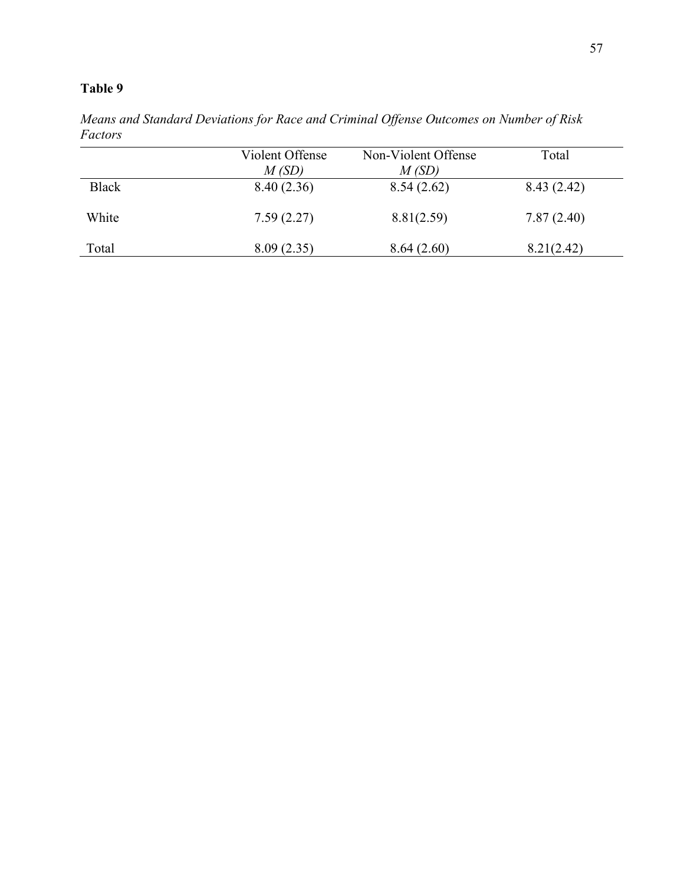*Means and Standard Deviations for Race and Criminal Offense Outcomes on Number of Risk Factors* 

|              | Violent Offense<br>M(SD) | Non-Violent Offense<br>M(SD) | Total      |
|--------------|--------------------------|------------------------------|------------|
| <b>Black</b> | 8.40(2.36)               | 8.54(2.62)                   | 8.43(2.42) |
| White        | 7.59(2.27)               | 8.81(2.59)                   | 7.87(2.40) |
| Total        | 8.09(2.35)               | 8.64(2.60)                   | 8.21(2.42) |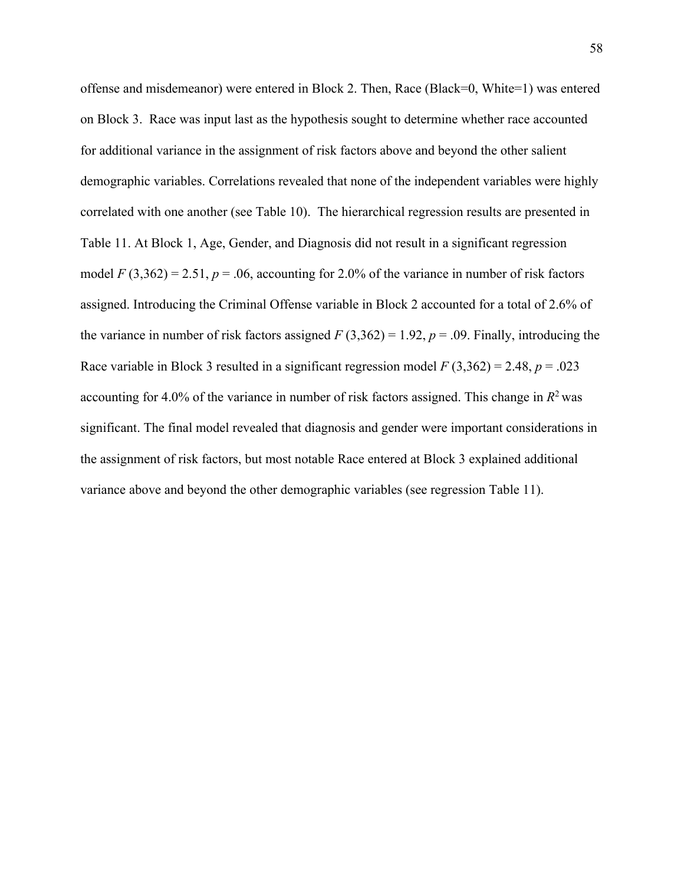offense and misdemeanor) were entered in Block 2. Then, Race (Black=0, White=1) was entered on Block 3. Race was input last as the hypothesis sought to determine whether race accounted for additional variance in the assignment of risk factors above and beyond the other salient demographic variables. Correlations revealed that none of the independent variables were highly correlated with one another (see Table 10). The hierarchical regression results are presented in Table 11. At Block 1, Age, Gender, and Diagnosis did not result in a significant regression model  $F(3,362) = 2.51$ ,  $p = .06$ , accounting for 2.0% of the variance in number of risk factors assigned. Introducing the Criminal Offense variable in Block 2 accounted for a total of 2.6% of the variance in number of risk factors assigned  $F(3,362) = 1.92$ ,  $p = .09$ . Finally, introducing the Race variable in Block 3 resulted in a significant regression model *F* (3,362) = 2.48, *p* = .023 accounting for 4.0% of the variance in number of risk factors assigned. This change in  $R^2$  was significant. The final model revealed that diagnosis and gender were important considerations in the assignment of risk factors, but most notable Race entered at Block 3 explained additional variance above and beyond the other demographic variables (see regression Table 11).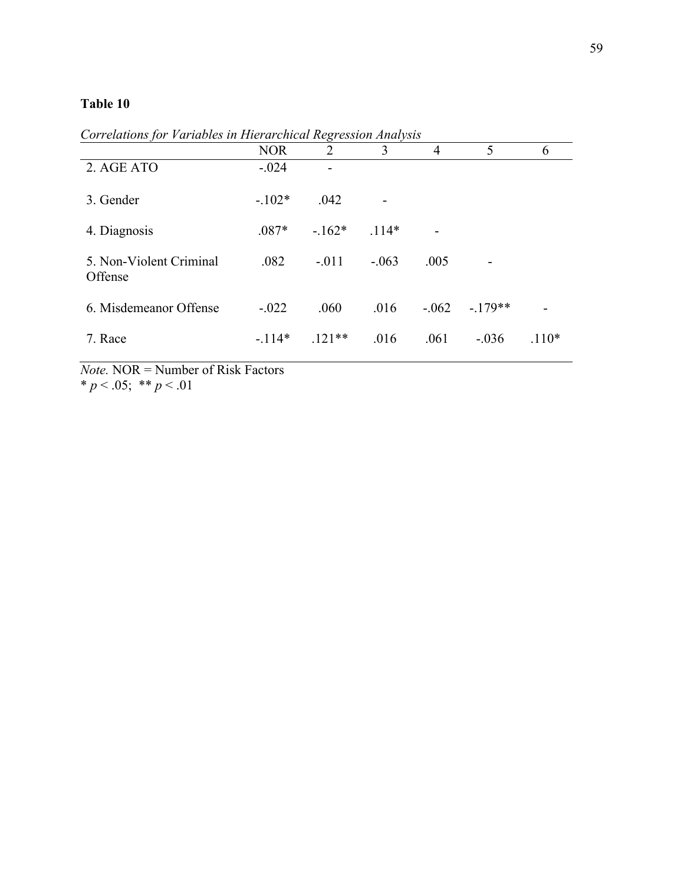|                                    |            | $\epsilon$     |         |                |           |         |
|------------------------------------|------------|----------------|---------|----------------|-----------|---------|
|                                    | <b>NOR</b> | $\overline{2}$ | 3       | $\overline{4}$ | 5         | 6       |
| 2. AGE ATO                         | $-.024$    |                |         |                |           |         |
| 3. Gender                          | $-.102*$   | .042           | -       |                |           |         |
| 4. Diagnosis                       | $.087*$    | $-162*$        | $.114*$ |                |           |         |
| 5. Non-Violent Criminal<br>Offense | .082       | $-.011$        | $-.063$ | .005           |           |         |
| 6. Misdemeanor Offense             | $-.022$    | .060           | .016    | $-.062$        | $-.179**$ |         |
| 7. Race                            | $-.114*$   | $.121**$       | .016    | .061           | $-.036$   | $.110*$ |

*Correlations for Variables in Hierarchical Regression Analysis*

*Note.* NOR = Number of Risk Factors \*  $p < .05$ ; \*\*  $p < .01$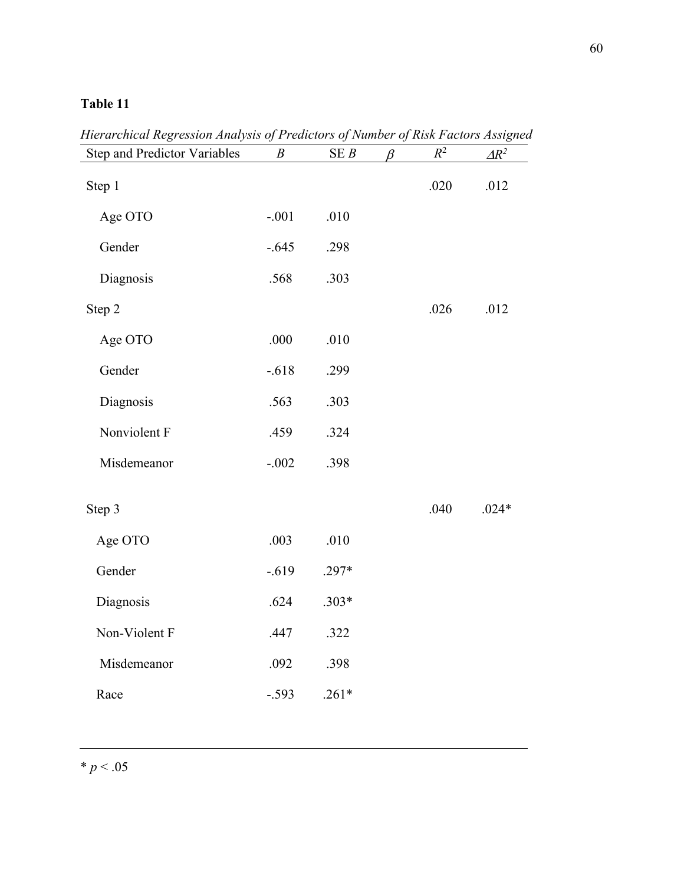| <b>Step and Predictor Variables</b> | $\boldsymbol{B}$ | SEB     | β | $R^2$ | $\Delta R^2$ |
|-------------------------------------|------------------|---------|---|-------|--------------|
| Step 1                              |                  |         |   | .020  | .012         |
| Age OTO                             | $-.001$          | .010    |   |       |              |
| Gender                              | $-.645$          | .298    |   |       |              |
| Diagnosis                           | .568             | .303    |   |       |              |
| Step 2                              |                  |         |   | .026  | .012         |
| Age OTO                             | .000             | .010    |   |       |              |
| Gender                              | $-.618$          | .299    |   |       |              |
| Diagnosis                           | .563             | .303    |   |       |              |
| Nonviolent F                        | .459             | .324    |   |       |              |
| Misdemeanor                         | $-.002$          | .398    |   |       |              |
| Step 3                              |                  |         |   | .040  | $.024*$      |
| Age OTO                             | .003             | .010    |   |       |              |
| Gender                              | $-.619$          | $.297*$ |   |       |              |
| Diagnosis                           | .624             | $.303*$ |   |       |              |
| Non-Violent F                       | .447             | .322    |   |       |              |
| Misdemeanor                         | .092             | .398    |   |       |              |
| Race                                | $-.593$          | $.261*$ |   |       |              |

*Hierarchical Regression Analysis of Predictors of Number of Risk Factors Assigned*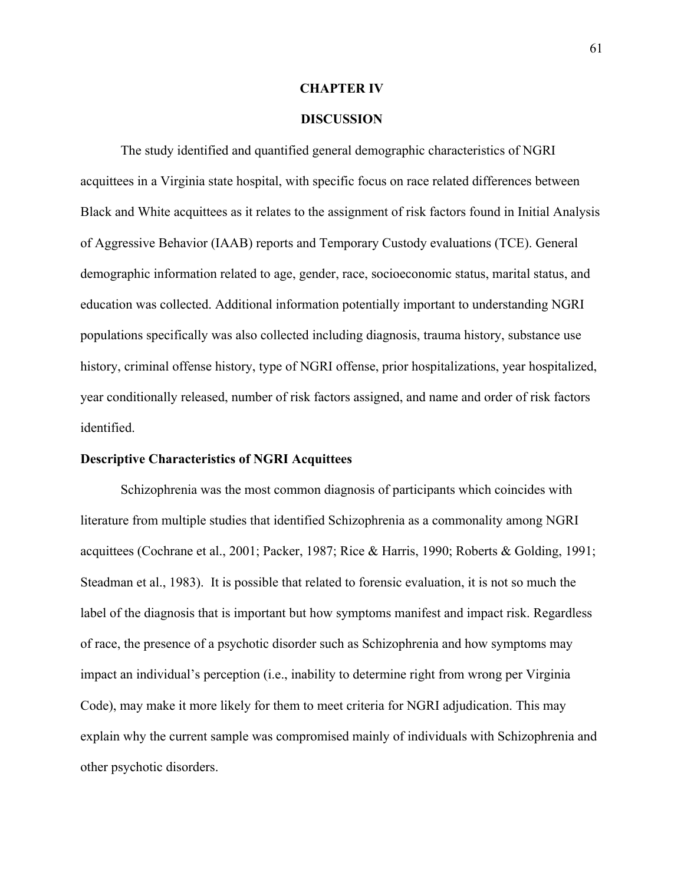#### **CHAPTER IV**

### **DISCUSSION**

The study identified and quantified general demographic characteristics of NGRI acquittees in a Virginia state hospital, with specific focus on race related differences between Black and White acquittees as it relates to the assignment of risk factors found in Initial Analysis of Aggressive Behavior (IAAB) reports and Temporary Custody evaluations (TCE). General demographic information related to age, gender, race, socioeconomic status, marital status, and education was collected. Additional information potentially important to understanding NGRI populations specifically was also collected including diagnosis, trauma history, substance use history, criminal offense history, type of NGRI offense, prior hospitalizations, year hospitalized, year conditionally released, number of risk factors assigned, and name and order of risk factors identified.

### **Descriptive Characteristics of NGRI Acquittees**

Schizophrenia was the most common diagnosis of participants which coincides with literature from multiple studies that identified Schizophrenia as a commonality among NGRI acquittees (Cochrane et al., 2001; Packer, 1987; Rice & Harris, 1990; Roberts & Golding, 1991; Steadman et al., 1983). It is possible that related to forensic evaluation, it is not so much the label of the diagnosis that is important but how symptoms manifest and impact risk. Regardless of race, the presence of a psychotic disorder such as Schizophrenia and how symptoms may impact an individual's perception (i.e., inability to determine right from wrong per Virginia Code), may make it more likely for them to meet criteria for NGRI adjudication. This may explain why the current sample was compromised mainly of individuals with Schizophrenia and other psychotic disorders.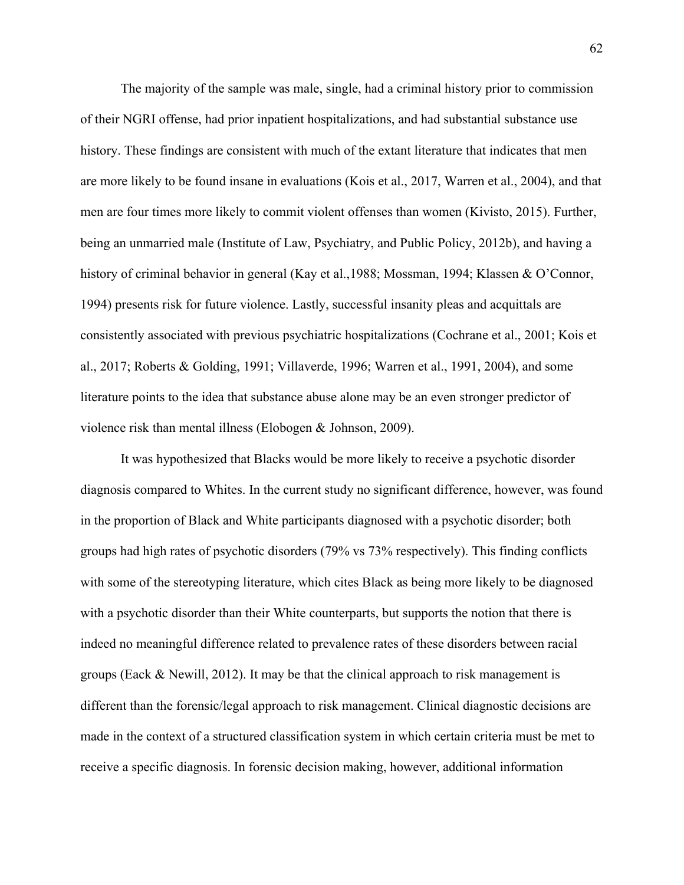The majority of the sample was male, single, had a criminal history prior to commission of their NGRI offense, had prior inpatient hospitalizations, and had substantial substance use history. These findings are consistent with much of the extant literature that indicates that men are more likely to be found insane in evaluations (Kois et al., 2017, Warren et al., 2004), and that men are four times more likely to commit violent offenses than women (Kivisto, 2015). Further, being an unmarried male (Institute of Law, Psychiatry, and Public Policy, 2012b), and having a history of criminal behavior in general (Kay et al., 1988; Mossman, 1994; Klassen & O'Connor, 1994) presents risk for future violence. Lastly, successful insanity pleas and acquittals are consistently associated with previous psychiatric hospitalizations (Cochrane et al., 2001; Kois et al., 2017; Roberts & Golding, 1991; Villaverde, 1996; Warren et al., 1991, 2004), and some literature points to the idea that substance abuse alone may be an even stronger predictor of violence risk than mental illness (Elobogen & Johnson, 2009).

It was hypothesized that Blacks would be more likely to receive a psychotic disorder diagnosis compared to Whites. In the current study no significant difference, however, was found in the proportion of Black and White participants diagnosed with a psychotic disorder; both groups had high rates of psychotic disorders (79% vs 73% respectively). This finding conflicts with some of the stereotyping literature, which cites Black as being more likely to be diagnosed with a psychotic disorder than their White counterparts, but supports the notion that there is indeed no meaningful difference related to prevalence rates of these disorders between racial groups (Eack  $\&$  Newill, 2012). It may be that the clinical approach to risk management is different than the forensic/legal approach to risk management. Clinical diagnostic decisions are made in the context of a structured classification system in which certain criteria must be met to receive a specific diagnosis. In forensic decision making, however, additional information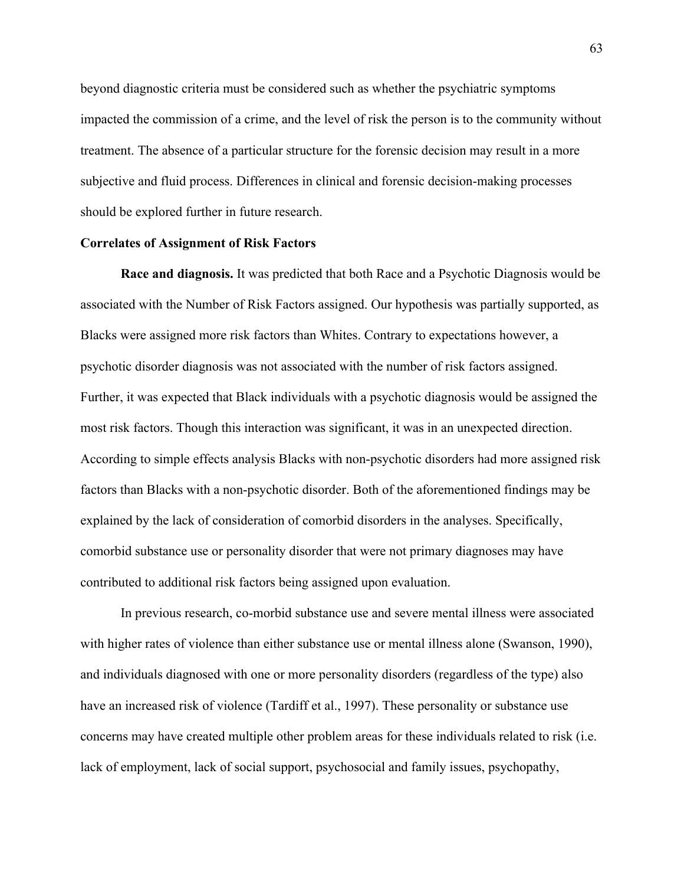beyond diagnostic criteria must be considered such as whether the psychiatric symptoms impacted the commission of a crime, and the level of risk the person is to the community without treatment. The absence of a particular structure for the forensic decision may result in a more subjective and fluid process. Differences in clinical and forensic decision-making processes should be explored further in future research.

## **Correlates of Assignment of Risk Factors**

**Race and diagnosis.** It was predicted that both Race and a Psychotic Diagnosis would be associated with the Number of Risk Factors assigned. Our hypothesis was partially supported, as Blacks were assigned more risk factors than Whites. Contrary to expectations however, a psychotic disorder diagnosis was not associated with the number of risk factors assigned. Further, it was expected that Black individuals with a psychotic diagnosis would be assigned the most risk factors. Though this interaction was significant, it was in an unexpected direction. According to simple effects analysis Blacks with non-psychotic disorders had more assigned risk factors than Blacks with a non-psychotic disorder. Both of the aforementioned findings may be explained by the lack of consideration of comorbid disorders in the analyses. Specifically, comorbid substance use or personality disorder that were not primary diagnoses may have contributed to additional risk factors being assigned upon evaluation.

In previous research, co-morbid substance use and severe mental illness were associated with higher rates of violence than either substance use or mental illness alone (Swanson, 1990), and individuals diagnosed with one or more personality disorders (regardless of the type) also have an increased risk of violence (Tardiff et al., 1997). These personality or substance use concerns may have created multiple other problem areas for these individuals related to risk (i.e. lack of employment, lack of social support, psychosocial and family issues, psychopathy,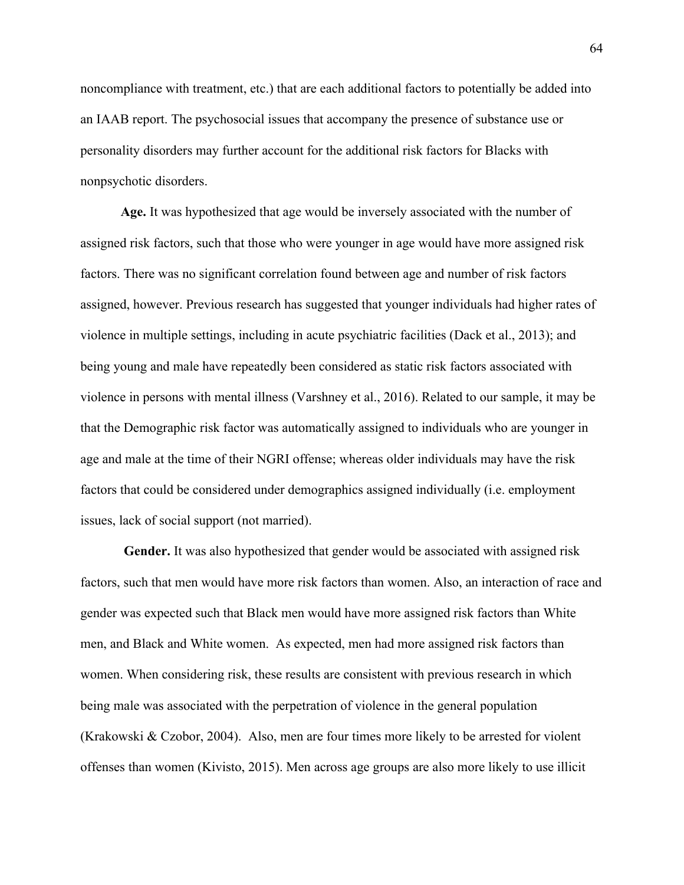noncompliance with treatment, etc.) that are each additional factors to potentially be added into an IAAB report. The psychosocial issues that accompany the presence of substance use or personality disorders may further account for the additional risk factors for Blacks with nonpsychotic disorders.

**Age.** It was hypothesized that age would be inversely associated with the number of assigned risk factors, such that those who were younger in age would have more assigned risk factors. There was no significant correlation found between age and number of risk factors assigned, however. Previous research has suggested that younger individuals had higher rates of violence in multiple settings, including in acute psychiatric facilities (Dack et al., 2013); and being young and male have repeatedly been considered as static risk factors associated with violence in persons with mental illness (Varshney et al., 2016). Related to our sample, it may be that the Demographic risk factor was automatically assigned to individuals who are younger in age and male at the time of their NGRI offense; whereas older individuals may have the risk factors that could be considered under demographics assigned individually (i.e. employment issues, lack of social support (not married).

**Gender.** It was also hypothesized that gender would be associated with assigned risk factors, such that men would have more risk factors than women. Also, an interaction of race and gender was expected such that Black men would have more assigned risk factors than White men, and Black and White women. As expected, men had more assigned risk factors than women. When considering risk, these results are consistent with previous research in which being male was associated with the perpetration of violence in the general population (Krakowski & Czobor, 2004). Also, men are four times more likely to be arrested for violent offenses than women (Kivisto, 2015). Men across age groups are also more likely to use illicit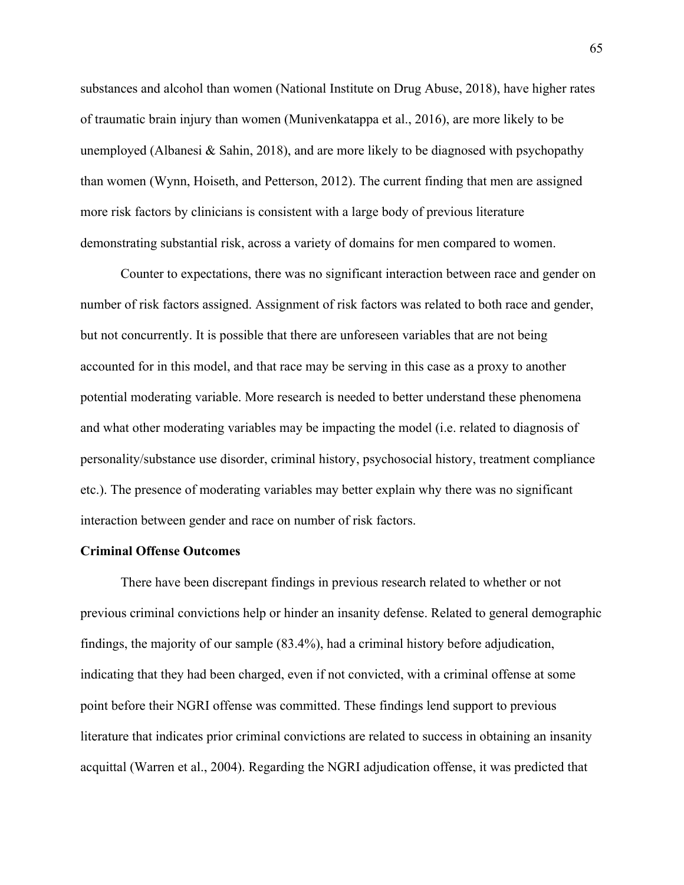substances and alcohol than women (National Institute on Drug Abuse, 2018), have higher rates of traumatic brain injury than women (Munivenkatappa et al., 2016), are more likely to be unemployed (Albanesi & Sahin, 2018), and are more likely to be diagnosed with psychopathy than women (Wynn, Hoiseth, and Petterson, 2012). The current finding that men are assigned more risk factors by clinicians is consistent with a large body of previous literature demonstrating substantial risk, across a variety of domains for men compared to women.

Counter to expectations, there was no significant interaction between race and gender on number of risk factors assigned. Assignment of risk factors was related to both race and gender, but not concurrently. It is possible that there are unforeseen variables that are not being accounted for in this model, and that race may be serving in this case as a proxy to another potential moderating variable. More research is needed to better understand these phenomena and what other moderating variables may be impacting the model (i.e. related to diagnosis of personality/substance use disorder, criminal history, psychosocial history, treatment compliance etc.). The presence of moderating variables may better explain why there was no significant interaction between gender and race on number of risk factors.

## **Criminal Offense Outcomes**

There have been discrepant findings in previous research related to whether or not previous criminal convictions help or hinder an insanity defense. Related to general demographic findings, the majority of our sample (83.4%), had a criminal history before adjudication, indicating that they had been charged, even if not convicted, with a criminal offense at some point before their NGRI offense was committed. These findings lend support to previous literature that indicates prior criminal convictions are related to success in obtaining an insanity acquittal (Warren et al., 2004). Regarding the NGRI adjudication offense, it was predicted that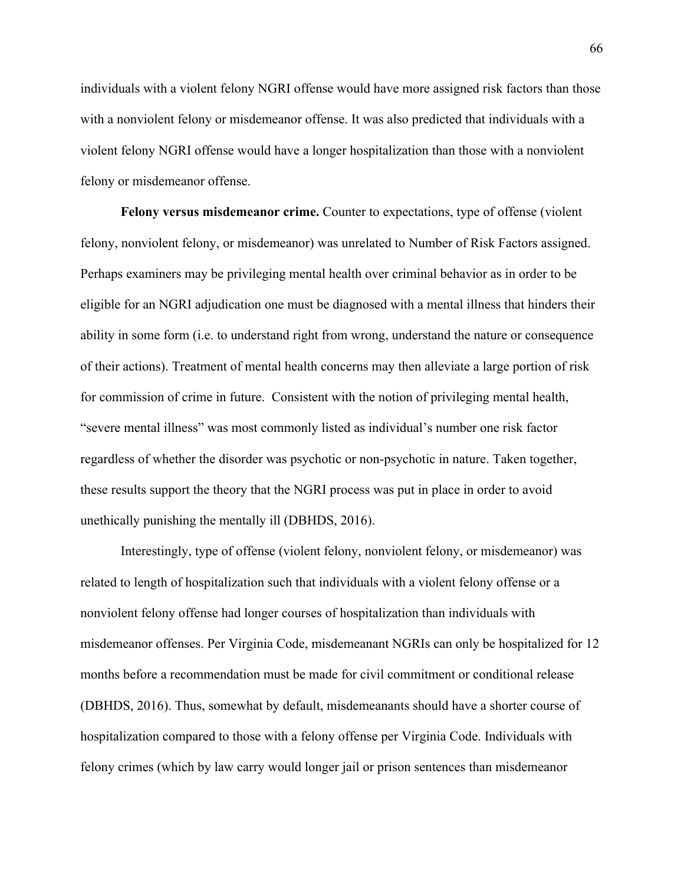individuals with a violent felony NGRI offense would have more assigned risk factors than those with a nonviolent felony or misdemeanor offense. It was also predicted that individuals with a violent felony NGRI offense would have a longer hospitalization than those with a nonviolent felony or misdemeanor offense.

**Felony versus misdemeanor crime.** Counter to expectations, type of offense (violent felony, nonviolent felony, or misdemeanor) was unrelated to Number of Risk Factors assigned. Perhaps examiners may be privileging mental health over criminal behavior as in order to be eligible for an NGRI adjudication one must be diagnosed with a mental illness that hinders their ability in some form (i.e. to understand right from wrong, understand the nature or consequence of their actions). Treatment of mental health concerns may then alleviate a large portion of risk for commission of crime in future. Consistent with the notion of privileging mental health, "severe mental illness" was most commonly listed as individual's number one risk factor regardless of whether the disorder was psychotic or non-psychotic in nature. Taken together, these results support the theory that the NGRI process was put in place in order to avoid unethically punishing the mentally ill (DBHDS, 2016).

Interestingly, type of offense (violent felony, nonviolent felony, or misdemeanor) was related to length of hospitalization such that individuals with a violent felony offense or a nonviolent felony offense had longer courses of hospitalization than individuals with misdemeanor offenses. Per Virginia Code, misdemeanant NGRIs can only be hospitalized for 12 months before a recommendation must be made for civil commitment or conditional release (DBHDS, 2016). Thus, somewhat by default, misdemeanants should have a shorter course of hospitalization compared to those with a felony offense per Virginia Code. Individuals with felony crimes (which by law carry would longer jail or prison sentences than misdemeanor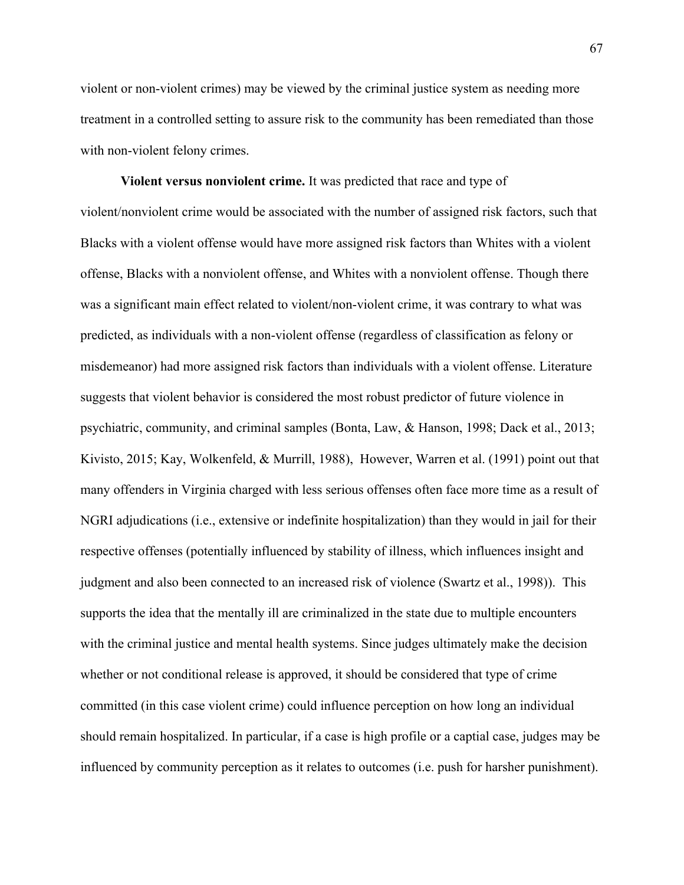violent or non-violent crimes) may be viewed by the criminal justice system as needing more treatment in a controlled setting to assure risk to the community has been remediated than those with non-violent felony crimes.

**Violent versus nonviolent crime.** It was predicted that race and type of violent/nonviolent crime would be associated with the number of assigned risk factors, such that Blacks with a violent offense would have more assigned risk factors than Whites with a violent offense, Blacks with a nonviolent offense, and Whites with a nonviolent offense. Though there was a significant main effect related to violent/non-violent crime, it was contrary to what was predicted, as individuals with a non-violent offense (regardless of classification as felony or misdemeanor) had more assigned risk factors than individuals with a violent offense. Literature suggests that violent behavior is considered the most robust predictor of future violence in psychiatric, community, and criminal samples (Bonta, Law, & Hanson, 1998; Dack et al., 2013; Kivisto, 2015; Kay, Wolkenfeld, & Murrill, 1988), However, Warren et al. (1991) point out that many offenders in Virginia charged with less serious offenses often face more time as a result of NGRI adjudications (i.e., extensive or indefinite hospitalization) than they would in jail for their respective offenses (potentially influenced by stability of illness, which influences insight and judgment and also been connected to an increased risk of violence (Swartz et al., 1998)). This supports the idea that the mentally ill are criminalized in the state due to multiple encounters with the criminal justice and mental health systems. Since judges ultimately make the decision whether or not conditional release is approved, it should be considered that type of crime committed (in this case violent crime) could influence perception on how long an individual should remain hospitalized. In particular, if a case is high profile or a captial case, judges may be influenced by community perception as it relates to outcomes (i.e. push for harsher punishment).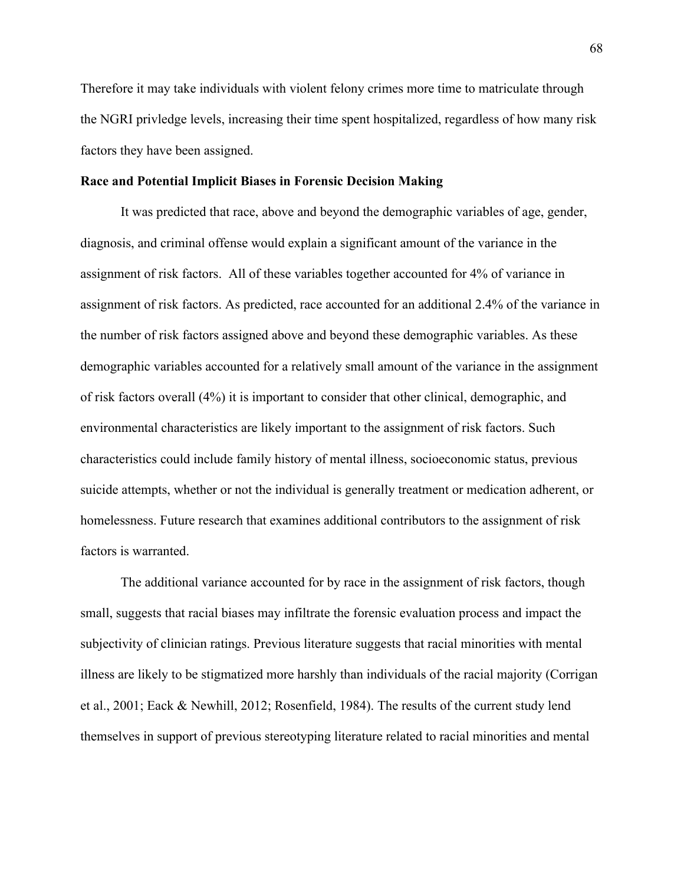Therefore it may take individuals with violent felony crimes more time to matriculate through the NGRI privledge levels, increasing their time spent hospitalized, regardless of how many risk factors they have been assigned.

#### **Race and Potential Implicit Biases in Forensic Decision Making**

It was predicted that race, above and beyond the demographic variables of age, gender, diagnosis, and criminal offense would explain a significant amount of the variance in the assignment of risk factors. All of these variables together accounted for 4% of variance in assignment of risk factors. As predicted, race accounted for an additional 2.4% of the variance in the number of risk factors assigned above and beyond these demographic variables. As these demographic variables accounted for a relatively small amount of the variance in the assignment of risk factors overall (4%) it is important to consider that other clinical, demographic, and environmental characteristics are likely important to the assignment of risk factors. Such characteristics could include family history of mental illness, socioeconomic status, previous suicide attempts, whether or not the individual is generally treatment or medication adherent, or homelessness. Future research that examines additional contributors to the assignment of risk factors is warranted.

The additional variance accounted for by race in the assignment of risk factors, though small, suggests that racial biases may infiltrate the forensic evaluation process and impact the subjectivity of clinician ratings. Previous literature suggests that racial minorities with mental illness are likely to be stigmatized more harshly than individuals of the racial majority (Corrigan et al., 2001; Eack & Newhill, 2012; Rosenfield, 1984). The results of the current study lend themselves in support of previous stereotyping literature related to racial minorities and mental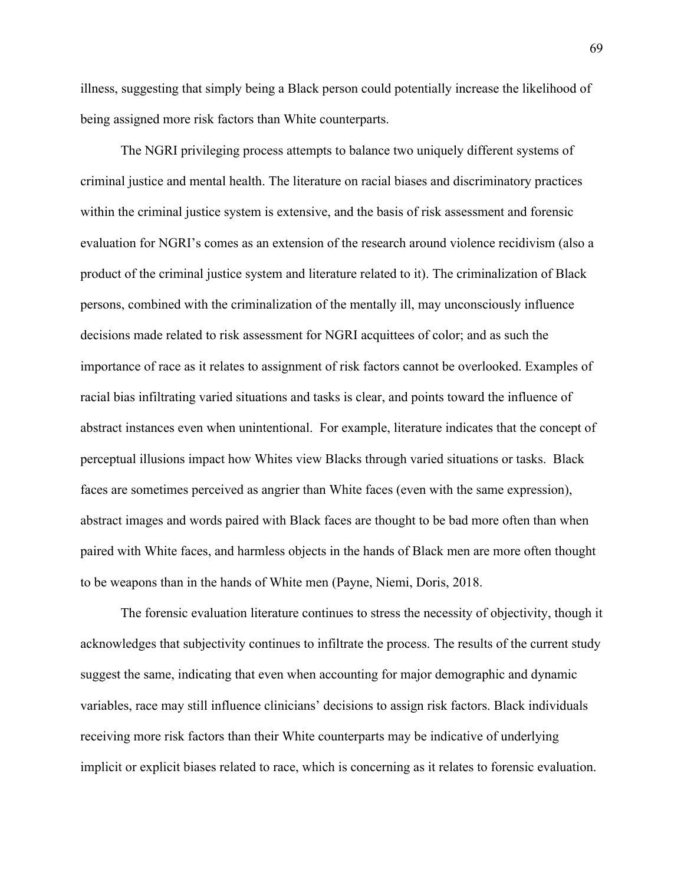illness, suggesting that simply being a Black person could potentially increase the likelihood of being assigned more risk factors than White counterparts.

The NGRI privileging process attempts to balance two uniquely different systems of criminal justice and mental health. The literature on racial biases and discriminatory practices within the criminal justice system is extensive, and the basis of risk assessment and forensic evaluation for NGRI's comes as an extension of the research around violence recidivism (also a product of the criminal justice system and literature related to it). The criminalization of Black persons, combined with the criminalization of the mentally ill, may unconsciously influence decisions made related to risk assessment for NGRI acquittees of color; and as such the importance of race as it relates to assignment of risk factors cannot be overlooked. Examples of racial bias infiltrating varied situations and tasks is clear, and points toward the influence of abstract instances even when unintentional. For example, literature indicates that the concept of perceptual illusions impact how Whites view Blacks through varied situations or tasks. Black faces are sometimes perceived as angrier than White faces (even with the same expression), abstract images and words paired with Black faces are thought to be bad more often than when paired with White faces, and harmless objects in the hands of Black men are more often thought to be weapons than in the hands of White men (Payne, Niemi, Doris, 2018.

The forensic evaluation literature continues to stress the necessity of objectivity, though it acknowledges that subjectivity continues to infiltrate the process. The results of the current study suggest the same, indicating that even when accounting for major demographic and dynamic variables, race may still influence clinicians' decisions to assign risk factors. Black individuals receiving more risk factors than their White counterparts may be indicative of underlying implicit or explicit biases related to race, which is concerning as it relates to forensic evaluation.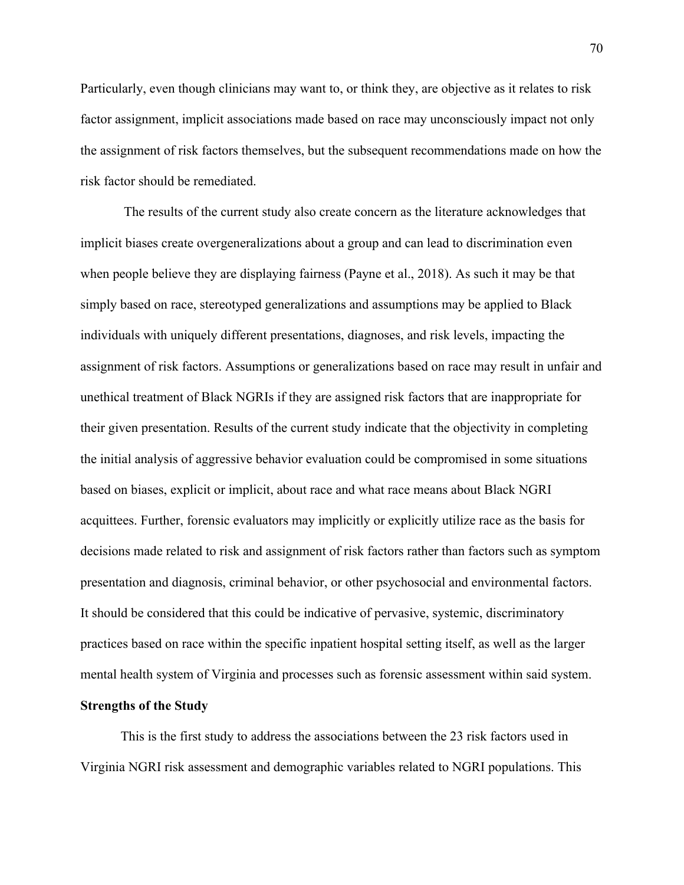Particularly, even though clinicians may want to, or think they, are objective as it relates to risk factor assignment, implicit associations made based on race may unconsciously impact not only the assignment of risk factors themselves, but the subsequent recommendations made on how the risk factor should be remediated.

The results of the current study also create concern as the literature acknowledges that implicit biases create overgeneralizations about a group and can lead to discrimination even when people believe they are displaying fairness (Payne et al., 2018). As such it may be that simply based on race, stereotyped generalizations and assumptions may be applied to Black individuals with uniquely different presentations, diagnoses, and risk levels, impacting the assignment of risk factors. Assumptions or generalizations based on race may result in unfair and unethical treatment of Black NGRIs if they are assigned risk factors that are inappropriate for their given presentation. Results of the current study indicate that the objectivity in completing the initial analysis of aggressive behavior evaluation could be compromised in some situations based on biases, explicit or implicit, about race and what race means about Black NGRI acquittees. Further, forensic evaluators may implicitly or explicitly utilize race as the basis for decisions made related to risk and assignment of risk factors rather than factors such as symptom presentation and diagnosis, criminal behavior, or other psychosocial and environmental factors. It should be considered that this could be indicative of pervasive, systemic, discriminatory practices based on race within the specific inpatient hospital setting itself, as well as the larger mental health system of Virginia and processes such as forensic assessment within said system.

## **Strengths of the Study**

This is the first study to address the associations between the 23 risk factors used in Virginia NGRI risk assessment and demographic variables related to NGRI populations. This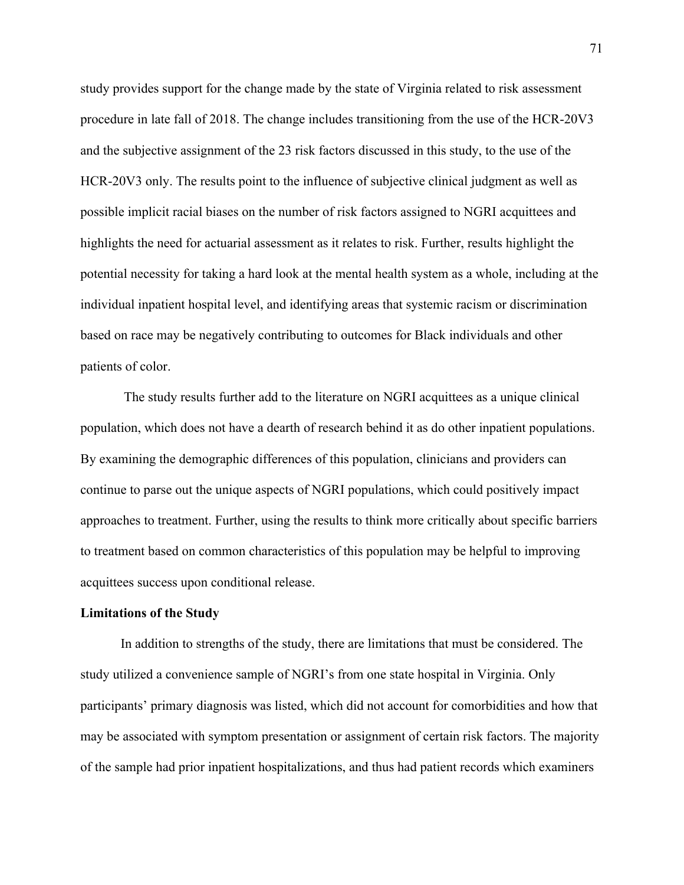study provides support for the change made by the state of Virginia related to risk assessment procedure in late fall of 2018. The change includes transitioning from the use of the HCR-20V3 and the subjective assignment of the 23 risk factors discussed in this study, to the use of the HCR-20V3 only. The results point to the influence of subjective clinical judgment as well as possible implicit racial biases on the number of risk factors assigned to NGRI acquittees and highlights the need for actuarial assessment as it relates to risk. Further, results highlight the potential necessity for taking a hard look at the mental health system as a whole, including at the individual inpatient hospital level, and identifying areas that systemic racism or discrimination based on race may be negatively contributing to outcomes for Black individuals and other patients of color.

The study results further add to the literature on NGRI acquittees as a unique clinical population, which does not have a dearth of research behind it as do other inpatient populations. By examining the demographic differences of this population, clinicians and providers can continue to parse out the unique aspects of NGRI populations, which could positively impact approaches to treatment. Further, using the results to think more critically about specific barriers to treatment based on common characteristics of this population may be helpful to improving acquittees success upon conditional release.

#### **Limitations of the Study**

In addition to strengths of the study, there are limitations that must be considered. The study utilized a convenience sample of NGRI's from one state hospital in Virginia. Only participants' primary diagnosis was listed, which did not account for comorbidities and how that may be associated with symptom presentation or assignment of certain risk factors. The majority of the sample had prior inpatient hospitalizations, and thus had patient records which examiners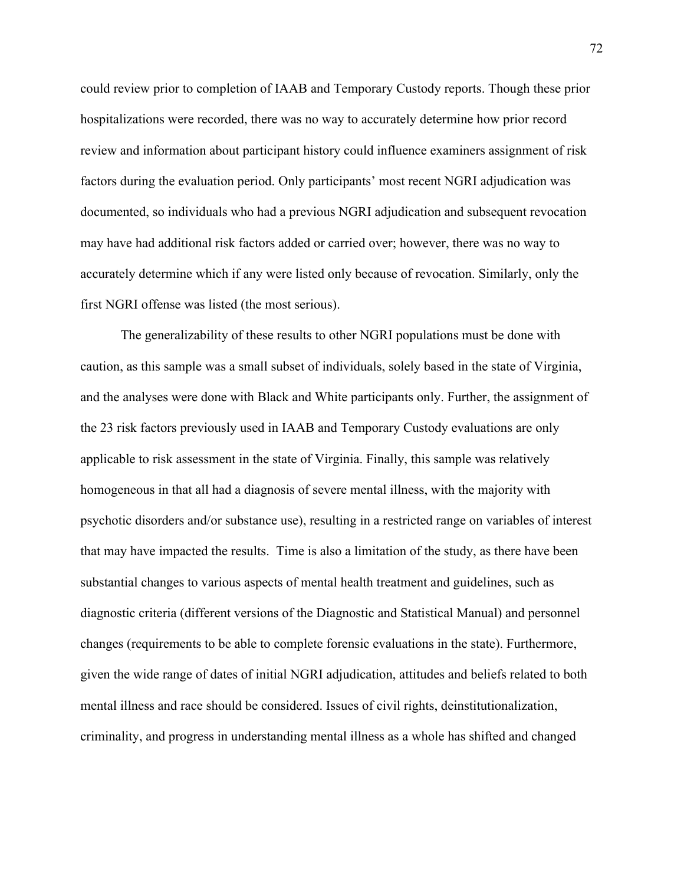could review prior to completion of IAAB and Temporary Custody reports. Though these prior hospitalizations were recorded, there was no way to accurately determine how prior record review and information about participant history could influence examiners assignment of risk factors during the evaluation period. Only participants' most recent NGRI adjudication was documented, so individuals who had a previous NGRI adjudication and subsequent revocation may have had additional risk factors added or carried over; however, there was no way to accurately determine which if any were listed only because of revocation. Similarly, only the first NGRI offense was listed (the most serious).

The generalizability of these results to other NGRI populations must be done with caution, as this sample was a small subset of individuals, solely based in the state of Virginia, and the analyses were done with Black and White participants only. Further, the assignment of the 23 risk factors previously used in IAAB and Temporary Custody evaluations are only applicable to risk assessment in the state of Virginia. Finally, this sample was relatively homogeneous in that all had a diagnosis of severe mental illness, with the majority with psychotic disorders and/or substance use), resulting in a restricted range on variables of interest that may have impacted the results. Time is also a limitation of the study, as there have been substantial changes to various aspects of mental health treatment and guidelines, such as diagnostic criteria (different versions of the Diagnostic and Statistical Manual) and personnel changes (requirements to be able to complete forensic evaluations in the state). Furthermore, given the wide range of dates of initial NGRI adjudication, attitudes and beliefs related to both mental illness and race should be considered. Issues of civil rights, deinstitutionalization, criminality, and progress in understanding mental illness as a whole has shifted and changed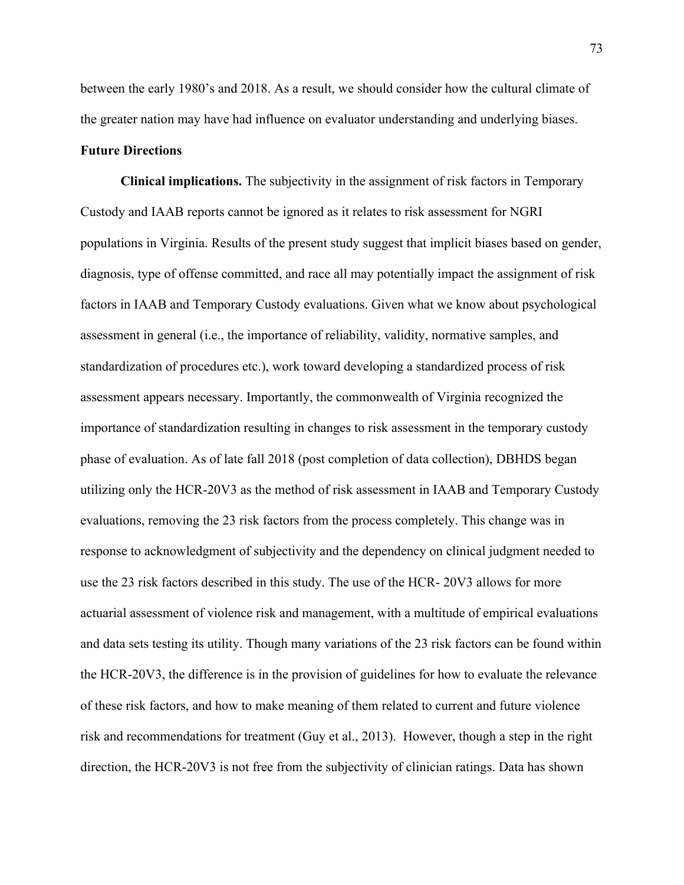between the early 1980's and 2018. As a result, we should consider how the cultural climate of the greater nation may have had influence on evaluator understanding and underlying biases.

# **Future Directions**

**Clinical implications.** The subjectivity in the assignment of risk factors in Temporary Custody and IAAB reports cannot be ignored as it relates to risk assessment for NGRI populations in Virginia. Results of the present study suggest that implicit biases based on gender, diagnosis, type of offense committed, and race all may potentially impact the assignment of risk factors in IAAB and Temporary Custody evaluations. Given what we know about psychological assessment in general (i.e., the importance of reliability, validity, normative samples, and standardization of procedures etc.), work toward developing a standardized process of risk assessment appears necessary. Importantly, the commonwealth of Virginia recognized the importance of standardization resulting in changes to risk assessment in the temporary custody phase of evaluation. As of late fall 2018 (post completion of data collection), DBHDS began utilizing only the HCR-20V3 as the method of risk assessment in IAAB and Temporary Custody evaluations, removing the 23 risk factors from the process completely. This change was in response to acknowledgment of subjectivity and the dependency on clinical judgment needed to use the 23 risk factors described in this study. The use of the HCR- 20V3 allows for more actuarial assessment of violence risk and management, with a multitude of empirical evaluations and data sets testing its utility. Though many variations of the 23 risk factors can be found within the HCR-20V3, the difference is in the provision of guidelines for how to evaluate the relevance of these risk factors, and how to make meaning of them related to current and future violence risk and recommendations for treatment (Guy et al., 2013). However, though a step in the right direction, the HCR-20V3 is not free from the subjectivity of clinician ratings. Data has shown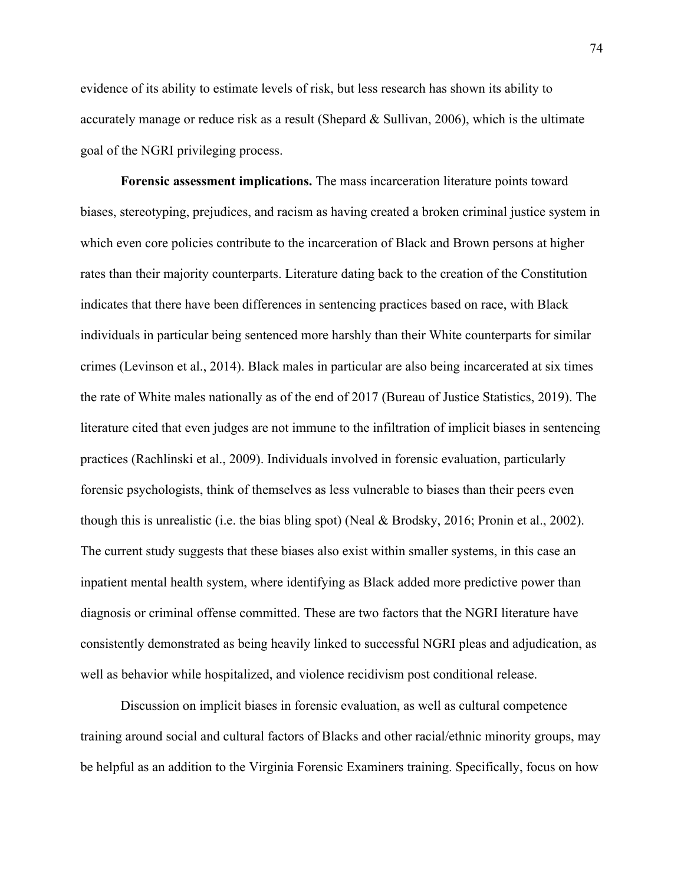evidence of its ability to estimate levels of risk, but less research has shown its ability to accurately manage or reduce risk as a result (Shepard & Sullivan, 2006), which is the ultimate goal of the NGRI privileging process.

**Forensic assessment implications.** The mass incarceration literature points toward biases, stereotyping, prejudices, and racism as having created a broken criminal justice system in which even core policies contribute to the incarceration of Black and Brown persons at higher rates than their majority counterparts. Literature dating back to the creation of the Constitution indicates that there have been differences in sentencing practices based on race, with Black individuals in particular being sentenced more harshly than their White counterparts for similar crimes (Levinson et al., 2014). Black males in particular are also being incarcerated at six times the rate of White males nationally as of the end of 2017 (Bureau of Justice Statistics, 2019). The literature cited that even judges are not immune to the infiltration of implicit biases in sentencing practices (Rachlinski et al., 2009). Individuals involved in forensic evaluation, particularly forensic psychologists, think of themselves as less vulnerable to biases than their peers even though this is unrealistic (i.e. the bias bling spot) (Neal & Brodsky, 2016; Pronin et al., 2002). The current study suggests that these biases also exist within smaller systems, in this case an inpatient mental health system, where identifying as Black added more predictive power than diagnosis or criminal offense committed. These are two factors that the NGRI literature have consistently demonstrated as being heavily linked to successful NGRI pleas and adjudication, as well as behavior while hospitalized, and violence recidivism post conditional release.

Discussion on implicit biases in forensic evaluation, as well as cultural competence training around social and cultural factors of Blacks and other racial/ethnic minority groups, may be helpful as an addition to the Virginia Forensic Examiners training. Specifically, focus on how

74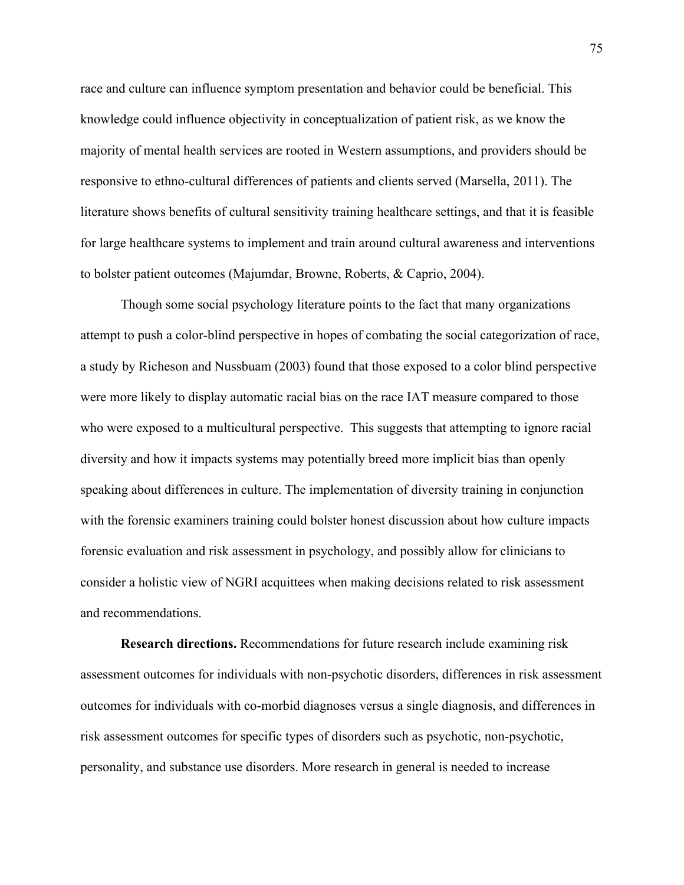race and culture can influence symptom presentation and behavior could be beneficial. This knowledge could influence objectivity in conceptualization of patient risk, as we know the majority of mental health services are rooted in Western assumptions, and providers should be responsive to ethno-cultural differences of patients and clients served (Marsella, 2011). The literature shows benefits of cultural sensitivity training healthcare settings, and that it is feasible for large healthcare systems to implement and train around cultural awareness and interventions to bolster patient outcomes (Majumdar, Browne, Roberts, & Caprio, 2004).

Though some social psychology literature points to the fact that many organizations attempt to push a color-blind perspective in hopes of combating the social categorization of race, a study by Richeson and Nussbuam (2003) found that those exposed to a color blind perspective were more likely to display automatic racial bias on the race IAT measure compared to those who were exposed to a multicultural perspective. This suggests that attempting to ignore racial diversity and how it impacts systems may potentially breed more implicit bias than openly speaking about differences in culture. The implementation of diversity training in conjunction with the forensic examiners training could bolster honest discussion about how culture impacts forensic evaluation and risk assessment in psychology, and possibly allow for clinicians to consider a holistic view of NGRI acquittees when making decisions related to risk assessment and recommendations.

**Research directions.** Recommendations for future research include examining risk assessment outcomes for individuals with non-psychotic disorders, differences in risk assessment outcomes for individuals with co-morbid diagnoses versus a single diagnosis, and differences in risk assessment outcomes for specific types of disorders such as psychotic, non-psychotic, personality, and substance use disorders. More research in general is needed to increase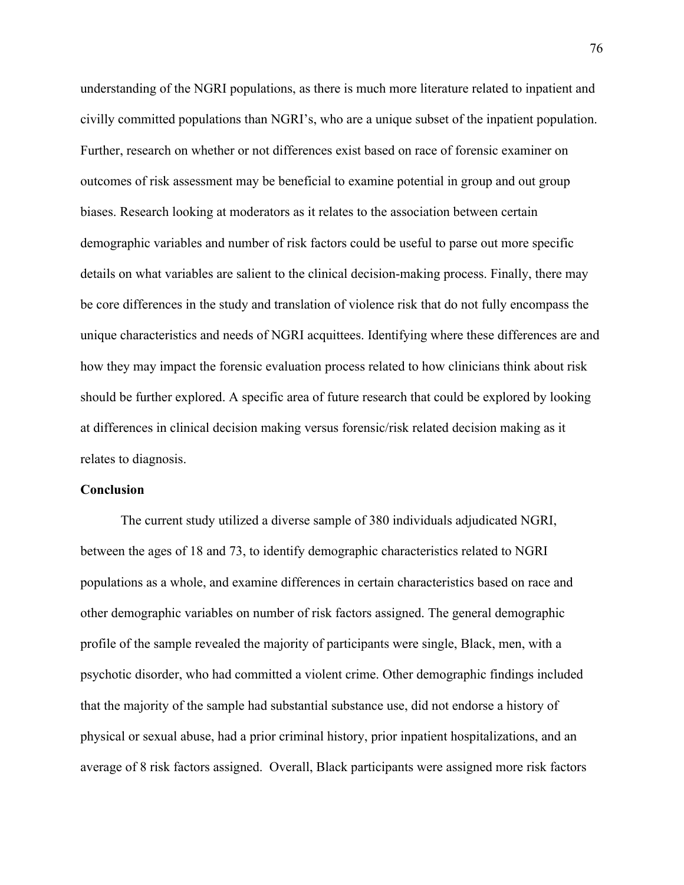understanding of the NGRI populations, as there is much more literature related to inpatient and civilly committed populations than NGRI's, who are a unique subset of the inpatient population. Further, research on whether or not differences exist based on race of forensic examiner on outcomes of risk assessment may be beneficial to examine potential in group and out group biases. Research looking at moderators as it relates to the association between certain demographic variables and number of risk factors could be useful to parse out more specific details on what variables are salient to the clinical decision-making process. Finally, there may be core differences in the study and translation of violence risk that do not fully encompass the unique characteristics and needs of NGRI acquittees. Identifying where these differences are and how they may impact the forensic evaluation process related to how clinicians think about risk should be further explored. A specific area of future research that could be explored by looking at differences in clinical decision making versus forensic/risk related decision making as it relates to diagnosis.

#### **Conclusion**

The current study utilized a diverse sample of 380 individuals adjudicated NGRI, between the ages of 18 and 73, to identify demographic characteristics related to NGRI populations as a whole, and examine differences in certain characteristics based on race and other demographic variables on number of risk factors assigned. The general demographic profile of the sample revealed the majority of participants were single, Black, men, with a psychotic disorder, who had committed a violent crime. Other demographic findings included that the majority of the sample had substantial substance use, did not endorse a history of physical or sexual abuse, had a prior criminal history, prior inpatient hospitalizations, and an average of 8 risk factors assigned. Overall, Black participants were assigned more risk factors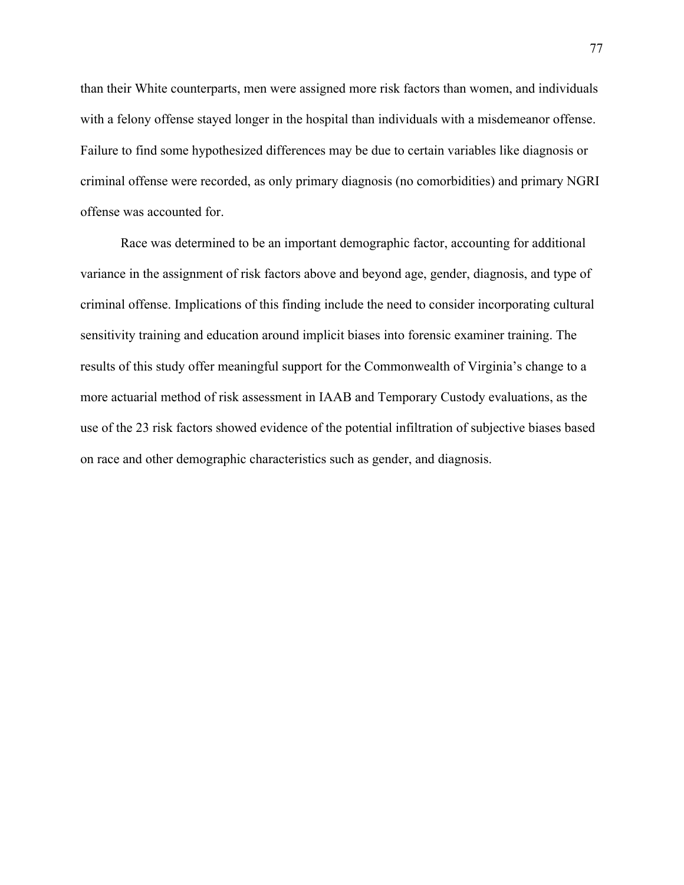than their White counterparts, men were assigned more risk factors than women, and individuals with a felony offense stayed longer in the hospital than individuals with a misdemeanor offense. Failure to find some hypothesized differences may be due to certain variables like diagnosis or criminal offense were recorded, as only primary diagnosis (no comorbidities) and primary NGRI offense was accounted for.

Race was determined to be an important demographic factor, accounting for additional variance in the assignment of risk factors above and beyond age, gender, diagnosis, and type of criminal offense. Implications of this finding include the need to consider incorporating cultural sensitivity training and education around implicit biases into forensic examiner training. The results of this study offer meaningful support for the Commonwealth of Virginia's change to a more actuarial method of risk assessment in IAAB and Temporary Custody evaluations, as the use of the 23 risk factors showed evidence of the potential infiltration of subjective biases based on race and other demographic characteristics such as gender, and diagnosis.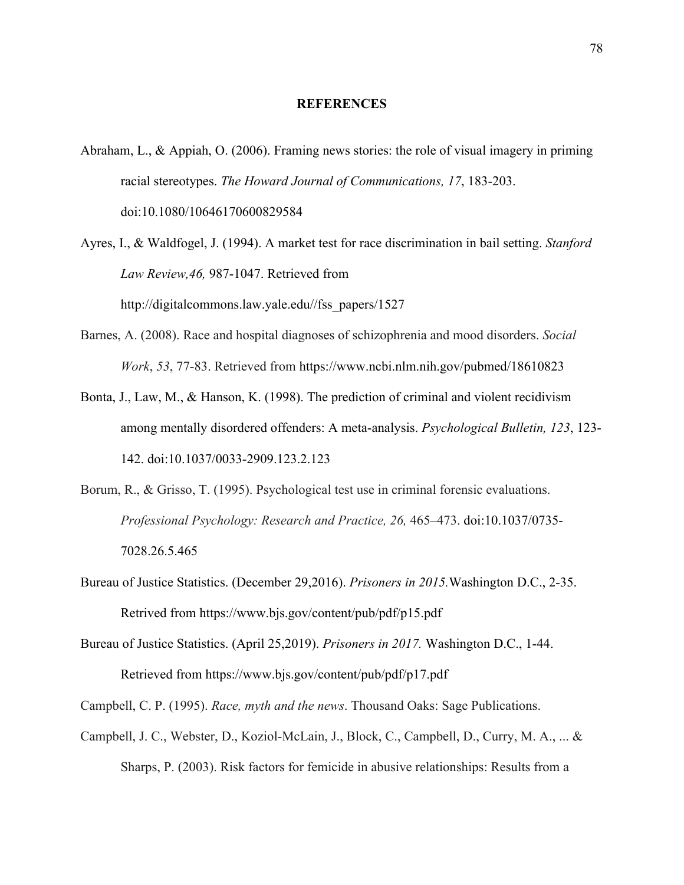#### **REFERENCES**

- Abraham, L., & Appiah, O. (2006). Framing news stories: the role of visual imagery in priming racial stereotypes. *The Howard Journal of Communications, 17*, 183-203. doi:10.1080/10646170600829584
- Ayres, I., & Waldfogel, J. (1994). A market test for race discrimination in bail setting. *Stanford Law Review,46,* 987-1047. Retrieved from http://digitalcommons.law.yale.edu//fss\_papers/1527
- Barnes, A. (2008). Race and hospital diagnoses of schizophrenia and mood disorders. *Social Work*, *53*, 77-83. Retrieved from https://www.ncbi.nlm.nih.gov/pubmed/18610823
- Bonta, J., Law, M., & Hanson, K. (1998). The prediction of criminal and violent recidivism among mentally disordered offenders: A meta-analysis. *Psychological Bulletin, 123*, 123- 142. doi:10.1037/0033-2909.123.2.123
- Borum, R., & Grisso, T. (1995). Psychological test use in criminal forensic evaluations. *Professional Psychology: Research and Practice, 26,* 465–473. doi:10.1037/0735- 7028.26.5.465
- Bureau of Justice Statistics. (December 29,2016). *Prisoners in 2015.*Washington D.C., 2-35. Retrived from https://www.bjs.gov/content/pub/pdf/p15.pdf
- Bureau of Justice Statistics. (April 25,2019). *Prisoners in 2017.* Washington D.C., 1-44. Retrieved from https://www.bjs.gov/content/pub/pdf/p17.pdf
- Campbell, C. P. (1995). *Race, myth and the news*. Thousand Oaks: Sage Publications.
- Campbell, J. C., Webster, D., Koziol-McLain, J., Block, C., Campbell, D., Curry, M. A., ... & Sharps, P. (2003). Risk factors for femicide in abusive relationships: Results from a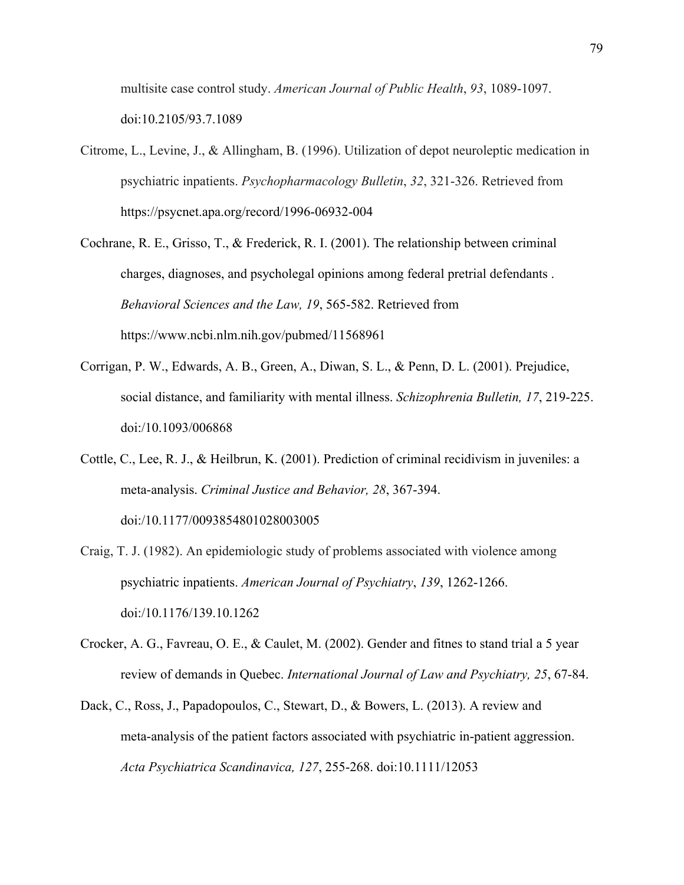multisite case control study. *American Journal of Public Health*, *93*, 1089-1097. doi:10.2105/93.7.1089

- Citrome, L., Levine, J., & Allingham, B. (1996). Utilization of depot neuroleptic medication in psychiatric inpatients. *Psychopharmacology Bulletin*, *32*, 321-326. Retrieved from https://psycnet.apa.org/record/1996-06932-004
- Cochrane, R. E., Grisso, T., & Frederick, R. I. (2001). The relationship between criminal charges, diagnoses, and psycholegal opinions among federal pretrial defendants . *Behavioral Sciences and the Law, 19*, 565-582. Retrieved from https://www.ncbi.nlm.nih.gov/pubmed/11568961
- Corrigan, P. W., Edwards, A. B., Green, A., Diwan, S. L., & Penn, D. L. (2001). Prejudice, social distance, and familiarity with mental illness. *Schizophrenia Bulletin, 17*, 219-225. doi:/10.1093/006868
- Cottle, C., Lee, R. J., & Heilbrun, K. (2001). Prediction of criminal recidivism in juveniles: a meta-analysis. *Criminal Justice and Behavior, 28*, 367-394. doi:/10.1177/0093854801028003005
- Craig, T. J. (1982). An epidemiologic study of problems associated with violence among psychiatric inpatients. *American Journal of Psychiatry*, *139*, 1262-1266. doi:/10.1176/139.10.1262
- Crocker, A. G., Favreau, O. E., & Caulet, M. (2002). Gender and fitnes to stand trial a 5 year review of demands in Quebec. *International Journal of Law and Psychiatry, 25*, 67-84.
- Dack, C., Ross, J., Papadopoulos, C., Stewart, D., & Bowers, L. (2013). A review and meta-analysis of the patient factors associated with psychiatric in-patient aggression. *Acta Psychiatrica Scandinavica, 127*, 255-268. doi:10.1111/12053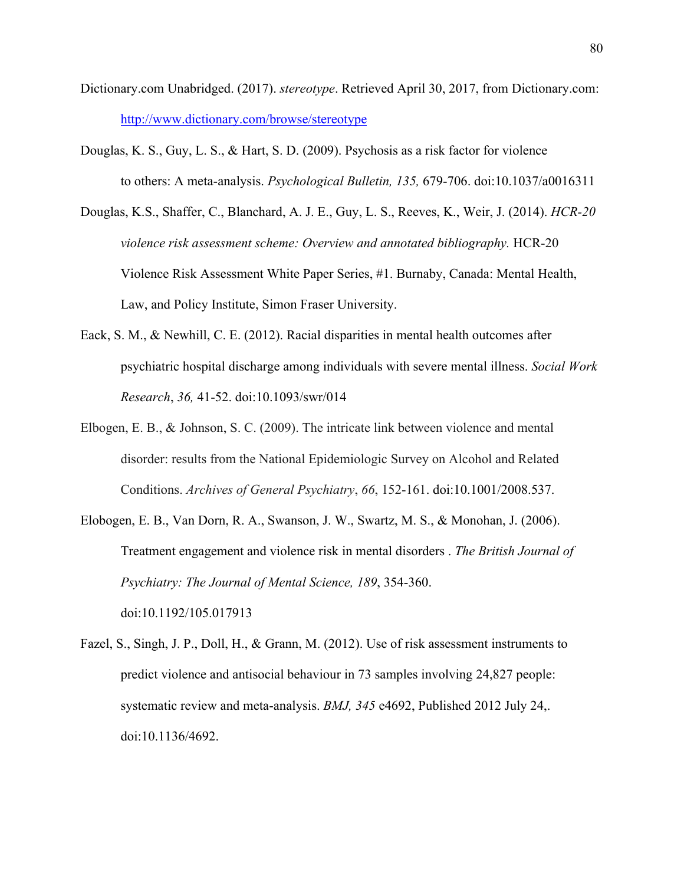- Dictionary.com Unabridged. (2017). *stereotype*. Retrieved April 30, 2017, from Dictionary.com: http://www.dictionary.com/browse/stereotype
- Douglas, K. S., Guy, L. S., & Hart, S. D. (2009). Psychosis as a risk factor for violence to others: A meta-analysis. *Psychological Bulletin, 135,* 679-706. doi:10.1037/a0016311
- Douglas, K.S., Shaffer, C., Blanchard, A. J. E., Guy, L. S., Reeves, K., Weir, J. (2014). *HCR-20 violence risk assessment scheme: Overview and annotated bibliography.* HCR-20 Violence Risk Assessment White Paper Series, #1. Burnaby, Canada: Mental Health, Law, and Policy Institute, Simon Fraser University.
- Eack, S. M., & Newhill, C. E. (2012). Racial disparities in mental health outcomes after psychiatric hospital discharge among individuals with severe mental illness. *Social Work Research*, *36,* 41-52. doi:10.1093/swr/014
- Elbogen, E. B., & Johnson, S. C. (2009). The intricate link between violence and mental disorder: results from the National Epidemiologic Survey on Alcohol and Related Conditions. *Archives of General Psychiatry*, *66*, 152-161. doi:10.1001/2008.537.
- Elobogen, E. B., Van Dorn, R. A., Swanson, J. W., Swartz, M. S., & Monohan, J. (2006). Treatment engagement and violence risk in mental disorders . *The British Journal of Psychiatry: The Journal of Mental Science, 189*, 354-360. doi:10.1192/105.017913
- Fazel, S., Singh, J. P., Doll, H., & Grann, M. (2012). Use of risk assessment instruments to predict violence and antisocial behaviour in 73 samples involving 24,827 people: systematic review and meta-analysis. *BMJ, 345* e4692, Published 2012 July 24,. doi:10.1136/4692.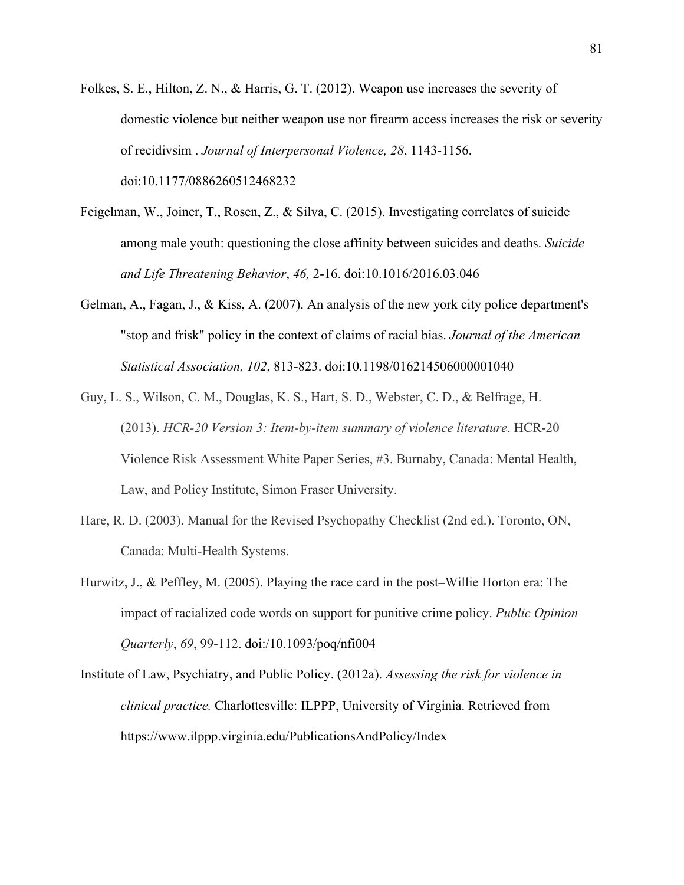- Folkes, S. E., Hilton, Z. N., & Harris, G. T. (2012). Weapon use increases the severity of domestic violence but neither weapon use nor firearm access increases the risk or severity of recidivsim . *Journal of Interpersonal Violence, 28*, 1143-1156. doi:10.1177/0886260512468232
- Feigelman, W., Joiner, T., Rosen, Z., & Silva, C. (2015). Investigating correlates of suicide among male youth: questioning the close affinity between suicides and deaths. *Suicide and Life Threatening Behavior*, *46,* 2-16. doi:10.1016/2016.03.046
- Gelman, A., Fagan, J., & Kiss, A. (2007). An analysis of the new york city police department's "stop and frisk" policy in the context of claims of racial bias. *Journal of the American Statistical Association, 102*, 813-823. doi:10.1198/016214506000001040
- Guy, L. S., Wilson, C. M., Douglas, K. S., Hart, S. D., Webster, C. D., & Belfrage, H. (2013). *HCR-20 Version 3: Item-by-item summary of violence literature*. HCR-20 Violence Risk Assessment White Paper Series, #3. Burnaby, Canada: Mental Health, Law, and Policy Institute, Simon Fraser University.
- Hare, R. D. (2003). Manual for the Revised Psychopathy Checklist (2nd ed.). Toronto, ON, Canada: Multi-Health Systems.
- Hurwitz, J., & Peffley, M. (2005). Playing the race card in the post–Willie Horton era: The impact of racialized code words on support for punitive crime policy. *Public Opinion Quarterly*, *69*, 99-112. doi:/10.1093/poq/nfi004
- Institute of Law, Psychiatry, and Public Policy. (2012a). *Assessing the risk for violence in clinical practice.* Charlottesville: ILPPP, University of Virginia. Retrieved from https://www.ilppp.virginia.edu/PublicationsAndPolicy/Index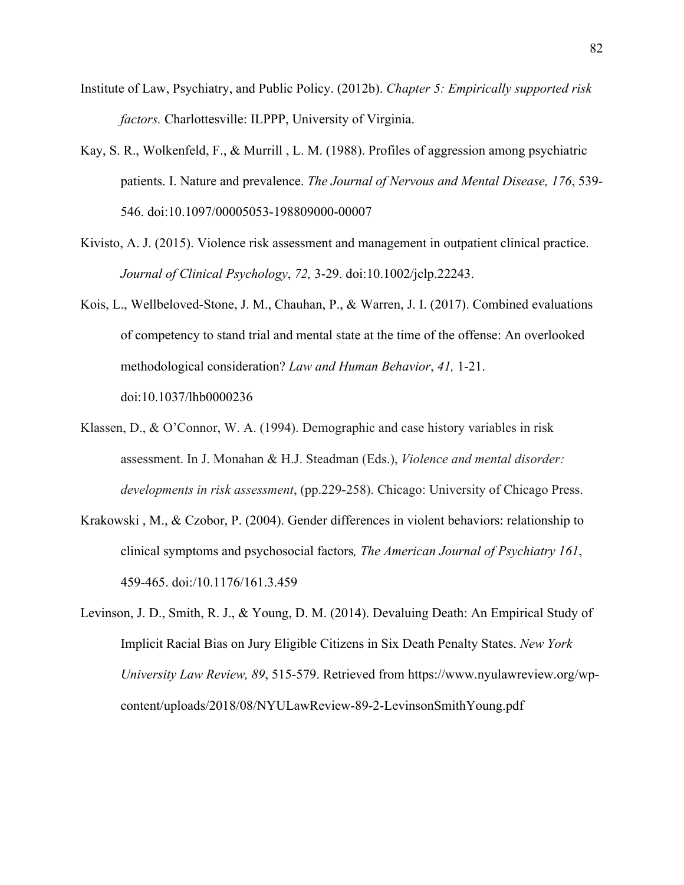- Institute of Law, Psychiatry, and Public Policy. (2012b). *Chapter 5: Empirically supported risk factors.* Charlottesville: ILPPP, University of Virginia.
- Kay, S. R., Wolkenfeld, F., & Murrill , L. M. (1988). Profiles of aggression among psychiatric patients. I. Nature and prevalence. *The Journal of Nervous and Mental Disease, 176*, 539- 546. doi:10.1097/00005053-198809000-00007
- Kivisto, A. J. (2015). Violence risk assessment and management in outpatient clinical practice. *Journal of Clinical Psychology*, *72,* 3-29. doi:10.1002/jclp.22243.
- Kois, L., Wellbeloved-Stone, J. M., Chauhan, P., & Warren, J. I. (2017). Combined evaluations of competency to stand trial and mental state at the time of the offense: An overlooked methodological consideration? *Law and Human Behavior*, *41,* 1-21. doi:10.1037/lhb0000236
- Klassen, D., & O'Connor, W. A. (1994). Demographic and case history variables in risk assessment. In J. Monahan & H.J. Steadman (Eds.), *Violence and mental disorder: developments in risk assessment*, (pp.229-258). Chicago: University of Chicago Press.
- Krakowski , M., & Czobor, P. (2004). Gender differences in violent behaviors: relationship to clinical symptoms and psychosocial factors*, The American Journal of Psychiatry 161*, 459-465. doi:/10.1176/161.3.459
- Levinson, J. D., Smith, R. J., & Young, D. M. (2014). Devaluing Death: An Empirical Study of Implicit Racial Bias on Jury Eligible Citizens in Six Death Penalty States. *New York University Law Review, 89*, 515-579. Retrieved from https://www.nyulawreview.org/wpcontent/uploads/2018/08/NYULawReview-89-2-LevinsonSmithYoung.pdf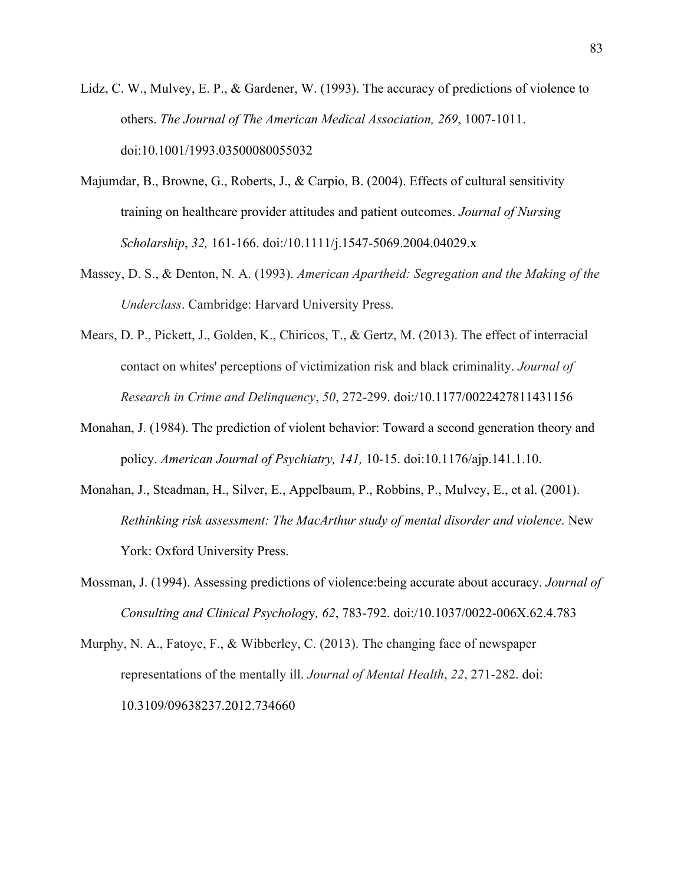- Lidz, C. W., Mulvey, E. P., & Gardener, W. (1993). The accuracy of predictions of violence to others. *The Journal of The American Medical Association, 269*, 1007-1011. doi:10.1001/1993.03500080055032
- Majumdar, B., Browne, G., Roberts, J., & Carpio, B. (2004). Effects of cultural sensitivity training on healthcare provider attitudes and patient outcomes. *Journal of Nursing Scholarship*, *32,* 161-166. doi:/10.1111/j.1547-5069.2004.04029.x
- Massey, D. S., & Denton, N. A. (1993). *American Apartheid: Segregation and the Making of the Underclass*. Cambridge: Harvard University Press.
- Mears, D. P., Pickett, J., Golden, K., Chiricos, T., & Gertz, M. (2013). The effect of interracial contact on whites' perceptions of victimization risk and black criminality. *Journal of Research in Crime and Delinquency*, *50*, 272-299. doi:/10.1177/0022427811431156
- Monahan, J. (1984). The prediction of violent behavior: Toward a second generation theory and policy. *American Journal of Psychiatry, 141,* 10-15. doi:10.1176/ajp.141.1.10.
- Monahan, J., Steadman, H., Silver, E., Appelbaum, P., Robbins, P., Mulvey, E., et al. (2001). *Rethinking risk assessment: The MacArthur study of mental disorder and violence*. New York: Oxford University Press.
- Mossman, J. (1994). Assessing predictions of violence:being accurate about accuracy. *Journal of Consulting and Clinical Psycholog*y*, 62*, 783-792. doi:/10.1037/0022-006X.62.4.783
- Murphy, N. A., Fatoye, F., & Wibberley, C. (2013). The changing face of newspaper representations of the mentally ill. *Journal of Mental Health*, *22*, 271-282. doi: 10.3109/09638237.2012.734660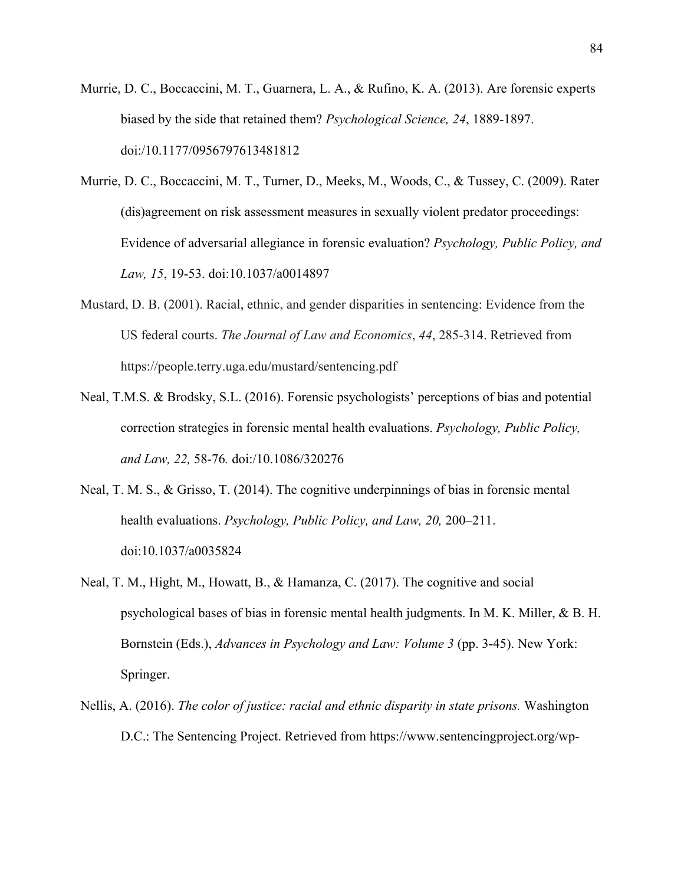- Murrie, D. C., Boccaccini, M. T., Guarnera, L. A., & Rufino, K. A. (2013). Are forensic experts biased by the side that retained them? *Psychological Science, 24*, 1889-1897. doi:/10.1177/0956797613481812
- Murrie, D. C., Boccaccini, M. T., Turner, D., Meeks, M., Woods, C., & Tussey, C. (2009). Rater (dis)agreement on risk assessment measures in sexually violent predator proceedings: Evidence of adversarial allegiance in forensic evaluation? *Psychology, Public Policy, and Law, 15*, 19-53. doi:10.1037/a0014897
- Mustard, D. B. (2001). Racial, ethnic, and gender disparities in sentencing: Evidence from the US federal courts. *The Journal of Law and Economics*, *44*, 285-314. Retrieved from https://people.terry.uga.edu/mustard/sentencing.pdf
- Neal, T.M.S. & Brodsky, S.L. (2016). Forensic psychologists' perceptions of bias and potential correction strategies in forensic mental health evaluations. *Psychology, Public Policy, and Law, 22,* 58-76*.* doi:/10.1086/320276
- Neal, T. M. S., & Grisso, T. (2014). The cognitive underpinnings of bias in forensic mental health evaluations. *Psychology, Public Policy, and Law, 20,* 200–211. doi:10.1037/a0035824
- Neal, T. M., Hight, M., Howatt, B., & Hamanza, C. (2017). The cognitive and social psychological bases of bias in forensic mental health judgments. In M. K. Miller, & B. H. Bornstein (Eds.), *Advances in Psychology and Law: Volume 3* (pp. 3-45). New York: Springer.
- Nellis, A. (2016). *The color of justice: racial and ethnic disparity in state prisons.* Washington D.C.: The Sentencing Project. Retrieved from https://www.sentencingproject.org/wp-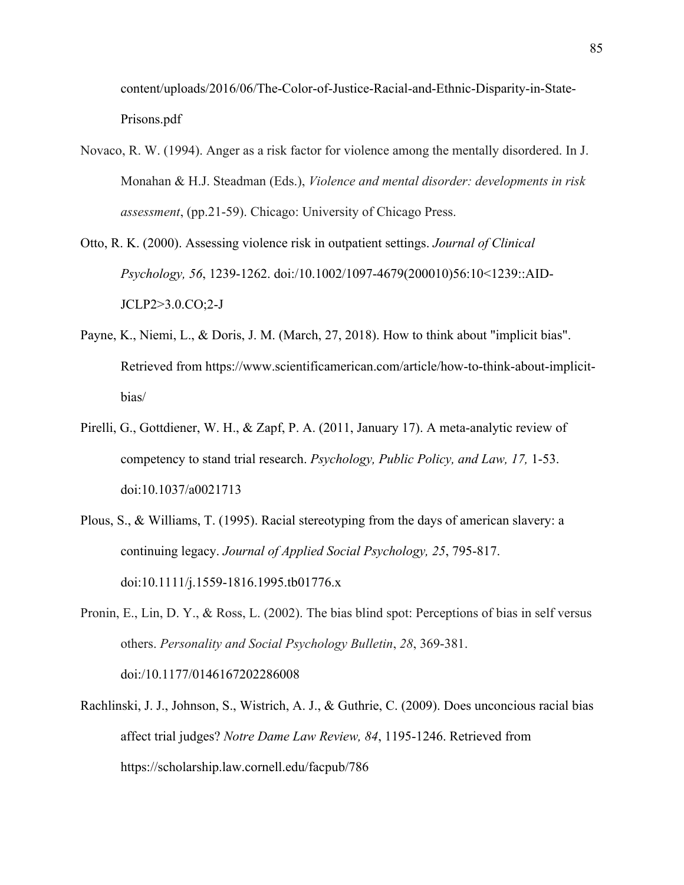content/uploads/2016/06/The-Color-of-Justice-Racial-and-Ethnic-Disparity-in-State-Prisons.pdf

- Novaco, R. W. (1994). Anger as a risk factor for violence among the mentally disordered. In J. Monahan & H.J. Steadman (Eds.), *Violence and mental disorder: developments in risk assessment*, (pp.21-59). Chicago: University of Chicago Press.
- Otto, R. K. (2000). Assessing violence risk in outpatient settings. *Journal of Clinical Psychology, 56*, 1239-1262. doi:/10.1002/1097-4679(200010)56:10<1239::AID-JCLP2>3.0.CO;2-J
- Payne, K., Niemi, L., & Doris, J. M. (March, 27, 2018). How to think about "implicit bias". Retrieved from https://www.scientificamerican.com/article/how-to-think-about-implicitbias/
- Pirelli, G., Gottdiener, W. H., & Zapf, P. A. (2011, January 17). A meta-analytic review of competency to stand trial research. *Psychology, Public Policy, and Law, 17,* 1-53. doi:10.1037/a0021713
- Plous, S., & Williams, T. (1995). Racial stereotyping from the days of american slavery: a continuing legacy. *Journal of Applied Social Psychology, 25*, 795-817. doi:10.1111/j.1559-1816.1995.tb01776.x
- Pronin, E., Lin, D. Y., & Ross, L. (2002). The bias blind spot: Perceptions of bias in self versus others. *Personality and Social Psychology Bulletin*, *28*, 369-381. doi:/10.1177/0146167202286008
- Rachlinski, J. J., Johnson, S., Wistrich, A. J., & Guthrie, C. (2009). Does unconcious racial bias affect trial judges? *Notre Dame Law Review, 84*, 1195-1246. Retrieved from https://scholarship.law.cornell.edu/facpub/786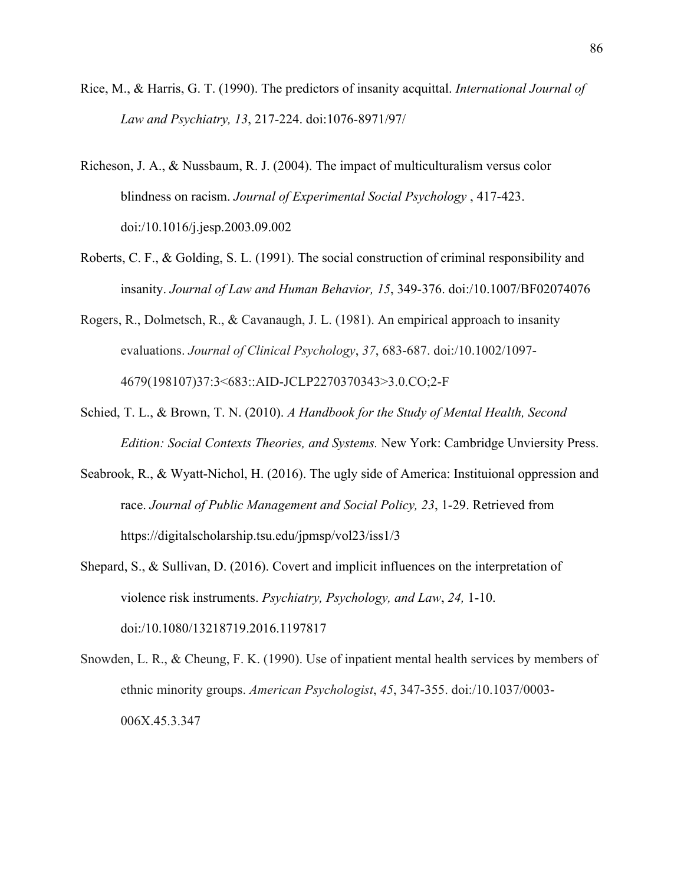- Rice, M., & Harris, G. T. (1990). The predictors of insanity acquittal. *International Journal of Law and Psychiatry, 13*, 217-224. doi:1076-8971/97/
- Richeson, J. A., & Nussbaum, R. J. (2004). The impact of multiculturalism versus color blindness on racism. *Journal of Experimental Social Psychology* , 417-423. doi:/10.1016/j.jesp.2003.09.002
- Roberts, C. F., & Golding, S. L. (1991). The social construction of criminal responsibility and insanity. *Journal of Law and Human Behavior, 15*, 349-376. doi:/10.1007/BF02074076
- Rogers, R., Dolmetsch, R., & Cavanaugh, J. L. (1981). An empirical approach to insanity evaluations. *Journal of Clinical Psychology*, *37*, 683-687. doi:/10.1002/1097- 4679(198107)37:3<683::AID-JCLP2270370343>3.0.CO;2-F
- Schied, T. L., & Brown, T. N. (2010). *A Handbook for the Study of Mental Health, Second Edition: Social Contexts Theories, and Systems.* New York: Cambridge Unviersity Press.
- Seabrook, R., & Wyatt-Nichol, H. (2016). The ugly side of America: Instituional oppression and race. *Journal of Public Management and Social Policy, 23*, 1-29. Retrieved from https://digitalscholarship.tsu.edu/jpmsp/vol23/iss1/3
- Shepard, S., & Sullivan, D. (2016). Covert and implicit influences on the interpretation of violence risk instruments. *Psychiatry, Psychology, and Law*, *24,* 1-10. doi:/10.1080/13218719.2016.1197817
- Snowden, L. R., & Cheung, F. K. (1990). Use of inpatient mental health services by members of ethnic minority groups. *American Psychologist*, *45*, 347-355. doi:/10.1037/0003- 006X.45.3.347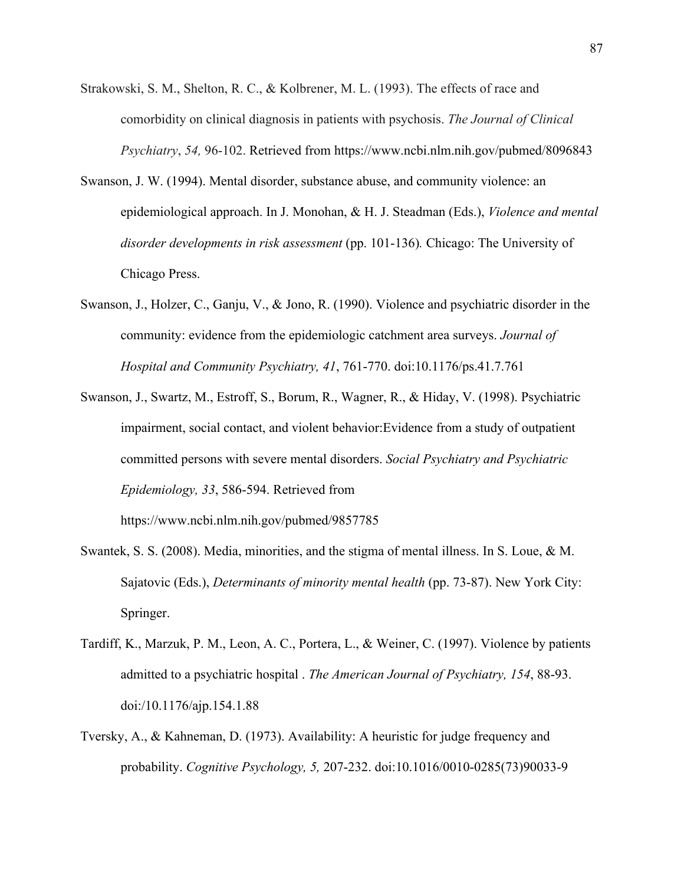- Strakowski, S. M., Shelton, R. C., & Kolbrener, M. L. (1993). The effects of race and comorbidity on clinical diagnosis in patients with psychosis. *The Journal of Clinical Psychiatry*, *54,* 96-102. Retrieved from https://www.ncbi.nlm.nih.gov/pubmed/8096843
- Swanson, J. W. (1994). Mental disorder, substance abuse, and community violence: an epidemiological approach. In J. Monohan, & H. J. Steadman (Eds.), *Violence and mental disorder developments in risk assessment* (pp. 101-136)*.* Chicago: The University of Chicago Press.
- Swanson, J., Holzer, C., Ganju, V., & Jono, R. (1990). Violence and psychiatric disorder in the community: evidence from the epidemiologic catchment area surveys. *Journal of Hospital and Community Psychiatry, 41*, 761-770. doi:10.1176/ps.41.7.761
- Swanson, J., Swartz, M., Estroff, S., Borum, R., Wagner, R., & Hiday, V. (1998). Psychiatric impairment, social contact, and violent behavior:Evidence from a study of outpatient committed persons with severe mental disorders. *Social Psychiatry and Psychiatric Epidemiology, 33*, 586-594. Retrieved from

https://www.ncbi.nlm.nih.gov/pubmed/9857785

- Swantek, S. S. (2008). Media, minorities, and the stigma of mental illness. In S. Loue, & M. Sajatovic (Eds.), *Determinants of minority mental health* (pp. 73-87). New York City: Springer.
- Tardiff, K., Marzuk, P. M., Leon, A. C., Portera, L., & Weiner, C. (1997). Violence by patients admitted to a psychiatric hospital . *The American Journal of Psychiatry, 154*, 88-93. doi:/10.1176/ajp.154.1.88
- Tversky, A., & Kahneman, D. (1973). Availability: A heuristic for judge frequency and probability. *Cognitive Psychology, 5,* 207-232. doi:10.1016/0010-0285(73)90033-9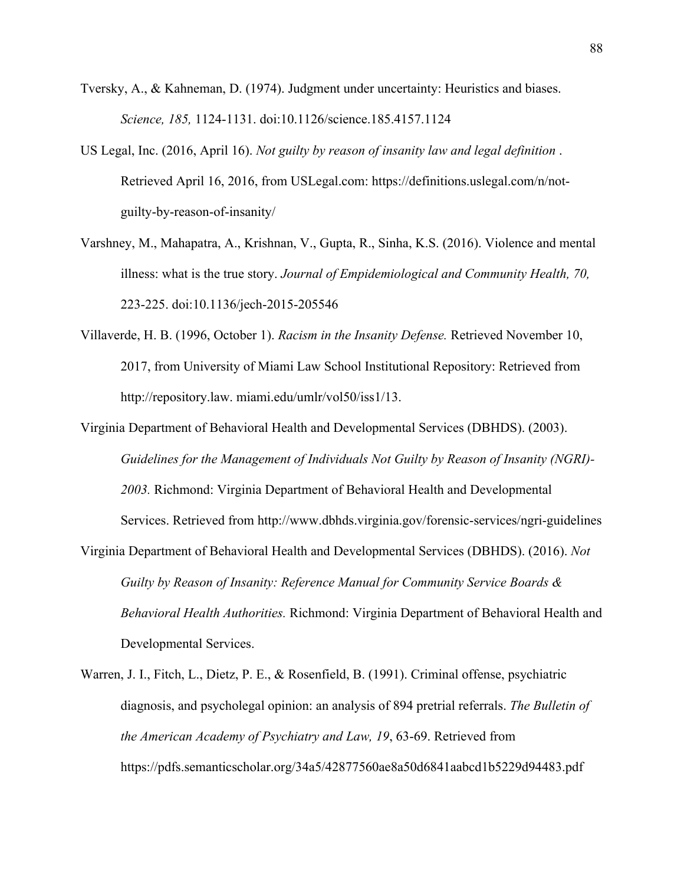- Tversky, A., & Kahneman, D. (1974). Judgment under uncertainty: Heuristics and biases. *Science, 185,* 1124-1131. doi:10.1126/science.185.4157.1124
- US Legal, Inc. (2016, April 16). *Not guilty by reason of insanity law and legal definition* . Retrieved April 16, 2016, from USLegal.com: https://definitions.uslegal.com/n/notguilty-by-reason-of-insanity/
- Varshney, M., Mahapatra, A., Krishnan, V., Gupta, R., Sinha, K.S. (2016). Violence and mental illness: what is the true story. *Journal of Empidemiological and Community Health, 70,*  223-225. doi:10.1136/jech-2015-205546
- Villaverde, H. B. (1996, October 1). *Racism in the Insanity Defense.* Retrieved November 10, 2017, from University of Miami Law School Institutional Repository: Retrieved from http://repository.law. miami.edu/umlr/vol50/iss1/13.
- Virginia Department of Behavioral Health and Developmental Services (DBHDS). (2003). *Guidelines for the Management of Individuals Not Guilty by Reason of Insanity (NGRI)- 2003.* Richmond: Virginia Department of Behavioral Health and Developmental Services. Retrieved from http://www.dbhds.virginia.gov/forensic-services/ngri-guidelines
- Virginia Department of Behavioral Health and Developmental Services (DBHDS). (2016). *Not Guilty by Reason of Insanity: Reference Manual for Community Service Boards & Behavioral Health Authorities.* Richmond: Virginia Department of Behavioral Health and Developmental Services.
- Warren, J. I., Fitch, L., Dietz, P. E., & Rosenfield, B. (1991). Criminal offense, psychiatric diagnosis, and psycholegal opinion: an analysis of 894 pretrial referrals. *The Bulletin of the American Academy of Psychiatry and Law, 19*, 63-69. Retrieved from https://pdfs.semanticscholar.org/34a5/42877560ae8a50d6841aabcd1b5229d94483.pdf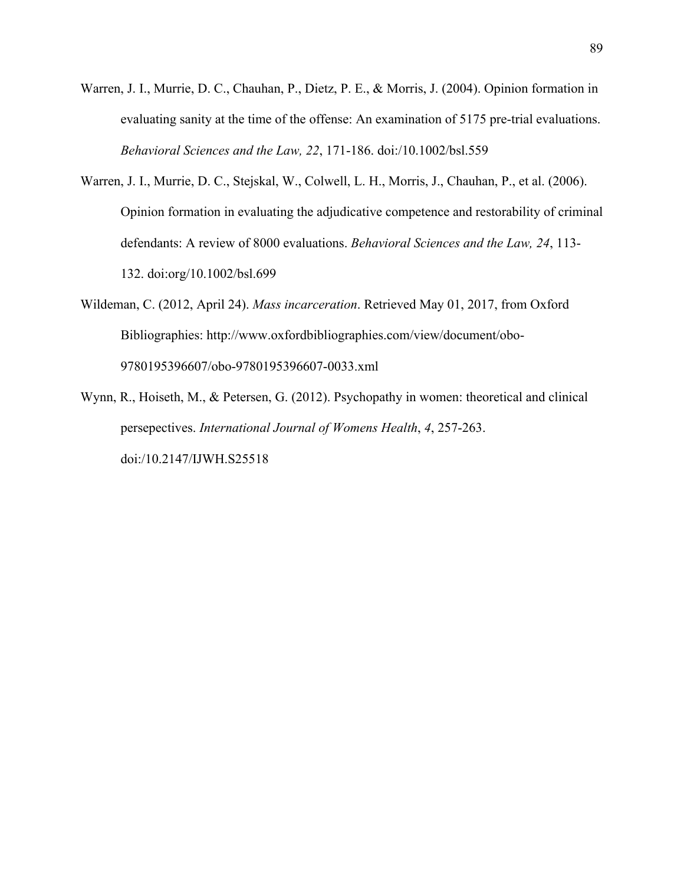- Warren, J. I., Murrie, D. C., Chauhan, P., Dietz, P. E., & Morris, J. (2004). Opinion formation in evaluating sanity at the time of the offense: An examination of 5175 pre-trial evaluations. *Behavioral Sciences and the Law, 22*, 171-186. doi:/10.1002/bsl.559
- Warren, J. I., Murrie, D. C., Stejskal, W., Colwell, L. H., Morris, J., Chauhan, P., et al. (2006). Opinion formation in evaluating the adjudicative competence and restorability of criminal defendants: A review of 8000 evaluations. *Behavioral Sciences and the Law, 24*, 113- 132. doi:org/10.1002/bsl.699
- Wildeman, C. (2012, April 24). *Mass incarceration*. Retrieved May 01, 2017, from Oxford Bibliographies: http://www.oxfordbibliographies.com/view/document/obo-9780195396607/obo-9780195396607-0033.xml
- Wynn, R., Hoiseth, M., & Petersen, G. (2012). Psychopathy in women: theoretical and clinical persepectives. *International Journal of Womens Health*, *4*, 257-263. doi:/10.2147/IJWH.S25518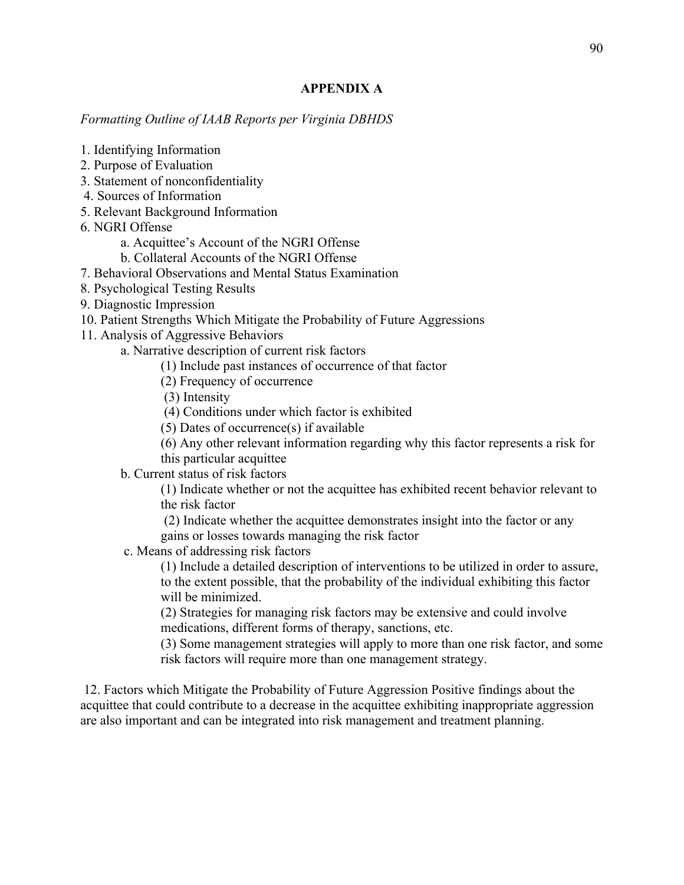## **APPENDIX A**

*Formatting Outline of IAAB Reports per Virginia DBHDS* 

- 1. Identifying Information
- 2. Purpose of Evaluation
- 3. Statement of nonconfidentiality
- 4. Sources of Information
- 5. Relevant Background Information
- 6. NGRI Offense
	- a. Acquittee's Account of the NGRI Offense
	- b. Collateral Accounts of the NGRI Offense
- 7. Behavioral Observations and Mental Status Examination
- 8. Psychological Testing Results
- 9. Diagnostic Impression
- 10. Patient Strengths Which Mitigate the Probability of Future Aggressions
- 11. Analysis of Aggressive Behaviors

a. Narrative description of current risk factors

- (1) Include past instances of occurrence of that factor
- (2) Frequency of occurrence
- (3) Intensity

(4) Conditions under which factor is exhibited

- (5) Dates of occurrence(s) if available
- (6) Any other relevant information regarding why this factor represents a risk for
- this particular acquittee
- b. Current status of risk factors

(1) Indicate whether or not the acquittee has exhibited recent behavior relevant to the risk factor

(2) Indicate whether the acquittee demonstrates insight into the factor or any gains or losses towards managing the risk factor

c. Means of addressing risk factors

(1) Include a detailed description of interventions to be utilized in order to assure, to the extent possible, that the probability of the individual exhibiting this factor will be minimized.

(2) Strategies for managing risk factors may be extensive and could involve medications, different forms of therapy, sanctions, etc.

(3) Some management strategies will apply to more than one risk factor, and some risk factors will require more than one management strategy.

12. Factors which Mitigate the Probability of Future Aggression Positive findings about the acquittee that could contribute to a decrease in the acquittee exhibiting inappropriate aggression are also important and can be integrated into risk management and treatment planning.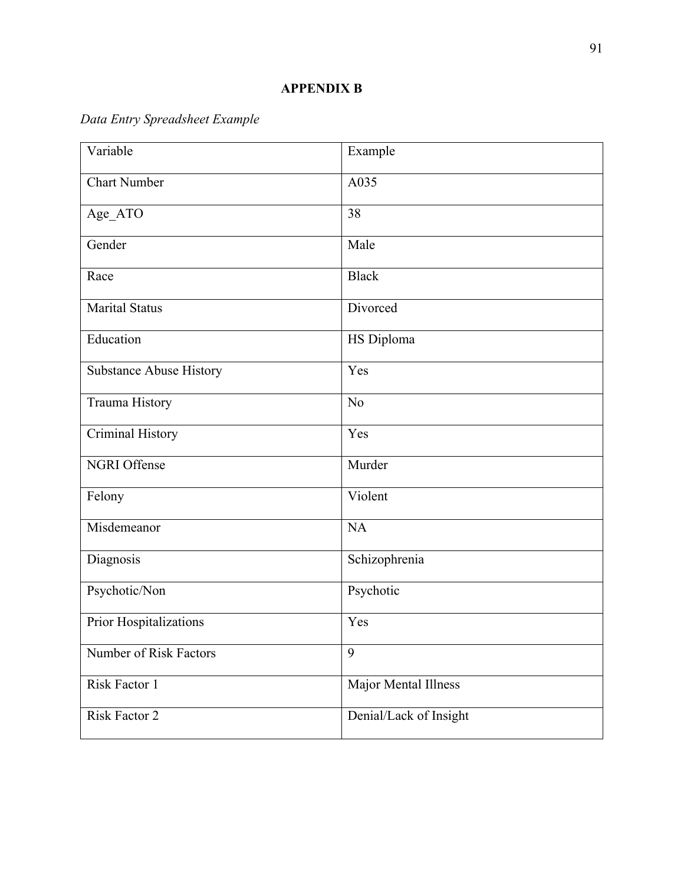# *Data Entry Spreadsheet Example*

| Variable                       | Example                |  |
|--------------------------------|------------------------|--|
| <b>Chart Number</b>            | A035                   |  |
| Age_ATO                        | 38                     |  |
| Gender                         | Male                   |  |
| Race                           | <b>Black</b>           |  |
| <b>Marital Status</b>          | Divorced               |  |
| Education                      | HS Diploma             |  |
| <b>Substance Abuse History</b> | Yes                    |  |
| Trauma History                 | N <sub>o</sub>         |  |
| Criminal History               | Yes                    |  |
| <b>NGRI Offense</b>            | Murder                 |  |
| Felony                         | Violent                |  |
| Misdemeanor                    | <b>NA</b>              |  |
| Diagnosis                      | Schizophrenia          |  |
| Psychotic/Non                  | Psychotic              |  |
| Prior Hospitalizations         | Yes                    |  |
| Number of Risk Factors         | 9                      |  |
| Risk Factor 1                  | Major Mental Illness   |  |
| Risk Factor 2                  | Denial/Lack of Insight |  |